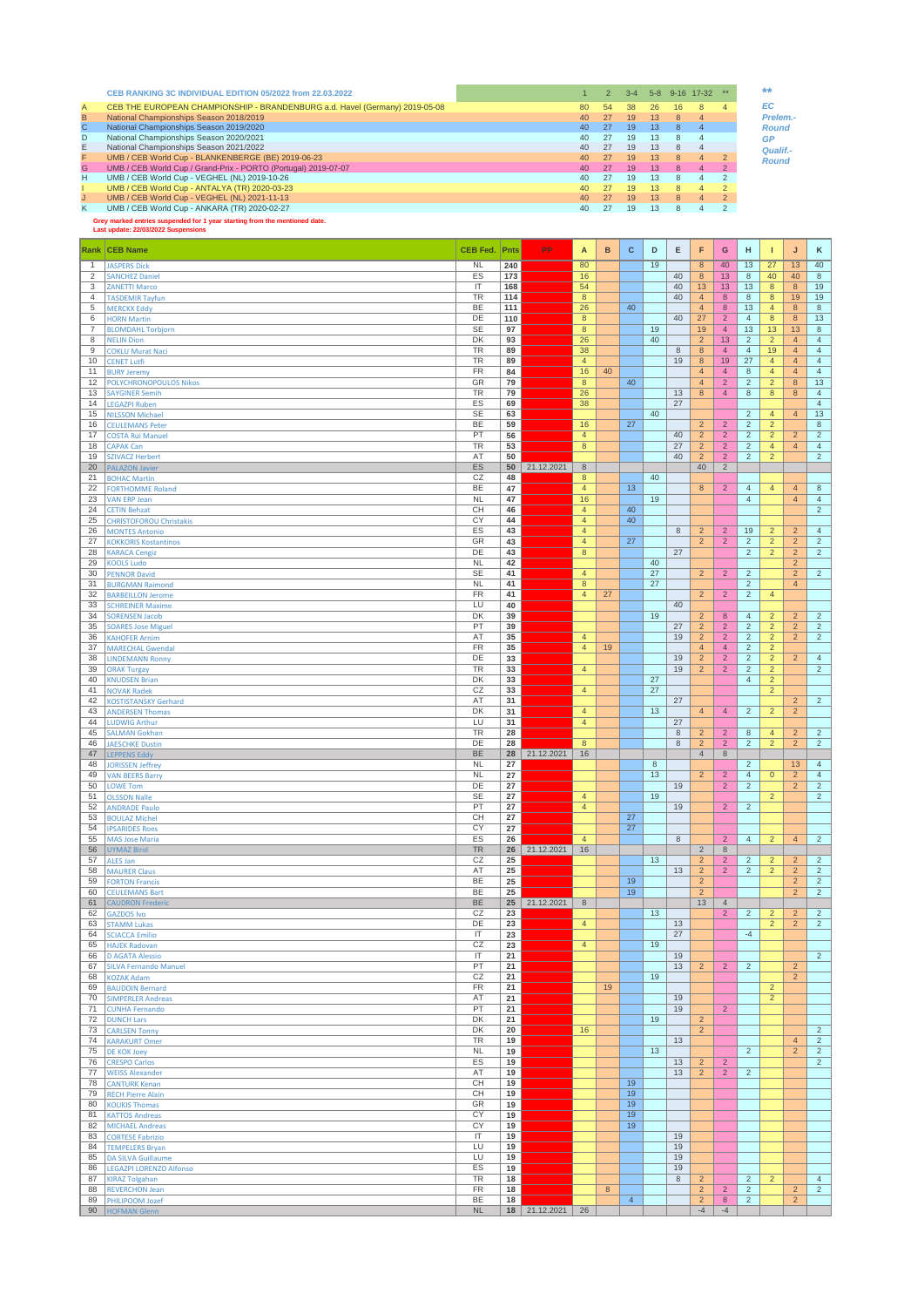| CEB THE EUROPEAN CHAMPIONSHIP - BRANDENBURG a.d. Havel (Germany) 2019-05-08<br>A<br>54<br>80<br>26<br>38<br>16<br>8<br>B<br>National Championships Season 2018/2019<br>27<br>13 <sup>°</sup><br>40 <sup>°</sup><br>19<br>$\mathsf{R}$ |                |
|---------------------------------------------------------------------------------------------------------------------------------------------------------------------------------------------------------------------------------------|----------------|
|                                                                                                                                                                                                                                       | EC             |
|                                                                                                                                                                                                                                       | Prelem.        |
| C.<br>National Championships Season 2019/2020<br>27<br>40 <sup>°</sup><br>19<br>13 <sup>°</sup><br>8                                                                                                                                  | <b>Round</b>   |
| National Championships Season 2020/2021<br>D<br>27<br>13<br>40 <sup>°</sup><br>19<br>8                                                                                                                                                | <b>GP</b>      |
| National Championships Season 2021/2022<br>27<br>$40^{\circ}$<br>19<br>13<br>8                                                                                                                                                        | Qualif.-       |
| UMB / CEB World Cup - BLANKENBERGE (BE) 2019-06-23<br>27<br>40 <sup>°</sup><br>13<br>19<br>8                                                                                                                                          | <b>Round</b>   |
| G.<br>UMB / CEB World Cup / Grand-Prix - PORTO (Portugal) 2019-07-07<br>27<br>13 <sup>1</sup><br>40 <sup>°</sup><br>19<br>8                                                                                                           |                |
| н<br>UMB / CEB World Cup - VEGHEL (NL) 2019-10-26<br>27<br>13<br>$40^{\circ}$<br>19<br>8                                                                                                                                              |                |
| UMB / CEB World Cup - ANTALYA (TR) 2020-03-23<br>27<br>40 <sup>°</sup><br>$13 \,$<br>19<br>8                                                                                                                                          |                |
| UMB / CEB World Cup - VEGHEL (NL) 2021-11-13<br>27<br>13<br>40 <sup>°</sup><br>19<br>8<br>4                                                                                                                                           | $\overline{2}$ |
| Κ<br>UMB / CEB World Cup - ANKARA (TR) 2020-02-27<br>27<br>13<br>40<br>19<br>8                                                                                                                                                        |                |

**Grey marked entries suspended for 1 year starting from the mentioned date. Last update: 22/03/2022 Suspensions**

|                | <b>Rank CEB Name</b>                             | <b>CEB Fed. Pnts</b>              |          | PP            | Α                    | в                | $\mathbf{C}$   | D  | Е       | F                                | G                                | н                                | п                                | J                                | κ                                |
|----------------|--------------------------------------------------|-----------------------------------|----------|---------------|----------------------|------------------|----------------|----|---------|----------------------------------|----------------------------------|----------------------------------|----------------------------------|----------------------------------|----------------------------------|
| $\mathbf{1}$   | <b>JASPERS Dick</b>                              | <b>NL</b>                         | 240      |               | 80                   |                  |                | 19 |         | $\overline{\bf 8}$               | 40                               | 13                               | 27                               | 13                               | 40                               |
| 2              | <b>SANCHEZ Daniel</b>                            | ES                                | 173      |               | 16                   |                  |                |    | 40      | 8                                | 13                               | $\boldsymbol{8}$                 | 40                               | 40                               | 8                                |
| 3              | <b>ZANETTI Marco</b>                             | $\mathsf{I}\mathsf{T}$            | 168      |               | 54                   |                  |                |    | 40      | 13                               | 13                               | 13                               | $8\phantom{1}$                   | $\boldsymbol{8}$                 | 19                               |
| 4              | <b>TASDEMIR Tayfun</b>                           | TR                                | 114      |               | $\boldsymbol{8}$     |                  |                |    | 40      | $\overline{4}$                   | 8                                | $\bf8$                           | $\boldsymbol{8}$                 | 19                               | 19                               |
| 5              | <b>MERCKX Eddy</b>                               | BE                                | 111      |               | 26                   |                  | 40             |    |         | $\overline{4}$                   | 8                                | 13                               | $\overline{4}$                   | 8                                | 8                                |
| 6              | <b>HORN Martin</b>                               | DE                                | 110      |               | 8                    |                  |                |    | 40      | 27                               | $\overline{a}$                   | $\overline{4}$                   | 8                                | 8                                | 13                               |
| $\overline{7}$ | <b>BLOMDAHL Torbjorn</b>                         | <b>SE</b>                         | 97       |               | 8                    |                  |                | 19 |         | 19                               | $\overline{4}$                   | 13                               | 13                               | 13                               | 8                                |
| 8              | <b>NELIN Dion</b>                                | DK                                | 93       |               | 26                   |                  |                | 40 |         | $\overline{c}$                   | 13                               | $\sqrt{2}$                       | $\overline{2}$                   | $\overline{4}$                   | $\overline{4}$                   |
| 9              | <b>COKLU Murat Naci</b>                          | TR<br><b>TR</b>                   | 89       |               | 38                   |                  |                |    | 8<br>19 | 8<br>$\overline{\bf 8}$          | $\overline{4}$<br>19             | $\overline{4}$<br>27             | 19                               | $\overline{4}$<br>$\overline{4}$ | $\overline{4}$<br>$\overline{4}$ |
| 10<br>11       | <b>CENET Lutfi</b><br><b>BURY Jeremy</b>         | FR                                | 89<br>84 |               | $\overline{4}$<br>16 | 40               |                |    |         | $\overline{4}$                   | $\overline{4}$                   | $\bf8$                           | $\overline{4}$<br>$\overline{4}$ | $\overline{4}$                   | $\overline{4}$                   |
| 12             | POLYCHRONOPOULOS Nikos                           | GR                                | 79       |               | $\bf{8}$             |                  | 40             |    |         | $\overline{4}$                   | $\overline{2}$                   | $\sqrt{2}$                       | $\overline{2}$                   | $\bf 8$                          | 13                               |
| 13             | <b>SAYGINER Semih</b>                            | <b>TR</b>                         | 79       |               | 26                   |                  |                |    | 13      | 8                                | $\overline{4}$                   | $\boldsymbol{8}$                 | $8\phantom{1}$                   | 8                                | $\overline{4}$                   |
| 14             | <b>LEGAZPI Ruben</b>                             | ES                                | 69       |               | 38                   |                  |                |    | 27      |                                  |                                  |                                  |                                  |                                  | $\overline{4}$                   |
| 15             | <b>NILSSON Michael</b>                           | <b>SE</b>                         | 63       |               |                      |                  |                | 40 |         |                                  |                                  | $\sqrt{2}$                       | $\overline{4}$                   | $\overline{4}$                   | $13$                             |
| 16             | <b>CEULEMANS Peter</b>                           | BE                                | 59       |               | 16                   |                  | 27             |    |         | $\overline{2}$                   | $\overline{2}$                   | $\overline{2}$                   | $\overline{2}$                   |                                  | 8                                |
| 17             | <b>COSTA Rui Manuel</b>                          | PT                                | 56       |               | $\overline{4}$       |                  |                |    | 40      | $\overline{a}$                   | $\overline{2}$                   | $\overline{2}$                   | $\overline{2}$                   | $\overline{2}$                   | $\overline{2}$                   |
| 18             | <b>CAPAK Can</b>                                 | <b>TR</b>                         | 53       |               | 8                    |                  |                |    | 27      | $\overline{2}$                   | $\overline{2}$                   | $\overline{2}$                   | $\overline{4}$                   | 4                                | $\overline{4}$                   |
| 19             | <b>SZIVACZ Herbert</b>                           | AT                                | 50       |               |                      |                  |                |    | 40      | $\overline{c}$                   | $\overline{2}$                   | $\overline{2}$                   | $\overline{2}$                   |                                  | $\overline{2}$                   |
| 20             | <b>PALAZON Javier</b>                            | ES                                | 50       | 21.12.2021    | 8                    |                  |                |    |         | 40                               | $\overline{2}$                   |                                  |                                  |                                  |                                  |
| 21<br>22       | <b>BOHAC Martin</b><br><b>FORTHOMME Roland</b>   | CZ<br>BE                          | 48<br>47 |               | 8<br>$\overline{4}$  |                  | 13             | 40 |         | 8                                | $\overline{2}$                   | $\overline{4}$                   | $\overline{4}$                   | $\overline{4}$                   | 8                                |
| 23             | <b>VAN ERP Jean</b>                              | <b>NL</b>                         | 47       |               | 16                   |                  |                | 19 |         |                                  |                                  | $\overline{4}$                   |                                  | $\overline{4}$                   | $\overline{4}$                   |
| 24             | <b>CETIN Behzat</b>                              | CН                                | 46       |               | $\overline{4}$       |                  | 40             |    |         |                                  |                                  |                                  |                                  |                                  | $\overline{2}$                   |
| 25             | <b>CHRISTOFOROU Christakis</b>                   | CY                                | 44       |               | $\overline{4}$       |                  | 40             |    |         |                                  |                                  |                                  |                                  |                                  |                                  |
| 26             | <b>MONTES Antonio</b>                            | ES                                | 43       |               | $\overline{4}$       |                  |                |    | 8       | $\overline{2}$                   | $\overline{2}$                   | 19                               | $\overline{2}$                   | $\overline{c}$                   | $\overline{4}$                   |
| 27             | <b>KOKKORIS Kostantinos</b>                      | GR                                | 43       |               | $\overline{4}$       |                  | 27             |    |         | $\overline{c}$                   | $\overline{c}$                   | $\overline{2}$                   | $\overline{2}$                   | $\overline{2}$                   | $\overline{2}$                   |
| 28             | <b>KARACA Cengiz</b>                             | DE                                | 43       |               | 8                    |                  |                |    | 27      |                                  |                                  | $\overline{2}$                   | $\overline{2}$                   | $\overline{2}$                   | $\overline{2}$                   |
| 29             | <b>KOOLS Ludo</b>                                | <b>NL</b>                         | 42       |               |                      |                  |                | 40 |         |                                  |                                  |                                  |                                  | $\overline{2}$                   |                                  |
| 30             | <b>PENNOR David</b>                              | <b>SE</b>                         | 41       |               | $\overline{4}$       |                  |                | 27 |         | $\overline{2}$                   | $\overline{2}$                   | $\overline{2}$                   |                                  | $\overline{2}$                   | $\overline{2}$                   |
| 31             | <b>BURGMAN Raimond</b>                           | <b>NL</b>                         | 41       |               | $\bf 8$              |                  |                | 27 |         |                                  |                                  | $\overline{c}$                   |                                  | $\overline{4}$                   |                                  |
| 32             | <b>BARBEILLON Jerome</b>                         | FR                                | 41       |               | $\overline{4}$       | 27               |                |    | 40      | $\overline{2}$                   | $\overline{2}$                   | $\overline{2}$                   | $\overline{4}$                   |                                  |                                  |
| 33<br>34       | <b>SCHREINER Maxime</b><br><b>SORENSEN Jacob</b> | LU<br>DK                          | 40<br>39 |               |                      |                  |                | 19 |         | $\overline{2}$                   | 8                                | $\overline{4}$                   | $\overline{2}$                   | $\overline{c}$                   | $\overline{2}$                   |
| 35             | <b>SOARES Jose Miguel</b>                        | PT                                | 39       |               |                      |                  |                |    | 27      | $\overline{2}$                   | $\overline{2}$                   | $\overline{2}$                   | $\overline{2}$                   | $\overline{2}$                   | $\overline{2}$                   |
| 36             | <b>KAHOFER Arnim</b>                             | AT                                | 35       |               | $\overline{4}$       |                  |                |    | 19      | $\overline{2}$                   | $\overline{2}$                   | $\overline{2}$                   | $\overline{2}$                   | $\overline{2}$                   | $\overline{2}$                   |
| 37             | <b>MARECHAL Gwendal</b>                          | FR                                | 35       |               | $\overline{4}$       | 19               |                |    |         | $\overline{4}$                   | $\overline{4}$                   | $\overline{2}$                   | $\overline{2}$                   |                                  |                                  |
| 38             | <b>LINDEMANN Ronny</b>                           | DE                                | 33       |               |                      |                  |                |    | 19      | $\overline{2}$                   | $\overline{2}$                   | $\overline{2}$                   | $\overline{2}$                   | $\overline{c}$                   | $\overline{4}$                   |
| 39             | <b>ORAK Turgay</b>                               | TR                                | 33       |               | $\overline{4}$       |                  |                |    | 19      | $\overline{2}$                   | $\overline{2}$                   | $\overline{2}$                   | $\overline{2}$                   |                                  | $\overline{2}$                   |
| 40             | <b>KNUDSEN Brian</b>                             | DK                                | 33       |               |                      |                  |                | 27 |         |                                  |                                  | $\overline{4}$                   | $\overline{2}$                   |                                  |                                  |
| 41             | <b>NOVAK Radek</b>                               | CZ                                | 33       |               | $\overline{4}$       |                  |                | 27 |         |                                  |                                  |                                  | $\overline{2}$                   |                                  |                                  |
| 42             | <b>KOSTISTANSKY Gerhard</b>                      | AT                                | 31       |               |                      |                  |                |    | 27      |                                  |                                  |                                  |                                  | $\overline{2}$                   | $\overline{2}$                   |
| 43             | <b>ANDERSEN Thomas</b>                           | DK                                | 31       |               | $\overline{4}$       |                  |                | 13 |         | $\overline{4}$                   | $\overline{4}$                   | $\overline{2}$                   | $\overline{2}$                   | $\overline{2}$                   |                                  |
| 44             | <b>LUDWIG Arthur</b>                             | LU                                | 31       |               | $\overline{4}$       |                  |                |    | 27      |                                  |                                  |                                  |                                  |                                  |                                  |
| 45<br>46       | <b>SALMAN Gokhan</b>                             | <b>TR</b><br>DE                   | 28<br>28 |               | 8                    |                  |                |    | 8<br>8  | $\overline{2}$<br>$\overline{2}$ | $\overline{2}$<br>$\overline{2}$ | $\bf8$<br>$\overline{2}$         | $\overline{4}$<br>$\overline{2}$ | $\overline{c}$<br>$\overline{2}$ | $\overline{a}$<br>$\overline{2}$ |
| 47             | <b>JAESCHKE Dustin</b><br><b>LEPPENS Eddy</b>    | BE                                | 28       | 21.12.2021    | 16                   |                  |                |    |         | $\overline{4}$                   | $\,$ 8 $\,$                      |                                  |                                  |                                  |                                  |
| 48             | <b>JORISSEN Jeffrey</b>                          | <b>NL</b>                         | 27       |               |                      |                  |                | 8  |         |                                  |                                  | $\overline{2}$                   |                                  | 13                               | $\overline{4}$                   |
| 49             | <b>VAN BEERS Barry</b>                           | <b>NL</b>                         | 27       |               |                      |                  |                | 13 |         | $\overline{a}$                   | $\overline{2}$                   | $\overline{4}$                   | $\overline{0}$                   | $\overline{2}$                   | $\overline{4}$                   |
| 50             | <b>LOWE Tom</b>                                  | DE                                | 27       |               |                      |                  |                |    | 19      |                                  | $\overline{2}$                   | $\overline{2}$                   |                                  | $\overline{2}$                   | $\overline{2}$                   |
| 51             | <b>OLSSON Nalle</b>                              | SE                                | 27       |               | $\overline{4}$       |                  |                | 19 |         |                                  |                                  |                                  | $\overline{2}$                   |                                  | $\overline{2}$                   |
| 52             | <b>ANDRADE Paulo</b>                             | PT                                | 27       |               | $\overline{4}$       |                  |                |    | 19      |                                  | $\overline{2}$                   | $\sqrt{2}$                       |                                  |                                  |                                  |
| 53             | <b>BOULAZ Michel</b>                             | CH                                | 27       |               |                      |                  | 27             |    |         |                                  |                                  |                                  |                                  |                                  |                                  |
| 54             | <b>IPSARIDES Roes</b>                            | CY                                | 27       |               |                      |                  | 27             |    |         |                                  |                                  |                                  |                                  |                                  |                                  |
| 55             | <b>MAS Jose Maria</b>                            | ES                                | 26       |               | $\overline{4}$       |                  |                |    | 8       |                                  | $\overline{2}$                   | $\overline{4}$                   | $\overline{2}$                   | $\overline{4}$                   | $2^{\circ}$                      |
| 56             | <b>UYMAZ Birol</b>                               | TR                                | 26       | 21.12.2021    | 16                   |                  |                |    |         | $\overline{c}$                   | $\,8\,$                          |                                  |                                  |                                  |                                  |
| 57<br>58       | <b>ALES Jan</b><br><b>MAURER Claus</b>           | CZ<br>AT                          | 25<br>25 |               |                      |                  |                | 13 | 13      | $\overline{2}$<br>$\overline{2}$ | $\overline{2}$<br>$\overline{2}$ | $\overline{2}$<br>$\overline{2}$ | $\overline{2}$<br>$\overline{2}$ | $\overline{2}$<br>$\overline{2}$ | $\overline{2}$<br>$\overline{2}$ |
| 59             | <b>FORTON Francis</b>                            | BE                                | 25       |               |                      |                  | 19             |    |         | $\overline{c}$                   |                                  |                                  |                                  | $\overline{c}$                   | $\overline{a}$                   |
| 60             | <b>CEULEMANS Bart</b>                            | BE                                | 25       |               |                      |                  | 19             |    |         | $\overline{2}$                   |                                  |                                  |                                  | $\overline{2}$                   | $\overline{2}$                   |
| 61             | <b>CAUDRON Frederi</b>                           | BE                                | 25       | 21.12.2021    | 8                    |                  |                |    |         | 13                               | $\overline{4}$                   |                                  |                                  |                                  |                                  |
| 62             | <b>GAZDOS Ivo</b>                                | CZ                                | 23       |               |                      |                  |                | 13 |         |                                  | $\overline{2}$                   | $\overline{2}$                   | $\overline{2}$                   | $\overline{2}$                   | $\overline{2}$                   |
| 63             | <b>STAMM Lukas</b>                               | DE                                | 23       |               | $\overline{4}$       |                  |                |    | 13      |                                  |                                  |                                  | $\overline{2}$                   | $\overline{2}$                   | $\overline{2}$                   |
| 64             | <b>SCIACCA Emilic</b>                            | IT                                | 23       |               |                      |                  |                |    | 27      |                                  |                                  | $-4$                             |                                  |                                  |                                  |
| 65             | <b>HAJEK Radovan</b>                             | CZ                                | 23       |               | $\overline{4}$       |                  |                | 19 |         |                                  |                                  |                                  |                                  |                                  |                                  |
| 66             | <b>D AGATA Alessio</b>                           | IT                                | 21       |               |                      |                  |                |    | 19      |                                  |                                  |                                  |                                  |                                  | $\overline{2}$                   |
| 67             | <b>SILVA Fernando Manuel</b>                     | PT<br>CZ                          | 21       |               |                      |                  |                | 19 | 13      | $\overline{2}$                   | $\overline{2}$                   | $\overline{2}$                   |                                  | $\overline{2}$                   |                                  |
| 68<br>69       | <b>KOZAK Adam</b><br><b>BAUDOIN Bernard</b>      | FR                                | 21<br>21 |               |                      | 19               |                |    |         |                                  |                                  |                                  | $\overline{2}$                   | $\overline{2}$                   |                                  |
| 70             | <b>SIMPERLER Andreas</b>                         | AT                                | 21       |               |                      |                  |                |    | 19      |                                  |                                  |                                  | $\overline{2}$                   |                                  |                                  |
| 71             | <b>CUNHA Fernando</b>                            | PT                                | 21       |               |                      |                  |                |    | 19      |                                  | $\overline{2}$                   |                                  |                                  |                                  |                                  |
| 72             | <b>DUNCH Lars</b>                                | DK                                | 21       |               |                      |                  |                | 19 |         | $\overline{2}$                   |                                  |                                  |                                  |                                  |                                  |
| 73             | <b>CARLSEN Tonny</b>                             | DK                                | 20       |               | 16                   |                  |                |    |         | $\overline{2}$                   |                                  |                                  |                                  |                                  | $\overline{2}$                   |
| 74             | <b>KARAKURT Omer</b>                             | <b>TR</b>                         | 19       |               |                      |                  |                |    | 13      |                                  |                                  |                                  |                                  | $\overline{4}$                   | $\overline{2}$                   |
| 75             | <b>DE KOK Joey</b>                               | <b>NL</b>                         | 19       |               |                      |                  |                | 13 |         |                                  |                                  | $\overline{2}$                   |                                  | $\overline{2}$                   | $\overline{2}$                   |
| 76             | <b>CRESPO Carlos</b>                             | ES                                | 19       |               |                      |                  |                |    | 13      | $\overline{c}$                   | $\overline{2}$                   |                                  |                                  |                                  | $\overline{2}$                   |
| 77             | <b>WEISS Alexander</b>                           | AT                                | 19       |               |                      |                  |                |    | 13      | $\overline{2}$                   | $\overline{2}$                   | $\overline{2}$                   |                                  |                                  |                                  |
| 78             | <b>CANTURK Kenan</b>                             | CН                                | 19       |               |                      |                  | 19             |    |         |                                  |                                  |                                  |                                  |                                  |                                  |
| 79<br>80       | <b>RECH Pierre Alain</b>                         | CН<br>GR                          | 19<br>19 |               |                      |                  | 19<br>19       |    |         |                                  |                                  |                                  |                                  |                                  |                                  |
| 81             | <b>KOUKIS Thomas</b>                             | CY                                | 19       |               |                      |                  | 19             |    |         |                                  |                                  |                                  |                                  |                                  |                                  |
| 82             | <b>KATTOS Andreas</b><br><b>MICHAEL Andreas</b>  | CY                                | 19       |               |                      |                  | 19             |    |         |                                  |                                  |                                  |                                  |                                  |                                  |
| 83             | <b>CORTESE Fabrizio</b>                          | $\ensuremath{\mathsf{IT}}\xspace$ | 19       |               |                      |                  |                |    | 19      |                                  |                                  |                                  |                                  |                                  |                                  |
| 84             | <b>TEMPELERS Bryan</b>                           | LU                                | 19       |               |                      |                  |                |    | 19      |                                  |                                  |                                  |                                  |                                  |                                  |
| 85             | <b>DA SILVA Guillaume</b>                        | LU                                | 19       |               |                      |                  |                |    | 19      |                                  |                                  |                                  |                                  |                                  |                                  |
| 86             | <b>LEGAZPI LORENZO Alfonso</b>                   | ES                                | 19       |               |                      |                  |                |    | 19      |                                  |                                  |                                  |                                  |                                  |                                  |
| 87             | <b>KIRAZ Tolgahan</b>                            | TR                                | 18       |               |                      |                  |                |    | 8       | $\overline{2}$                   |                                  | $\overline{2}$                   | $\overline{2}$                   |                                  | 4                                |
| 88             | <b>REVERCHON Jean</b>                            | <b>FR</b>                         | 18       |               |                      | $\boldsymbol{8}$ |                |    |         | $\overline{c}$                   | $\overline{2}$                   | $\overline{2}$                   |                                  | $\overline{c}$                   | $\overline{2}$                   |
| 89             | PHILIPOOM Jozef                                  | BE                                | 18       |               |                      |                  | $\overline{4}$ |    |         | $\overline{2}$                   | 8                                | $\overline{2}$                   |                                  | $\overline{2}$                   |                                  |
| 90             | <b>HOFMAN Glenn</b>                              | NL                                |          | 18 21.12.2021 | 26                   |                  |                |    |         | $-4$                             | $-4$                             |                                  |                                  |                                  |                                  |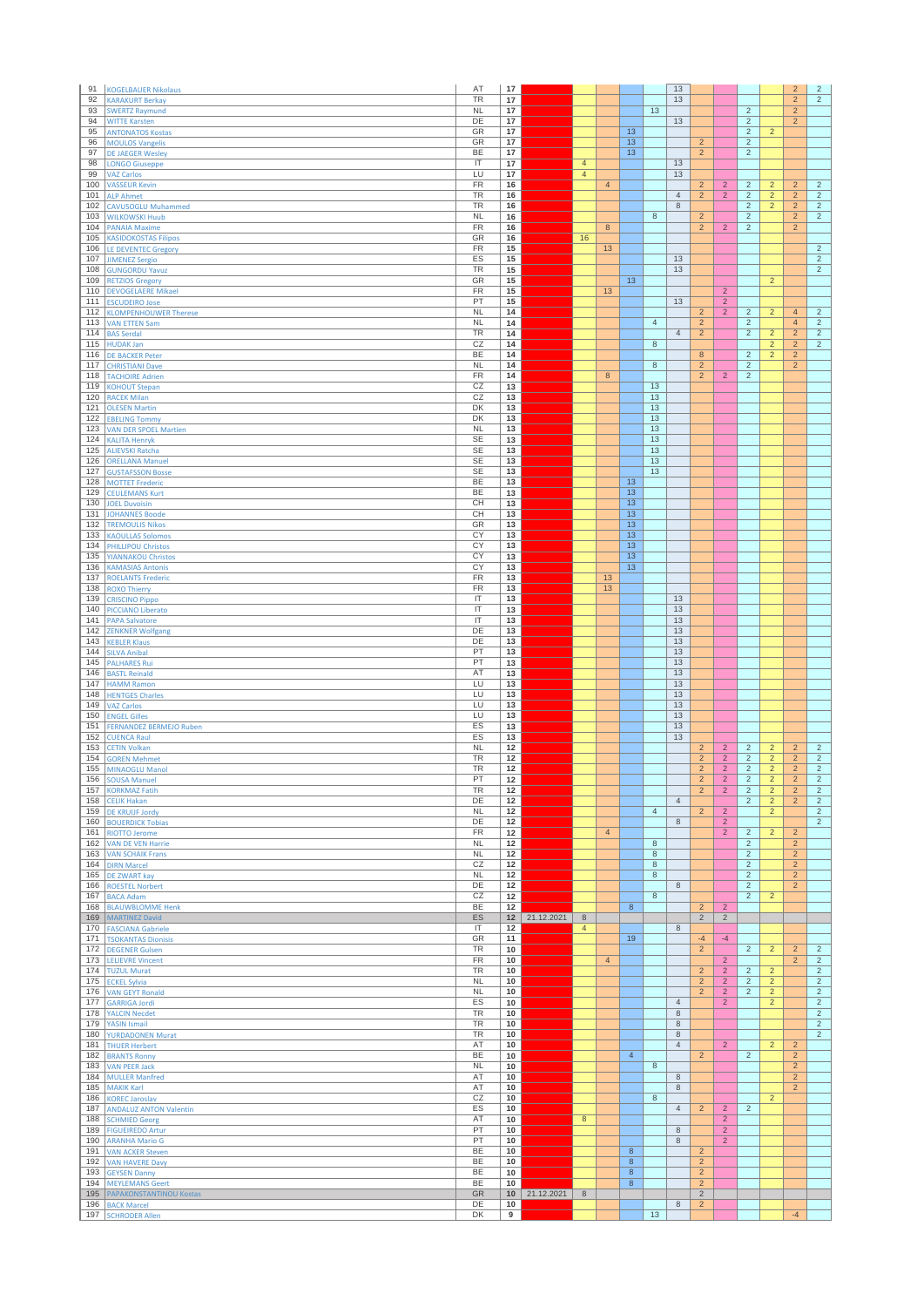| 91         | <b>KOGELBAUER Nikolaus</b>                            | AT                                | 17       |                   |                |                |                                  |                     | 13             |                                  |                                  |                                  |                                  | $\overline{2}$                   | $\overline{2}$                   |
|------------|-------------------------------------------------------|-----------------------------------|----------|-------------------|----------------|----------------|----------------------------------|---------------------|----------------|----------------------------------|----------------------------------|----------------------------------|----------------------------------|----------------------------------|----------------------------------|
| 92<br>93   | <b>KARAKURT Berkay</b><br><b>SWERTZ Raymund</b>       | <b>TR</b><br><b>NL</b>            | 17<br>17 |                   |                |                |                                  | 13                  | 13             |                                  |                                  | $\overline{2}$                   |                                  | $\overline{2}$<br>$\overline{2}$ | $\overline{2}$                   |
| 94         | <b>WITTE Karsten</b>                                  | DE                                | 17       |                   |                |                |                                  |                     | 13             |                                  |                                  | $\overline{2}$                   |                                  | $\overline{2}$                   |                                  |
| 95<br>96   | <b>ANTONATOS Kostas</b><br><b>MOULOS Vangelis</b>     | GR<br>GR                          | 17<br>17 |                   |                |                | 13<br>13                         |                     |                | $\overline{2}$                   |                                  | $\overline{2}$<br>$\overline{2}$ | $\overline{2}$                   |                                  |                                  |
| 97         | <b>DE JAEGER Wesley</b>                               | BE                                | 17       |                   |                |                | 13                               |                     |                | $\overline{c}$                   |                                  | $\overline{c}$                   |                                  |                                  |                                  |
| 98         | <b>LONGO Giuseppe</b>                                 | IT                                | 17       |                   | $\overline{4}$ |                |                                  |                     | 13             |                                  |                                  |                                  |                                  |                                  |                                  |
| 99<br>100  | <b>VAZ Carlos</b><br><b>VASSEUR Kevin</b>             | LU<br>FR                          | 17<br>16 |                   | $\overline{4}$ | $\overline{4}$ |                                  |                     | 13             | $\overline{2}$                   | $\overline{2}$                   | $\overline{2}$                   | $\overline{c}$                   | $\overline{2}$                   | $\overline{2}$                   |
| 101        | <b>ALP Ahmet</b>                                      | TR                                | 16       |                   |                |                |                                  |                     | $\overline{4}$ | $\overline{2}$                   | $\overline{2}$                   | $\sqrt{2}$                       | $\overline{2}$                   | $\overline{2}$                   | $\overline{2}$                   |
| 102        | <b>CAVUSOGLU Muhammed</b>                             | TR                                | 16       |                   |                |                |                                  |                     | 8              |                                  |                                  | $\overline{c}$                   | $\overline{2}$                   | $\overline{c}$                   | $\sqrt{2}$                       |
| 103<br>104 | <b>WILKOWSKI Huub</b><br><b>PANAIA Maxime</b>         | <b>NL</b><br>FR                   | 16<br>16 |                   |                | 8              |                                  | $\overline{8}$      |                | $\overline{2}$<br>$\overline{2}$ | $\overline{2}$                   | $\overline{2}$<br>$\overline{c}$ |                                  | $\overline{2}$<br>$\overline{2}$ | $\overline{2}$                   |
| 105        | <b>KASIDOKOSTAS Filipos</b>                           | GR                                | 16       |                   | 16             |                |                                  |                     |                |                                  |                                  |                                  |                                  |                                  |                                  |
| 106<br>107 | <b>LE DEVENTEC Gregory</b>                            | FR<br>ES                          | 15<br>15 |                   |                | 13             |                                  |                     | 13             |                                  |                                  |                                  |                                  |                                  | $\overline{2}$<br>$\overline{2}$ |
| 108        | <b>JIMENEZ Sergio</b><br><b>GUNGORDU Yavuz</b>        | <b>TR</b>                         | 15       |                   |                |                |                                  |                     | 13             |                                  |                                  |                                  |                                  |                                  | $\overline{2}$                   |
| 109        | <b>RETZIOS Gregory</b>                                | GR                                | 15       |                   |                |                | 13                               |                     |                |                                  |                                  |                                  | $\overline{2}$                   |                                  |                                  |
| 110<br>111 | <b>DEVOGELAERE Mikael</b><br><b>ESCUDEIRO Jose</b>    | FR<br>PT                          | 15<br>15 |                   |                | 13             |                                  |                     | 13             |                                  | $\overline{2}$<br>$\overline{2}$ |                                  |                                  |                                  |                                  |
| 112        | <b>KLOMPENHOUWER Therese</b>                          | <b>NL</b>                         | 14       |                   |                |                |                                  |                     |                | $\overline{c}$                   | $\overline{2}$                   | $\overline{2}$                   | $\overline{2}$                   | $\overline{4}$                   | $\overline{2}$                   |
| 113        | <b>VAN ETTEN Sam</b>                                  | <b>NL</b>                         | 14       |                   |                |                |                                  | $\overline{4}$      |                | $\sqrt{2}$                       |                                  | $\sqrt{2}$                       |                                  | $\overline{4}$                   | $\sqrt{2}$                       |
| 114<br>115 | <b>BAS Serdal</b>                                     | TR<br>CZ                          | 14<br>14 |                   |                |                |                                  | $\overline{8}$      | $\overline{4}$ | $\overline{2}$                   |                                  | $\overline{c}$                   | $\overline{2}$<br>$\overline{a}$ | $\overline{2}$<br>$\overline{2}$ | $\overline{2}$<br>$\overline{2}$ |
| 116        | <b>HUDAK Jan</b><br><b>DE BACKER Peter</b>            | BE                                | 14       |                   |                |                |                                  |                     |                | 8                                |                                  | $\overline{2}$                   | $\overline{2}$                   | $\overline{2}$                   |                                  |
| 117        | <b>CHRISTIANI Dave</b>                                | <b>NL</b>                         | 14       |                   |                |                |                                  | $\,$ 8 $\,$         |                | $\overline{c}$                   |                                  | $\overline{2}$                   |                                  | $\overline{2}$                   |                                  |
| 118<br>119 | <b>TACHOIRE Adrien</b>                                | <b>FR</b><br>CZ                   | 14       |                   |                | 8              |                                  |                     |                | $\overline{2}$                   | $\overline{2}$                   | $\overline{c}$                   |                                  |                                  |                                  |
| 120        | <b>KOHOUT Stepan</b><br><b>RACEK Milan</b>            | CZ                                | 13<br>13 |                   |                |                |                                  | 13<br>13            |                |                                  |                                  |                                  |                                  |                                  |                                  |
| 121        | <b>OLESEN Martin</b>                                  | DK                                | 13       |                   |                |                |                                  | 13                  |                |                                  |                                  |                                  |                                  |                                  |                                  |
| 122        | <b>EBELING Tommy</b>                                  | DK                                | 13       |                   |                |                |                                  | 13                  |                |                                  |                                  |                                  |                                  |                                  |                                  |
| 123<br>124 | <b>VAN DER SPOEL Martien</b><br><b>KALITA Henryk</b>  | <b>NL</b><br><b>SE</b>            | 13<br>13 |                   |                |                |                                  | 13<br>13            |                |                                  |                                  |                                  |                                  |                                  |                                  |
| 125        | <b>ALIEVSKI Ratcha</b>                                | SE                                | 13       |                   |                |                |                                  | 13                  |                |                                  |                                  |                                  |                                  |                                  |                                  |
| 126        | <b>ORELLANA Manuel</b>                                | <b>SE</b>                         | 13       |                   |                |                |                                  | 13                  |                |                                  |                                  |                                  |                                  |                                  |                                  |
| 127<br>128 | <b>GUSTAFSSON Bosse</b><br><b>MOTTET Frederic</b>     | <b>SE</b><br><b>BE</b>            | 13<br>13 |                   |                |                | 13                               | 13                  |                |                                  |                                  |                                  |                                  |                                  |                                  |
| 129        | <b>CEULEMANS Kurt</b>                                 | BE                                | 13       |                   |                |                | 13                               |                     |                |                                  |                                  |                                  |                                  |                                  |                                  |
| 130        | <b>JOEL Duvoisin</b>                                  | CН                                | 13       |                   |                |                | 13                               |                     |                |                                  |                                  |                                  |                                  |                                  |                                  |
| 131<br>132 | <b>JOHANNES Boode</b><br><b>TREMOULIS Nikos</b>       | CH<br>GR                          | 13<br>13 |                   |                |                | 13<br>13                         |                     |                |                                  |                                  |                                  |                                  |                                  |                                  |
| 133        | <b>KAOULLAS Solomos</b>                               | CY                                | 13       |                   |                |                | 13                               |                     |                |                                  |                                  |                                  |                                  |                                  |                                  |
| 134        | <b>PHILLIPOU Christos</b>                             | CY                                | 13       |                   |                |                | 13                               |                     |                |                                  |                                  |                                  |                                  |                                  |                                  |
| 135<br>136 | <b>YIANNAKOU Christos</b><br><b>KAMASIAS Antonis</b>  | $\overline{CY}$<br>CY             | 13<br>13 |                   |                |                | $\overline{13}$<br>13            |                     |                |                                  |                                  |                                  |                                  |                                  |                                  |
| 137        | <b>ROELANTS Frederic</b>                              | <b>FR</b>                         | 13       |                   |                | 13             |                                  |                     |                |                                  |                                  |                                  |                                  |                                  |                                  |
| 138        | <b>ROXO Thierry</b>                                   | FR                                | 13       |                   |                | 13             |                                  |                     |                |                                  |                                  |                                  |                                  |                                  |                                  |
| 139<br>140 | <b>CRISCINO Pippo</b>                                 | IT<br>$\overline{\mathsf{I}}$     | 13<br>13 |                   |                |                |                                  |                     | 13<br>13       |                                  |                                  |                                  |                                  |                                  |                                  |
| 141        | <b>PICCIANO Liberato</b><br><b>PAPA Salvatore</b>     | $\ensuremath{\mathsf{IT}}\xspace$ | 13       |                   |                |                |                                  |                     | 13             |                                  |                                  |                                  |                                  |                                  |                                  |
| 142        | <b>ZENKNER Wolfgang</b>                               | DE                                | 13       |                   |                |                |                                  |                     | 13             |                                  |                                  |                                  |                                  |                                  |                                  |
| 143<br>144 | <b>KEBLER Klaus</b>                                   | DE<br>PT                          | 13<br>13 |                   |                |                |                                  |                     | 13<br>13       |                                  |                                  |                                  |                                  |                                  |                                  |
| 145        | <b>SILVA Anibal</b><br><b>PALHARES Rui</b>            | PT                                | 13       |                   |                |                |                                  |                     | 13             |                                  |                                  |                                  |                                  |                                  |                                  |
| 146        | <b>BASTL Reinald</b>                                  | AT                                | 13       |                   |                |                |                                  |                     | 13             |                                  |                                  |                                  |                                  |                                  |                                  |
| 147<br>148 | <b>HAMM Ramon</b><br><b>HENTGES Charles</b>           | LU<br>LU                          | 13<br>13 |                   |                |                |                                  |                     | 13<br>13       |                                  |                                  |                                  |                                  |                                  |                                  |
| 149        | <b>VAZ Carlos</b>                                     | LU                                | 13       |                   |                |                |                                  |                     | 13             |                                  |                                  |                                  |                                  |                                  |                                  |
| 150        | <b>ENGEL Gilles</b>                                   | LU                                | 13       |                   |                |                |                                  |                     | 13             |                                  |                                  |                                  |                                  |                                  |                                  |
| 151<br>152 | <b>FERNANDEZ BERMEJO Ruben</b>                        | ES<br>ES                          | 13<br>13 |                   |                |                |                                  |                     | 13<br>13       |                                  |                                  |                                  |                                  |                                  |                                  |
| 153        | <b>CUENCA Raul</b><br><b>CETIN Volkan</b>             | <b>NL</b>                         | 12       |                   |                |                |                                  |                     |                | $\overline{2}$                   | $\overline{2}$                   | $\overline{2}$                   | $\overline{2}$                   | $\overline{2}$                   | $\overline{c}$                   |
| 154        | <b>GOREN Mehmet</b>                                   | TR                                | 12       |                   |                |                |                                  |                     |                | $\overline{c}$                   | $\overline{c}$                   | $\overline{c}$                   | $\overline{c}$                   | $\overline{2}$                   | $\sqrt{2}$                       |
| 155<br>156 | MINAOGLU Manol                                        | TR<br>PT                          | 12<br>12 |                   |                |                |                                  |                     |                | $\overline{2}$<br>$\overline{2}$ | $\overline{2}$<br>$\overline{2}$ | $\overline{2}$<br>$\overline{2}$ | $\overline{2}$<br>$\overline{2}$ | $\overline{2}$<br>$\overline{2}$ | $\overline{c}$<br>$\overline{2}$ |
| 157        | SOUSA Manue<br><b>KORKMAZ Fatih</b>                   | TR                                | 12       |                   |                |                |                                  |                     |                | $\overline{c}$                   | $\overline{2}$                   | $\sqrt{2}$                       | $\overline{2}$                   | $\overline{2}$                   | $\sqrt{2}$                       |
| 158        | <b>CELIK Hakan</b>                                    | DE                                | 12       |                   |                |                |                                  |                     | $\overline{4}$ |                                  |                                  | $\overline{2}$                   | $\overline{2}$                   | $\overline{2}$                   | $\overline{2}$                   |
| 159        | <b>DE KRUIJF Jordy</b>                                | <b>NL</b><br>DE                   | 12<br>12 |                   |                |                |                                  | $\overline{4}$      | 8              | $\overline{2}$                   | $\overline{2}$<br>$\overline{2}$ |                                  | $\overline{2}$                   |                                  | $\overline{2}$<br>$\overline{2}$ |
| 161        | 160 BOUERDICK Tobias<br><b>RIOTTO Jerome</b>          | FR                                | 12       |                   |                | $\overline{4}$ |                                  |                     |                |                                  | $\overline{2}$                   | $\overline{c}$                   | $\overline{2}$                   | $\overline{2}$                   |                                  |
|            | 162 VAN DE VEN Harrie                                 | <b>NL</b>                         | 12       |                   |                |                |                                  | 8                   |                |                                  |                                  | $\overline{2}$                   |                                  | $\overline{2}$                   |                                  |
|            | 163 VAN SCHAIK Frans<br>164 DIRN Marcel               | NL<br>CZ                          | 12<br>12 |                   |                |                |                                  | $\overline{8}$<br>8 |                |                                  |                                  | $\overline{2}$<br>$\overline{c}$ |                                  | $\overline{2}$<br>$\overline{2}$ |                                  |
| 165        | DE ZWART kay                                          | NL                                | 12       |                   |                |                |                                  | $\,$ 8 $\,$         |                |                                  |                                  | $\overline{2}$                   |                                  | $\overline{2}$                   |                                  |
| 166        | <b>ROESTEL Norbert</b>                                | DE                                | 12       |                   |                |                |                                  |                     | $\,$ 8         |                                  |                                  | $\overline{2}$                   |                                  | $\overline{2}$                   |                                  |
| 167<br>168 | <b>BACA Adam</b><br><b>BLAUWBLOMME Henk</b>           | CZ<br><b>BE</b>                   | 12<br>12 |                   |                |                | 8                                | $8\phantom{1}$      |                | $\overline{2}$                   | $\overline{2}$                   | $\overline{2}$                   | $\overline{2}$                   |                                  |                                  |
| 169        | <b>MARTINEZ David</b>                                 | ES                                | 12       | 21.12.2021        | $8\phantom{1}$ |                |                                  |                     |                | $\overline{2}$                   | $\overline{2}$                   |                                  |                                  |                                  |                                  |
| 170        | <b>FASCIANA Gabriele</b>                              | $\ensuremath{\mathsf{IT}}\xspace$ | 12       |                   | $\overline{4}$ |                |                                  |                     | 8              |                                  |                                  |                                  |                                  |                                  |                                  |
| 171<br>172 | <b>TSOKANTAS Dionisis</b><br><b>DEGENER Gulsen</b>    | GR<br><b>TR</b>                   | 11<br>10 |                   |                |                | 19                               |                     |                | $-4$<br>$\overline{2}$           | $-4$                             | $\overline{2}$                   | $\overline{2}$                   | $\overline{2}$                   | $\overline{2}$                   |
| 173        | <b>LELIEVRE Vincent</b>                               | FR                                | 10       |                   |                | $\overline{4}$ |                                  |                     |                |                                  | $\overline{2}$                   |                                  |                                  | $\overline{2}$                   | $\overline{2}$                   |
| 174        | <b>TUZUL Murat</b>                                    | TR                                | 10       |                   |                |                |                                  |                     |                | $\overline{2}$                   | $\overline{2}$                   | $\sqrt{2}$                       | $\overline{2}$                   |                                  | $\overline{2}$                   |
| 175        | <b>ECKEL Sylvia</b><br>176 VAN GEYT Ronald            | <b>NL</b><br>NL                   | 10<br>10 |                   |                |                |                                  |                     |                | $\overline{2}$<br>$\overline{2}$ | $\overline{2}$<br>$\overline{2}$ | $\overline{c}$<br>$\overline{2}$ | $\overline{2}$<br>$\overline{2}$ |                                  | $\overline{2}$<br>$\overline{2}$ |
| 177        | <b>GARRIGA Jordi</b>                                  | ES                                | 10       |                   |                |                |                                  |                     | $\sqrt{4}$     |                                  | $\overline{2}$                   |                                  | $\overline{2}$                   |                                  | $\overline{2}$                   |
| 178        | <b>YALCIN Necdet</b>                                  | TR                                | 10       |                   |                |                |                                  |                     | 8              |                                  |                                  |                                  |                                  |                                  | $\overline{2}$                   |
| 179<br>180 | YASIN Ismail<br><b>YURDADONEN Murat</b>               | <b>TR</b><br>TR                   | 10<br>10 |                   |                |                |                                  |                     | $\bf 8$<br>8   |                                  |                                  |                                  |                                  |                                  | $\overline{2}$<br>$\overline{2}$ |
| 181        | <b>THUER Herbert</b>                                  | AT                                | 10       |                   |                |                |                                  |                     | $\overline{4}$ |                                  | $\overline{2}$                   |                                  | $\overline{2}$                   | $\overline{2}$                   |                                  |
| 182        | <b>BRANTS Ronny</b>                                   | <b>BE</b>                         | 10       |                   |                |                | $\overline{4}$                   |                     |                | $\overline{2}$                   |                                  | $\overline{c}$                   |                                  | $\overline{2}$                   |                                  |
| 183<br>184 | <b>VAN PEER Jack</b><br><b>MULLER Manfred</b>         | NL<br>AT                          | 10<br>10 |                   |                |                |                                  | 8                   | 8              |                                  |                                  |                                  |                                  | $\overline{2}$<br>$\overline{2}$ |                                  |
| 185        | <b>MAKIK Karl</b>                                     | AT                                | 10       |                   |                |                |                                  |                     | 8              |                                  |                                  |                                  |                                  | $\overline{2}$                   |                                  |
| 186        | <b>KOREC Jaroslav</b>                                 | CZ                                | 10       |                   |                |                |                                  | $\,$ 8 $\,$         |                |                                  |                                  |                                  | $\overline{2}$                   |                                  |                                  |
| 187<br>188 | <b>ANDALUZ ANTON Valentin</b><br><b>SCHMIED Georg</b> | ES<br>AT                          | 10<br>10 |                   | $\overline{8}$ |                |                                  |                     | $\overline{4}$ | $\overline{2}$                   | $\overline{2}$<br>$\overline{2}$ | $\overline{2}$                   |                                  |                                  |                                  |
| 189        | <b>FIGUEIREDO Artur</b>                               | PT                                | 10       |                   |                |                |                                  |                     | 8              |                                  | $\overline{2}$                   |                                  |                                  |                                  |                                  |
| 190        | <b>ARANHA Mario G</b>                                 | PT                                | 10       |                   |                |                |                                  |                     | 8              |                                  | $\overline{2}$                   |                                  |                                  |                                  |                                  |
| 191<br>192 | <b>VAN ACKER Steven</b><br><b>VAN HAVERE Davy</b>     | <b>BE</b><br><b>BE</b>            | 10<br>10 |                   |                |                | $\overline{8}$<br>$\overline{8}$ |                     |                | $\overline{2}$<br>$\overline{2}$ |                                  |                                  |                                  |                                  |                                  |
| 193        | <b>GEYSEN Danny</b>                                   | BE                                | 10       |                   |                |                | $\bf 8$                          |                     |                | $\overline{c}$                   |                                  |                                  |                                  |                                  |                                  |
| 194        | <b>MEYLEMANS Geert</b>                                | BE                                | 10       |                   | 8              |                | 8                                |                     |                | $\overline{2}$                   |                                  |                                  |                                  |                                  |                                  |
| 195<br>196 | PAPAKONSTANTINOU Kostas<br><b>BACK Marcel</b>         | GR<br>DE                          | 10       | $10$   21.12.2021 |                |                |                                  |                     | 8              | $\overline{2}$<br>$\overline{c}$ |                                  |                                  |                                  |                                  |                                  |
| 197        | <b>SCHRODER Allen</b>                                 | DK                                | 9        |                   |                |                |                                  | 13                  |                |                                  |                                  |                                  |                                  | $-4$                             |                                  |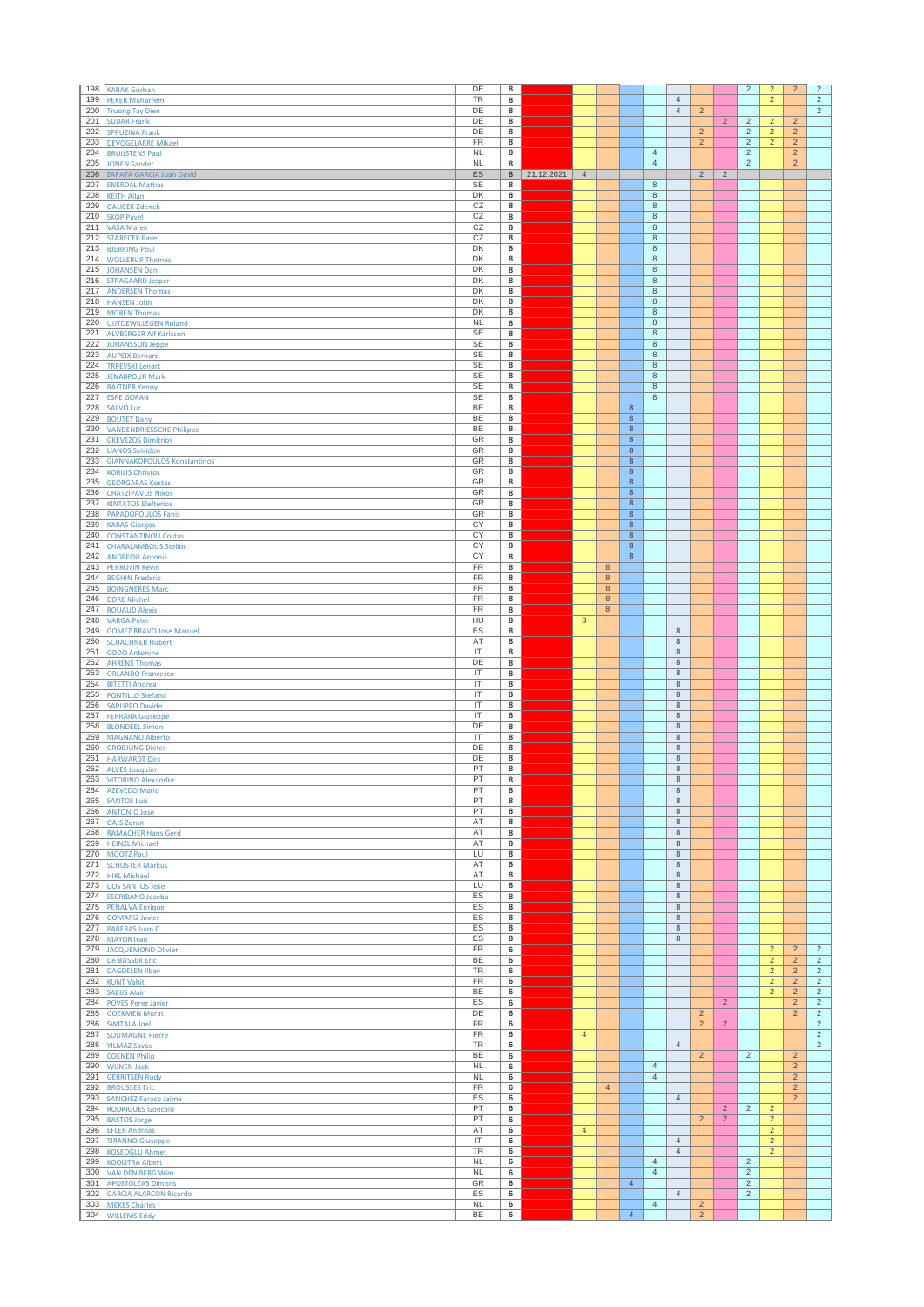| 198        | <b>KABAK Gurhan</b>                                          | DE                            | 8                            |            |                |                |                          |                               |                        |                |                                  | $\overline{2}$                   | $\overline{2}$                   | $\overline{2}$                   | $\sqrt{2}$                       |
|------------|--------------------------------------------------------------|-------------------------------|------------------------------|------------|----------------|----------------|--------------------------|-------------------------------|------------------------|----------------|----------------------------------|----------------------------------|----------------------------------|----------------------------------|----------------------------------|
| 199        | <b>PEKER Muharrem</b>                                        | <b>TR</b>                     | 8                            |            |                |                |                          |                               | $\overline{4}$         |                |                                  |                                  | $\overline{2}$                   |                                  | $\overline{2}$                   |
| 200<br>201 | <b>Truong Tay Dien</b>                                       | DE<br>DE                      | 8<br>8                       |            |                |                |                          |                               | $\overline{4}$         | $\overline{2}$ |                                  |                                  |                                  |                                  | $\overline{2}$                   |
| 202        | <b>SUDAR Frank</b><br><b>SPRUZINA Frank</b>                  | DE                            | 8                            |            |                |                |                          |                               |                        | $\overline{2}$ | $\overline{2}$                   | $\overline{2}$<br>$\overline{2}$ | $\overline{2}$<br>$\overline{2}$ | $\overline{2}$<br>$\overline{2}$ |                                  |
| 203        | <b>DEVOGELAERE Mikael</b>                                    | $\overline{FR}$               | 8                            |            |                |                |                          |                               |                        | $\overline{2}$ |                                  | $\overline{2}$                   | $\overline{2}$                   | $\overline{2}$                   |                                  |
| 204        | <b>BRUIJSTENS Paul</b>                                       | <b>NL</b>                     | 8                            |            |                |                |                          | $\overline{4}$                |                        |                |                                  | $\overline{c}$                   |                                  | $\overline{c}$                   |                                  |
| 205        | <b>JONEN Sander</b>                                          | <b>NL</b>                     | 8                            |            |                |                |                          | $\overline{4}$                |                        |                |                                  | $\overline{2}$                   |                                  | $\overline{2}$                   |                                  |
| 206<br>207 | ZAPATA GARCIA Juan David                                     | ES<br>SE                      | 8<br>8                       | 21.12.2021 | $\overline{4}$ |                |                          | 8                             |                        | $\overline{2}$ | $\overline{2}$                   |                                  |                                  |                                  |                                  |
| 208        | <b>ENERDAL Mattias</b><br><b>KEITH Allan</b>                 | DK                            | 8                            |            |                |                |                          | $\,$ 8 $\,$                   |                        |                |                                  |                                  |                                  |                                  |                                  |
| 209        | <b>GALICEK Zdenek</b>                                        | CZ                            | 8                            |            |                |                |                          | $\,$ 8                        |                        |                |                                  |                                  |                                  |                                  |                                  |
| 210        | <b>SKOP Pavel</b>                                            | CZ                            | 8                            |            |                |                |                          | $\,$ 8 $\,$                   |                        |                |                                  |                                  |                                  |                                  |                                  |
| 211        | <b>VASA Marek</b>                                            | CZ                            | 8                            |            |                |                |                          | $\overline{8}$                |                        |                |                                  |                                  |                                  |                                  |                                  |
| 212<br>213 | <b>STARECEK Pavel</b>                                        | CZ<br>DK                      | 8<br>8                       |            |                |                |                          | $\,$ 8<br>$\,$ 8 $\,$         |                        |                |                                  |                                  |                                  |                                  |                                  |
| 214        | <b>BJERRING Poul</b><br><b>WOLLERUP Thomas</b>               | DK                            | 8                            |            |                |                |                          | 8                             |                        |                |                                  |                                  |                                  |                                  |                                  |
| 215        | <b>JOHANSEN Dan</b>                                          | DK                            | 8                            |            |                |                |                          | $\overline{8}$                |                        |                |                                  |                                  |                                  |                                  |                                  |
| 216        | <b>STRAGAARD Jesper</b>                                      | DK                            | 8                            |            |                |                |                          | $\,$ 8 $\,$                   |                        |                |                                  |                                  |                                  |                                  |                                  |
| 217        | <b>ANDERSEN Thomas</b>                                       | DK                            | 8                            |            |                |                |                          | $\,$ 8                        |                        |                |                                  |                                  |                                  |                                  |                                  |
| 218<br>219 | <b>HANSEN John</b><br><b>MOREN Thomas</b>                    | DK<br>DK                      | 8<br>8                       |            |                |                |                          | $\overline{8}$<br>$\,$ 8 $\,$ |                        |                |                                  |                                  |                                  |                                  |                                  |
| 220        | <b>UIJTDEWILLEGEN Roland</b>                                 | NL                            | 8                            |            |                |                |                          | $\,$ 8 $\,$                   |                        |                |                                  |                                  |                                  |                                  |                                  |
| 221        | <b>ALVBERGER Alf Karlsson</b>                                | SE                            | 8                            |            |                |                |                          | 8                             |                        |                |                                  |                                  |                                  |                                  |                                  |
| 222        | <b>JOHANSSON Jeppe</b>                                       | <b>SE</b>                     | 8                            |            |                |                |                          | $\overline{8}$                |                        |                |                                  |                                  |                                  |                                  |                                  |
| 223        | <b>AUPEIX Bernard</b>                                        | SE                            | 8                            |            |                |                |                          | $\,$ 8                        |                        |                |                                  |                                  |                                  |                                  |                                  |
| 224<br>225 | <b>TRPEVSKI Lenart</b><br><b>JENABPOUR Mark</b>              | <b>SE</b><br><b>SE</b>        | 8<br>$\overline{\mathbf{8}}$ |            |                |                |                          | $\,$ 8 $\,$<br>$\overline{8}$ |                        |                |                                  |                                  |                                  |                                  |                                  |
| 226        | <b>BAJTNER Yenny</b>                                         | <b>SE</b>                     | 8                            |            |                |                |                          | $\,$ 8 $\,$                   |                        |                |                                  |                                  |                                  |                                  |                                  |
| 227        | <b>ESPE GORAN</b>                                            | <b>SE</b>                     | 8                            |            |                |                |                          | 8                             |                        |                |                                  |                                  |                                  |                                  |                                  |
| 228        | <b>SALVO Luc</b>                                             | BE                            | 8                            |            |                |                | 8                        |                               |                        |                |                                  |                                  |                                  |                                  |                                  |
| 229        | <b>BOUTET Dany</b>                                           | BE                            | 8                            |            |                |                | $\bf 8$                  |                               |                        |                |                                  |                                  |                                  |                                  |                                  |
| 230<br>231 | <b>VANDENDRIESSCHE Philippe</b><br><b>GKEVEZOS Dimitrios</b> | BE<br>GR                      | 8<br>8                       |            |                |                | $\bf8$<br>$\overline{8}$ |                               |                        |                |                                  |                                  |                                  |                                  |                                  |
| 232        | <b>LIANOS Spiridon</b>                                       | GR                            | 8                            |            |                |                | $\,$ 8 $\,$              |                               |                        |                |                                  |                                  |                                  |                                  |                                  |
| 233        | <b>GIANNAKOPOULOS Konstantinos</b>                           | GR                            | 8                            |            |                |                | $\bf 8$                  |                               |                        |                |                                  |                                  |                                  |                                  |                                  |
| 234        | <b>KORILIS Christos</b>                                      | GR                            | $\bf 8$                      |            |                |                | $\bf 8$                  |                               |                        |                |                                  |                                  |                                  |                                  |                                  |
| 235        | <b>GEORGARAS Kostas</b>                                      | GR                            | 8                            |            |                |                | $\bf8$                   |                               |                        |                |                                  |                                  |                                  |                                  |                                  |
| 236<br>237 | <b>CHATZIPAVLIS Nikos</b>                                    | GR<br>GR                      | 8<br>8                       |            |                |                | $\bf 8$<br>$\bf 8$       |                               |                        |                |                                  |                                  |                                  |                                  |                                  |
| 238        | <b>KINTATOS Elefterios</b><br><b>PAPADOPOULOS Fanis</b>      | GR                            | $\overline{\mathbf{8}}$      |            |                |                | $\overline{8}$           |                               |                        |                |                                  |                                  |                                  |                                  |                                  |
| 239        | <b>KARAS Giorgos</b>                                         | CY                            | 8                            |            |                |                | 8                        |                               |                        |                |                                  |                                  |                                  |                                  |                                  |
| 240        | <b>CONSTANTINOU Costas</b>                                   | CY                            | 8                            |            |                |                | $\bf 8$                  |                               |                        |                |                                  |                                  |                                  |                                  |                                  |
| 241        | <b>CHARALAMBOUS Stelios</b>                                  | CY                            | 8                            |            |                |                | $\bf 8$                  |                               |                        |                |                                  |                                  |                                  |                                  |                                  |
| 242<br>243 | <b>ANDREOU Antonis</b>                                       | CY<br>FR                      | 8<br>8                       |            |                | 8              | 8                        |                               |                        |                |                                  |                                  |                                  |                                  |                                  |
| 244        | <b>PERROTIN Kevin</b><br><b>BEGHIN Frederic</b>              | FR                            | 8                            |            |                | 8              |                          |                               |                        |                |                                  |                                  |                                  |                                  |                                  |
| 245        | <b>BOINGNERES Marc</b>                                       | <b>FR</b>                     | 8                            |            |                | $\bf 8$        |                          |                               |                        |                |                                  |                                  |                                  |                                  |                                  |
| 246        | <b>DORE Michel</b>                                           | FR                            | 8                            |            |                | 8              |                          |                               |                        |                |                                  |                                  |                                  |                                  |                                  |
| 247        | <b>ROUAUD Alexis</b>                                         | FR                            | 8                            |            |                | $\bf8$         |                          |                               |                        |                |                                  |                                  |                                  |                                  |                                  |
| 248<br>249 | <b>VARGA Peter</b>                                           | HU<br>ES                      | 8<br>8                       |            | $\bf8$         |                |                          |                               | $\,$ 8                 |                |                                  |                                  |                                  |                                  |                                  |
| 250        | <b>GOMEZ BRAVO Jose Manuel</b><br><b>SCHACHNER Hubert</b>    | AT                            | 8                            |            |                |                |                          |                               | 8                      |                |                                  |                                  |                                  |                                  |                                  |
| 251        | <b>ODDO Antonino</b>                                         | $\mathsf{I}$                  | 8                            |            |                |                |                          |                               | $\,$ 8                 |                |                                  |                                  |                                  |                                  |                                  |
| 252        | <b>AHRENS Thomas</b>                                         | DE                            | 8                            |            |                |                |                          |                               | $\,$ 8 $\,$            |                |                                  |                                  |                                  |                                  |                                  |
| 253        | <b>ORLANDO Francesco</b>                                     | IT                            | 8                            |            |                |                |                          |                               | 8                      |                |                                  |                                  |                                  |                                  |                                  |
| 254<br>255 | <b>BITETTI Andrea</b>                                        | $\overline{\mathsf{I}}$<br>IT | $\overline{\mathbf{8}}$      |            |                |                |                          |                               | $\bf 8$<br>$\,$ 8 $\,$ |                |                                  |                                  |                                  |                                  |                                  |
| 256        | <b>PONTILLO Stefano</b><br><b>SAPUPPO Davide</b>             | IT                            | 8<br>8                       |            |                |                |                          |                               | $\,$ 8 $\,$            |                |                                  |                                  |                                  |                                  |                                  |
| 257        | <b>FERRARA Giuseppe</b>                                      | IT                            | 8                            |            |                |                |                          |                               | $\,$ 8 $\,$            |                |                                  |                                  |                                  |                                  |                                  |
| 258        | <b>BLONDEEL Simon</b>                                        | DE                            | 8                            |            |                |                |                          |                               | $\,$ 8                 |                |                                  |                                  |                                  |                                  |                                  |
| 259        | <b>MAGNANO Alberto</b>                                       | $\overline{\mathsf{I}}$       | 8                            |            |                |                |                          |                               | $\bf 8$                |                |                                  |                                  |                                  |                                  |                                  |
| 260<br>261 | <b>GROBJUNG Dieter</b>                                       | DE<br>DE                      | 8<br>8                       |            |                |                |                          |                               | 8<br>$\,8\,$           |                |                                  |                                  |                                  |                                  |                                  |
| 262        | <b>HARWARDT Dirk</b><br><b>ALVES Joaquim</b>                 | PT                            | 8                            |            |                |                |                          |                               | 8                      |                |                                  |                                  |                                  |                                  |                                  |
| 263        | VITORINO Alexandr                                            | PT                            | $\bf8$                       |            |                |                |                          |                               | $\bf 8$                |                |                                  |                                  |                                  |                                  |                                  |
|            | 264 AZEVEDO Mario                                            | PT                            | 8                            |            |                |                |                          |                               | $\,$ 8 $\,$            |                |                                  |                                  |                                  |                                  |                                  |
| 265        | <b>SANTOS Luis</b>                                           | PT                            | 8                            |            |                |                |                          |                               | $\,$ 8                 |                |                                  |                                  |                                  |                                  |                                  |
| 266<br>267 | <b>ANTONIO Jose</b><br><b>GAJS Zoran</b>                     | PT<br>AT                      | 8<br>8                       |            |                |                |                          |                               | $\bf 8$<br>$\,$ 8      |                |                                  |                                  |                                  |                                  |                                  |
| 268        | <b>RAMACHER Hans Gerd</b>                                    | AT                            | 8                            |            |                |                |                          |                               | $\,$ 8 $\,$            |                |                                  |                                  |                                  |                                  |                                  |
|            | 269 HEINZL Michael                                           | AT                            | 8                            |            |                |                |                          |                               | 8                      |                |                                  |                                  |                                  |                                  |                                  |
|            | 270 MOOTZ Paul                                               | LU                            | 8                            |            |                |                |                          |                               | $\bf 8$                |                |                                  |                                  |                                  |                                  |                                  |
| 271        | <b>SCHUSTER Markus</b>                                       | AT                            | 8                            |            |                |                |                          |                               | 8                      |                |                                  |                                  |                                  |                                  |                                  |
| 272<br>273 | <b>HIKL Michael</b><br><b>DOS SANTOS Jose</b>                | AT<br>LU                      | 8<br>8                       |            |                |                |                          |                               | $\,$ 8<br>$\,$ 8 $\,$  |                |                                  |                                  |                                  |                                  |                                  |
| 274        | <b>ESCRIBANO Joseba</b>                                      | ES                            | 8                            |            |                |                |                          |                               | $\,$ 8 $\,$            |                |                                  |                                  |                                  |                                  |                                  |
| 275        | <b>PENALVA Enrique</b>                                       | ES                            | 8                            |            |                |                |                          |                               | 8                      |                |                                  |                                  |                                  |                                  |                                  |
| 276        | <b>GOMARIZ Javier</b>                                        | ES                            | 8                            |            |                |                |                          |                               | 8                      |                |                                  |                                  |                                  |                                  |                                  |
| 277        | <b>PARERAS Juan C</b><br>278 MAYOR Ivan                      | ES<br>ES                      | 8<br>8                       |            |                |                |                          |                               | $\,$ 8 $\,$<br>8       |                |                                  |                                  |                                  |                                  |                                  |
| 279        | JACQUEMOND Olivier                                           | FR                            | 6                            |            |                |                |                          |                               |                        |                |                                  |                                  | $\overline{2}$                   | $\overline{2}$                   | $\overline{2}$                   |
| 280        | De BUSSER Eric                                               | BE                            | 6                            |            |                |                |                          |                               |                        |                |                                  |                                  | $\overline{2}$                   | $\overline{2}$                   | $\sqrt{2}$                       |
| 281        | <b>DAGDELEN Ilbay</b>                                        | TR                            | 6                            |            |                |                |                          |                               |                        |                |                                  |                                  | $\overline{2}$                   | $\overline{2}$                   | $\overline{2}$                   |
| 282        | <b>KUNT Vahit</b>                                            | FR                            | 6                            |            |                |                |                          |                               |                        |                |                                  |                                  | $\overline{2}$                   | $\overline{2}$                   | $\overline{2}$                   |
| 283        | <b>SAEIJS Alain</b><br>284 POVES Perez Javier                | <b>BE</b><br>ES               | 6<br>6                       |            |                |                |                          |                               |                        |                | $\overline{2}$                   |                                  | $\overline{2}$                   | $\overline{2}$<br>$\overline{2}$ | $\overline{2}$<br>$\overline{2}$ |
| 285        | <b>GOEKMEN Murat</b>                                         | DE                            | 6                            |            |                |                |                          |                               |                        | $\overline{2}$ |                                  |                                  |                                  | $\overline{2}$                   | $\sqrt{2}$                       |
| 286        | <b>SWITALA Joel</b>                                          | FR                            | 6                            |            |                |                |                          |                               |                        | $\overline{2}$ | $\overline{2}$                   |                                  |                                  |                                  | $\overline{2}$                   |
| 287        | <b>SOUMAGNE Pierre</b>                                       | FR                            | 6                            |            | $\overline{4}$ |                |                          |                               |                        |                |                                  |                                  |                                  |                                  | $\overline{2}$                   |
| 288        | <b>YILMAZ Savas</b>                                          | TR                            | 6                            |            |                |                |                          |                               | $\overline{4}$         |                |                                  |                                  |                                  |                                  | $\overline{2}$                   |
| 289<br>290 | <b>COENEN Philip</b><br><b>WIJNEN Jack</b>                   | <b>BE</b><br><b>NL</b>        | 6<br>6                       |            |                |                |                          | $\overline{4}$                |                        | $\overline{2}$ |                                  | $\overline{2}$                   |                                  | $\overline{2}$<br>$\overline{2}$ |                                  |
| 291        | <b>GERRITSEN Rudy</b>                                        | <b>NL</b>                     | 6                            |            |                |                |                          | $\overline{4}$                |                        |                |                                  |                                  |                                  | $\overline{2}$                   |                                  |
| 292        | <b>BROUSSES Eric</b>                                         | <b>FR</b>                     | 6                            |            |                | $\overline{4}$ |                          |                               |                        |                |                                  |                                  |                                  | $\overline{2}$                   |                                  |
| 293        | <b>SANCHEZ Faraco Jaime</b>                                  | ES                            | 6                            |            |                |                |                          |                               | $\overline{4}$         |                |                                  |                                  |                                  | $\overline{2}$                   |                                  |
| 294        | <b>RODRIGUES Goncalo</b>                                     | PT<br>PT                      | 6                            |            |                |                |                          |                               |                        | $\overline{2}$ | $\overline{2}$<br>$\overline{2}$ | $\overline{2}$                   | $\overline{2}$<br>$\overline{2}$ |                                  |                                  |
| 295<br>296 | <b>BASTOS Jorge</b><br><b>EFLER Andreas</b>                  | AT                            | 6<br>6                       |            | $\overline{4}$ |                |                          |                               |                        |                |                                  |                                  | $\sqrt{2}$                       |                                  |                                  |
| 297        | <b>TIRANNO Giuseppe</b>                                      | IT                            | 6                            |            |                |                |                          |                               | $\overline{4}$         |                |                                  |                                  | $\overline{2}$                   |                                  |                                  |
| 298        | KOSEOGLU Ahmet                                               | <b>TR</b>                     | $6\overline{6}$              |            |                |                |                          |                               | $\overline{4}$         |                |                                  |                                  | $\overline{2}$                   |                                  |                                  |
| 299        | <b>KOOISTRA Albert</b>                                       | <b>NL</b>                     | 6                            |            |                |                |                          | $\overline{4}$                |                        |                |                                  | $\overline{2}$                   |                                  |                                  |                                  |
| 300<br>301 | <b>VAN DEN BERG Wim</b>                                      | NL<br>GR                      | 6<br>6                       |            |                |                | $\overline{4}$           | $\overline{4}$                |                        |                |                                  | $\sqrt{2}$<br>$\overline{2}$     |                                  |                                  |                                  |
| 302        | <b>APOSTOLEAS Dimitris</b><br><b>GARCIA ALARCON Ricardo</b>  | ES                            | $6\overline{6}$              |            |                |                |                          |                               | $\overline{4}$         |                |                                  | $\overline{2}$                   |                                  |                                  |                                  |
| 303        | <b>MEKES Charles</b>                                         | <b>NL</b>                     | 6                            |            |                |                |                          | $\overline{4}$                |                        | $\overline{2}$ |                                  |                                  |                                  |                                  |                                  |
|            | 304 WILLEMS Eddy                                             | BE                            | 6                            |            |                |                | $\overline{4}$           |                               |                        | $\overline{2}$ |                                  |                                  |                                  |                                  |                                  |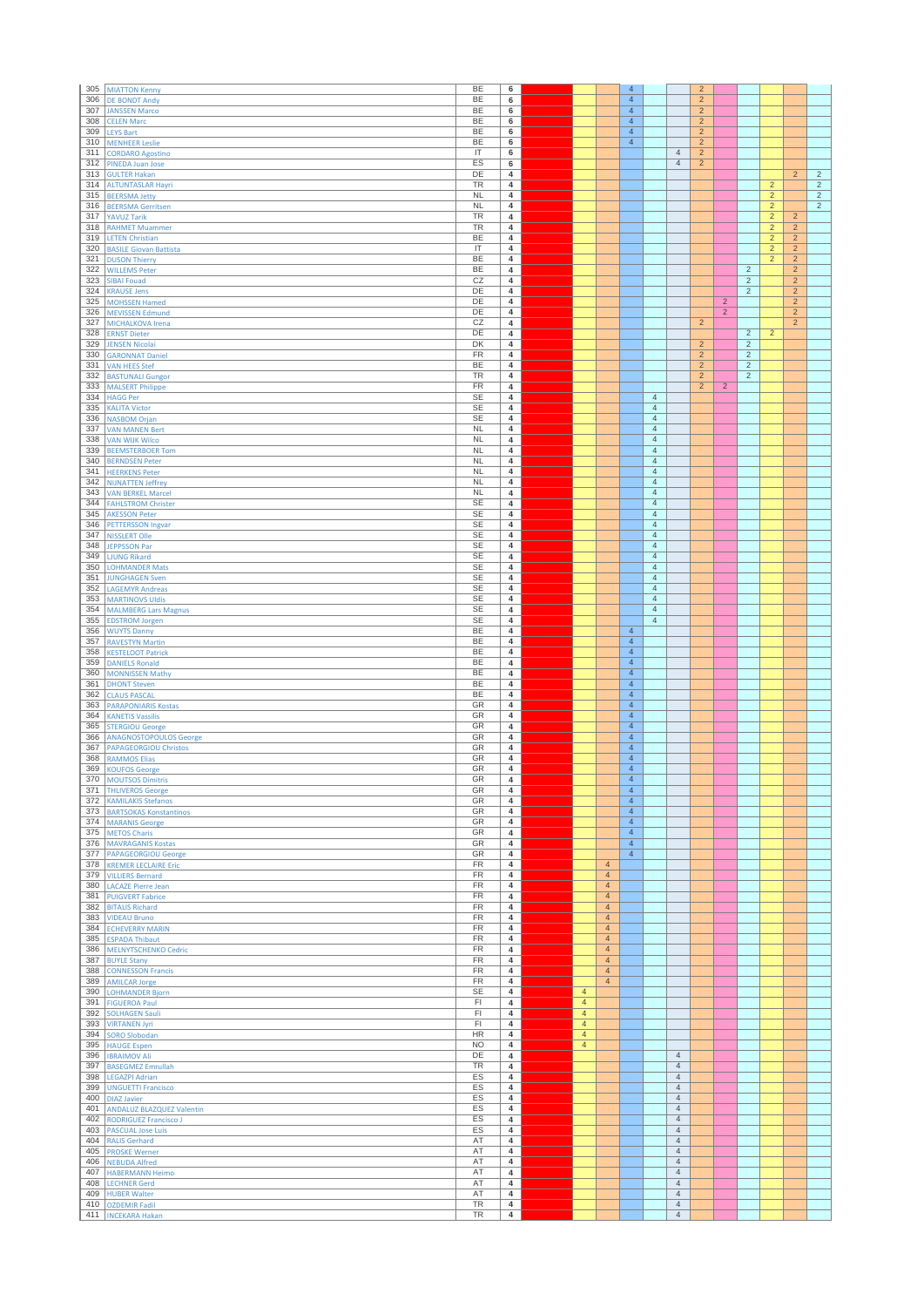| 305        | <b>MIATTON Kenny</b>                                    | BE                                      | 6                                         |                                  |                                  | $\overline{4}$                   |                                  |                                  | $\overline{2}$                   |                                  |                                  |                              |                                  |                                  |
|------------|---------------------------------------------------------|-----------------------------------------|-------------------------------------------|----------------------------------|----------------------------------|----------------------------------|----------------------------------|----------------------------------|----------------------------------|----------------------------------|----------------------------------|------------------------------|----------------------------------|----------------------------------|
| 306        | <b>DE BONDT Andy</b>                                    | <b>BE</b>                               | 6                                         |                                  |                                  | $\overline{4}$                   |                                  |                                  | $\overline{2}$                   |                                  |                                  |                              |                                  |                                  |
| 307        | <b>JANSSEN Marco</b>                                    | BE<br>BE                                | 6                                         |                                  |                                  | $\overline{4}$<br>$\overline{4}$ |                                  |                                  | $\overline{c}$                   |                                  |                                  |                              |                                  |                                  |
| 308<br>309 | <b>CELEN Marc</b><br><b>LEYS Bart</b>                   | <b>BE</b>                               | 6<br>6                                    |                                  |                                  | $\overline{4}$                   |                                  |                                  | $\overline{c}$<br>$\overline{2}$ |                                  |                                  |                              |                                  |                                  |
| 310        | <b>MENHEER Leslie</b>                                   | <b>BE</b>                               | 6                                         |                                  |                                  | $\overline{4}$                   |                                  |                                  | $\overline{2}$                   |                                  |                                  |                              |                                  |                                  |
| 311        | <b>CORDARO Agostino</b>                                 | IT                                      | 6                                         |                                  |                                  |                                  |                                  | $\overline{4}$                   | $\overline{c}$                   |                                  |                                  |                              |                                  |                                  |
| 312        | PINEDA Juan Jose                                        | ES                                      | 6                                         |                                  |                                  |                                  |                                  | $\overline{4}$                   | $\overline{2}$                   |                                  |                                  |                              |                                  |                                  |
| 313<br>314 | <b>GULTER Hakan</b><br><b>ALTUNTASLAR Hayri</b>         | DE<br>TR                                | $\overline{\mathbf{4}}$<br>4              |                                  |                                  |                                  |                                  |                                  |                                  |                                  |                                  | $\overline{2}$               | $\overline{2}$                   | $\overline{2}$<br>$\overline{2}$ |
| 315        | <b>BEERSMA Jetty</b>                                    | <b>NL</b>                               | $\overline{\mathbf{4}}$                   |                                  |                                  |                                  |                                  |                                  |                                  |                                  |                                  | $\overline{2}$               |                                  | $\overline{2}$                   |
| 316        | <b>BEERSMA Gerritsen</b>                                | <b>NL</b>                               | 4                                         |                                  |                                  |                                  |                                  |                                  |                                  |                                  |                                  | $\sqrt{2}$                   |                                  | $\overline{2}$                   |
| 317        | <b>YAVUZ Tarik</b>                                      | <b>TR</b>                               | $\overline{\mathbf{4}}$                   |                                  |                                  |                                  |                                  |                                  |                                  |                                  |                                  | $\overline{2}$               | $\overline{2}$                   |                                  |
| 318        | <b>RAHMET Muammer</b>                                   | <b>TR</b>                               | 4                                         |                                  |                                  |                                  |                                  |                                  |                                  |                                  |                                  | $\overline{2}$               | $\overline{2}$                   |                                  |
| 319<br>320 | <b>LETEN Christian</b><br><b>BASILE Giovan Battista</b> | BE<br>$\ensuremath{\mathsf{IT}}\xspace$ | 4<br>4                                    |                                  |                                  |                                  |                                  |                                  |                                  |                                  |                                  | $\overline{c}$<br>$\sqrt{2}$ | $\overline{2}$<br>$\overline{2}$ |                                  |
| 321        | <b>DUSON Thierry</b>                                    | BE                                      | $\overline{4}$                            |                                  |                                  |                                  |                                  |                                  |                                  |                                  |                                  | $\overline{2}$               | $\overline{2}$                   |                                  |
| 322        | <b>WILLEMS Peter</b>                                    | <b>BE</b>                               | $\overline{4}$                            |                                  |                                  |                                  |                                  |                                  |                                  |                                  | $\overline{2}$                   |                              | $\overline{2}$                   |                                  |
| 323        | <b>SIBAI Fouad</b>                                      | CZ                                      | 4                                         |                                  |                                  |                                  |                                  |                                  |                                  |                                  | $\overline{2}$                   |                              | $\overline{2}$                   |                                  |
| 324        | <b>KRAUSE Jens</b>                                      | DE                                      | $\overline{4}$                            |                                  |                                  |                                  |                                  |                                  |                                  |                                  | $\overline{2}$                   |                              | $\overline{2}$                   |                                  |
| 325<br>326 | <b>MOHSSEN Hamed</b><br><b>MEVISSEN Edmund</b>          | DE<br>DE                                | 4<br>4                                    |                                  |                                  |                                  |                                  |                                  |                                  | $\overline{2}$<br>$\overline{2}$ |                                  |                              | $\overline{2}$<br>$\overline{2}$ |                                  |
| 327        | MICHALKOVA Irena                                        | CZ                                      | 4                                         |                                  |                                  |                                  |                                  |                                  | $\sqrt{2}$                       |                                  |                                  |                              | $\overline{2}$                   |                                  |
| 328        | <b>ERNST Dieter</b>                                     | DE                                      | $\overline{4}$                            |                                  |                                  |                                  |                                  |                                  |                                  |                                  | $\overline{2}$                   | $\overline{c}$               |                                  |                                  |
| 329        | <b>JENSEN Nicolai</b>                                   | DK                                      | $\overline{4}$                            |                                  |                                  |                                  |                                  |                                  | $\overline{c}$                   |                                  | $\overline{2}$                   |                              |                                  |                                  |
| 330        | <b>GARONNAT Daniel</b>                                  | FR                                      | 4                                         |                                  |                                  |                                  |                                  |                                  | $\overline{2}$                   |                                  | $\overline{2}$                   |                              |                                  |                                  |
| 331<br>332 | <b>VAN HEES Stef</b><br><b>BASTUNALI Gungor</b>         | BE<br><b>TR</b>                         | $\overline{4}$<br>$\overline{\mathbf{4}}$ |                                  |                                  |                                  |                                  |                                  | $\overline{2}$<br>$\overline{2}$ |                                  | $\overline{2}$<br>$\overline{2}$ |                              |                                  |                                  |
| 333        | <b>MALSERT Philippe</b>                                 | FR                                      | 4                                         |                                  |                                  |                                  |                                  |                                  | $\overline{2}$                   | $\overline{2}$                   |                                  |                              |                                  |                                  |
| 334        | <b>HAGG Per</b>                                         | <b>SE</b>                               | 4                                         |                                  |                                  |                                  | $\overline{4}$                   |                                  |                                  |                                  |                                  |                              |                                  |                                  |
| 335        | <b>KALITA Victor</b>                                    | <b>SE</b>                               | 4                                         |                                  |                                  |                                  | $\overline{4}$                   |                                  |                                  |                                  |                                  |                              |                                  |                                  |
| 336        | <b>NASBOM Orjan</b>                                     | <b>SE</b>                               | 4                                         |                                  |                                  |                                  | $\sqrt{4}$                       |                                  |                                  |                                  |                                  |                              |                                  |                                  |
| 337<br>338 | <b>VAN MANEN Bert</b><br><b>VAN WIJK Wilco</b>          | <b>NL</b><br>NL                         | 4<br>$\overline{4}$                       |                                  |                                  |                                  | $\overline{4}$<br>$\overline{4}$ |                                  |                                  |                                  |                                  |                              |                                  |                                  |
| 339        | <b>BEEMSTERBOER Tom</b>                                 | <b>NL</b>                               | 4                                         |                                  |                                  |                                  | $\overline{4}$                   |                                  |                                  |                                  |                                  |                              |                                  |                                  |
| 340        | <b>BERNDSEN Peter</b>                                   | <b>NL</b>                               | $\overline{\mathbf{4}}$                   |                                  |                                  |                                  | $\overline{4}$                   |                                  |                                  |                                  |                                  |                              |                                  |                                  |
| 341        | <b>HEERKENS Peter</b>                                   | <b>NL</b>                               | $\overline{\mathbf{4}}$                   |                                  |                                  |                                  | $\overline{4}$                   |                                  |                                  |                                  |                                  |                              |                                  |                                  |
| 342        | <b>NIJNATTEN Jeffrey</b>                                | NL                                      | 4                                         |                                  |                                  |                                  | $\overline{4}$                   |                                  |                                  |                                  |                                  |                              |                                  |                                  |
| 343        | <b>VAN BERKEL Marcel</b>                                | NL                                      | 4<br>4                                    |                                  |                                  |                                  | $\sqrt{4}$<br>$\overline{4}$     |                                  |                                  |                                  |                                  |                              |                                  |                                  |
| 344<br>345 | <b>FAHLSTROM Christer</b><br><b>AKESSON Peter</b>       | SE<br><b>SE</b>                         | $\overline{4}$                            |                                  |                                  |                                  | $\overline{4}$                   |                                  |                                  |                                  |                                  |                              |                                  |                                  |
| 346        | <b>PETTERSSON Ingvar</b>                                | <b>SE</b>                               | 4                                         |                                  |                                  |                                  | $\overline{4}$                   |                                  |                                  |                                  |                                  |                              |                                  |                                  |
| 347        | <b>NISSLERT Olle</b>                                    | <b>SE</b>                               | 4                                         |                                  |                                  |                                  | $\overline{4}$                   |                                  |                                  |                                  |                                  |                              |                                  |                                  |
| 348        | <b>JEPPSSON Par</b>                                     | <b>SE</b>                               | 4                                         |                                  |                                  |                                  | $\overline{4}$                   |                                  |                                  |                                  |                                  |                              |                                  |                                  |
| 349        | <b>LJUNG Rikard</b>                                     | <b>SE</b><br><b>SE</b>                  | 4                                         |                                  |                                  |                                  | $\overline{4}$<br>$\overline{4}$ |                                  |                                  |                                  |                                  |                              |                                  |                                  |
| 350<br>351 | <b>LOHMANDER Mats</b><br><b>JUNGHAGEN Sven</b>          | <b>SE</b>                               | 4<br>4                                    |                                  |                                  |                                  | $\overline{4}$                   |                                  |                                  |                                  |                                  |                              |                                  |                                  |
| 352        | <b>LAGEMYR Andreas</b>                                  | <b>SE</b>                               | 4                                         |                                  |                                  |                                  | $\sqrt{4}$                       |                                  |                                  |                                  |                                  |                              |                                  |                                  |
| 353        | <b>MARTINOVS UIdis</b>                                  | <b>SE</b>                               | 4                                         |                                  |                                  |                                  | $\overline{4}$                   |                                  |                                  |                                  |                                  |                              |                                  |                                  |
| 354        | <b>MALMBERG Lars Magnus</b>                             | <b>SE</b>                               | 4                                         |                                  |                                  |                                  | $\overline{4}$                   |                                  |                                  |                                  |                                  |                              |                                  |                                  |
| 355        | <b>EDSTROM Jorgen</b>                                   | <b>SE</b>                               | 4                                         |                                  |                                  |                                  | $\overline{4}$                   |                                  |                                  |                                  |                                  |                              |                                  |                                  |
| 356<br>357 | <b>WUYTS Danny</b><br><b>RAVESTYN Martin</b>            | BE<br><b>BE</b>                         | $\overline{\mathbf{4}}$<br>4              |                                  |                                  | $\overline{4}$<br>$\overline{4}$ |                                  |                                  |                                  |                                  |                                  |                              |                                  |                                  |
| 358        | <b>KESTELOOT Patrick</b>                                | <b>BE</b>                               | 4                                         |                                  |                                  | $\overline{4}$                   |                                  |                                  |                                  |                                  |                                  |                              |                                  |                                  |
| 359        | <b>DANIELS Ronald</b>                                   | BE                                      | 4                                         |                                  |                                  | $\overline{4}$                   |                                  |                                  |                                  |                                  |                                  |                              |                                  |                                  |
| 360        | <b>MONNISSEN Mathy</b>                                  | BE                                      | 4                                         |                                  |                                  | $\overline{4}$                   |                                  |                                  |                                  |                                  |                                  |                              |                                  |                                  |
| 361<br>362 | <b>DHONT Steven</b>                                     | <b>BE</b><br>BE                         | $\overline{4}$                            |                                  |                                  | $\overline{4}$<br>$\overline{4}$ |                                  |                                  |                                  |                                  |                                  |                              |                                  |                                  |
| 363        | <b>CLAUS PASCAL</b><br><b>PARAPONIARIS Kostas</b>       | GR                                      | 4<br>$\overline{4}$                       |                                  |                                  | $\sqrt{4}$                       |                                  |                                  |                                  |                                  |                                  |                              |                                  |                                  |
| 364        | <b>KANETIS Vassilis</b>                                 | GR                                      | 4                                         |                                  |                                  | $\overline{4}$                   |                                  |                                  |                                  |                                  |                                  |                              |                                  |                                  |
| 365        | <b>STERGIOU George</b>                                  | GR                                      | $\overline{4}$                            |                                  |                                  | $\overline{4}$                   |                                  |                                  |                                  |                                  |                                  |                              |                                  |                                  |
| 366        | <b>ANAGNOSTOPOULOS George</b>                           | GR                                      | $\overline{4}$                            |                                  |                                  | $\overline{4}$                   |                                  |                                  |                                  |                                  |                                  |                              |                                  |                                  |
| 367<br>368 | <b>PAPAGEORGIOU Christos</b>                            | GR<br>GR                                | 4<br>4                                    |                                  |                                  | $\overline{4}$<br>$\overline{4}$ |                                  |                                  |                                  |                                  |                                  |                              |                                  |                                  |
| 369        | <b>RAMMOS Elias</b><br><b>KOUFOS George</b>             | GR                                      | 4                                         |                                  |                                  | $\overline{4}$                   |                                  |                                  |                                  |                                  |                                  |                              |                                  |                                  |
| 370        | <b>MOUTSOS Dimitris</b>                                 | GR                                      | $\overline{4}$                            |                                  |                                  | $\overline{4}$                   |                                  |                                  |                                  |                                  |                                  |                              |                                  |                                  |
|            | 371 THLIVEROS George                                    | GR                                      | 4                                         |                                  |                                  | $\overline{4}$                   |                                  |                                  |                                  |                                  |                                  |                              |                                  |                                  |
| 372        | <b>KAMILAKIS Stefanos</b>                               | GR                                      | $\overline{4}$                            |                                  |                                  | $\overline{4}$                   |                                  |                                  |                                  |                                  |                                  |                              |                                  |                                  |
|            | 373 BARTSOKAS Konstantinos<br>374 MARANIS George        | GR<br>GR                                | $\overline{4}$<br>$\overline{4}$          |                                  |                                  | $\overline{4}$<br>$\overline{4}$ |                                  |                                  |                                  |                                  |                                  |                              |                                  |                                  |
| 375        | <b>METOS Charis</b>                                     | GR                                      | 4                                         |                                  |                                  | $\overline{4}$                   |                                  |                                  |                                  |                                  |                                  |                              |                                  |                                  |
|            | 376 MAVRAGANIS Kostas                                   | GR                                      | 4                                         |                                  |                                  | $\overline{4}$                   |                                  |                                  |                                  |                                  |                                  |                              |                                  |                                  |
|            | 377 PAPAGEORGIOU George                                 | GR                                      | $\overline{4}$                            |                                  |                                  | $\overline{4}$                   |                                  |                                  |                                  |                                  |                                  |                              |                                  |                                  |
| 378        | <b>KREMER LECLAIRE Eric</b>                             | FR                                      | 4                                         |                                  | $\overline{4}$                   |                                  |                                  |                                  |                                  |                                  |                                  |                              |                                  |                                  |
| 379<br>380 | <b>VILLIERS Bernard</b><br><b>LACAZE Pierre Jean</b>    | FR<br><b>FR</b>                         | $\overline{4}$<br>4                       |                                  | $\overline{4}$<br>$\overline{4}$ |                                  |                                  |                                  |                                  |                                  |                                  |                              |                                  |                                  |
| 381        | <b>PUIGVERT Fabrice</b>                                 | FR                                      | 4                                         |                                  | $\overline{4}$                   |                                  |                                  |                                  |                                  |                                  |                                  |                              |                                  |                                  |
| 382        | <b>BITALIS Richard</b>                                  | FR                                      | 4                                         |                                  | $\overline{4}$                   |                                  |                                  |                                  |                                  |                                  |                                  |                              |                                  |                                  |
| 383        | <b>VIDEAU Bruno</b>                                     | <b>FR</b>                               | 4                                         |                                  | $\overline{4}$                   |                                  |                                  |                                  |                                  |                                  |                                  |                              |                                  |                                  |
| 384<br>385 | <b>ECHEVERRY MARIN</b>                                  | FR<br>FR                                | 4<br>4                                    |                                  | $\overline{4}$<br>$\overline{4}$ |                                  |                                  |                                  |                                  |                                  |                                  |                              |                                  |                                  |
| 386        | <b>ESPADA Thibaut</b><br><b>MELNYTSCHENKO Cedric</b>    | FR                                      | $\overline{4}$                            |                                  | $\overline{4}$                   |                                  |                                  |                                  |                                  |                                  |                                  |                              |                                  |                                  |
| 387        | <b>BUYLE Stany</b>                                      | FR                                      | 4                                         |                                  | $\overline{4}$                   |                                  |                                  |                                  |                                  |                                  |                                  |                              |                                  |                                  |
| 388        | <b>CONNESSON Francis</b>                                | FR                                      | $\overline{4}$                            |                                  | $\overline{4}$                   |                                  |                                  |                                  |                                  |                                  |                                  |                              |                                  |                                  |
| 389        | <b>AMILCAR Jorge</b>                                    | FR                                      | $\overline{4}$                            |                                  | $\overline{4}$                   |                                  |                                  |                                  |                                  |                                  |                                  |                              |                                  |                                  |
| 390<br>391 | <b>LOHMANDER Bjorn</b>                                  | <b>SE</b><br>FI                         | 4<br>4                                    | $\overline{4}$<br>$\overline{4}$ |                                  |                                  |                                  |                                  |                                  |                                  |                                  |                              |                                  |                                  |
| 392        | <b>FIGUEROA Paul</b><br><b>SOLHAGEN Sauli</b>           | FI                                      | 4                                         | $\overline{4}$                   |                                  |                                  |                                  |                                  |                                  |                                  |                                  |                              |                                  |                                  |
| 393        | <b>VIRTANEN Jyri</b>                                    | F1                                      | $\overline{4}$                            | $\overline{4}$                   |                                  |                                  |                                  |                                  |                                  |                                  |                                  |                              |                                  |                                  |
| 394        | <b>SORO Slobodan</b>                                    | HR                                      | 4                                         | $\overline{4}$                   |                                  |                                  |                                  |                                  |                                  |                                  |                                  |                              |                                  |                                  |
| 395        | <b>HAUGE Espen</b>                                      | <b>NO</b>                               | 4                                         | $\overline{4}$                   |                                  |                                  |                                  |                                  |                                  |                                  |                                  |                              |                                  |                                  |
| 396<br>397 | <b>IBRAIMOV Ali</b>                                     | DE<br><b>TR</b>                         | $\overline{4}$<br>$\overline{4}$          |                                  |                                  |                                  |                                  | $\overline{4}$<br>$\overline{4}$ |                                  |                                  |                                  |                              |                                  |                                  |
| 398        | <b>BASEGMEZ Emrullah</b><br><b>LEGAZPI Adrian</b>       | ES                                      | 4                                         |                                  |                                  |                                  |                                  | $\overline{4}$                   |                                  |                                  |                                  |                              |                                  |                                  |
| 399        | <b>UNGUETTI Francisco</b>                               | ES                                      | $\overline{4}$                            |                                  |                                  |                                  |                                  | $\overline{4}$                   |                                  |                                  |                                  |                              |                                  |                                  |
| 400        | <b>DIAZ Javier</b>                                      | ES                                      | 4                                         |                                  |                                  |                                  |                                  | $\overline{4}$                   |                                  |                                  |                                  |                              |                                  |                                  |
| 401        | <b>ANDALUZ BLAZQUEZ Valentin</b>                        | ES                                      | 4                                         |                                  |                                  |                                  |                                  | $\overline{4}$                   |                                  |                                  |                                  |                              |                                  |                                  |
| 402<br>403 | RODRIGUEZ Francisco J                                   | ES                                      | $\overline{4}$<br>4                       |                                  |                                  |                                  |                                  | $\overline{4}$<br>$\overline{4}$ |                                  |                                  |                                  |                              |                                  |                                  |
| 404        | <b>PASCUAL Jose Luis</b><br><b>RALIS Gerhard</b>        | ES<br>AT                                | $\overline{\mathbf{4}}$                   |                                  |                                  |                                  |                                  | $\overline{4}$                   |                                  |                                  |                                  |                              |                                  |                                  |
|            | 405 PROSKE Werner                                       | AT                                      | $\overline{4}$                            |                                  |                                  |                                  |                                  | $\overline{4}$                   |                                  |                                  |                                  |                              |                                  |                                  |
|            | 406 NEBUDA Alfred                                       | AT                                      | 4                                         |                                  |                                  |                                  |                                  | $\overline{4}$                   |                                  |                                  |                                  |                              |                                  |                                  |
| 407        | <b>HABERMANN Heimo</b>                                  | AT                                      | 4                                         |                                  |                                  |                                  |                                  | $\sqrt{4}$                       |                                  |                                  |                                  |                              |                                  |                                  |
| 408<br>409 | <b>LECHNER Gerd</b><br><b>HUBER Walter</b>              | AT<br>AT                                | 4<br>$\overline{4}$                       |                                  |                                  |                                  |                                  | $\overline{4}$<br>$\overline{4}$ |                                  |                                  |                                  |                              |                                  |                                  |
| 410        | <b>OZDEMIR Fadil</b>                                    | <b>TR</b>                               | $\overline{4}$                            |                                  |                                  |                                  |                                  | $\overline{4}$                   |                                  |                                  |                                  |                              |                                  |                                  |
|            | 411   INCEKARA Hakan                                    | TR                                      | $\overline{4}$                            |                                  |                                  |                                  |                                  | $\overline{4}$                   |                                  |                                  |                                  |                              |                                  |                                  |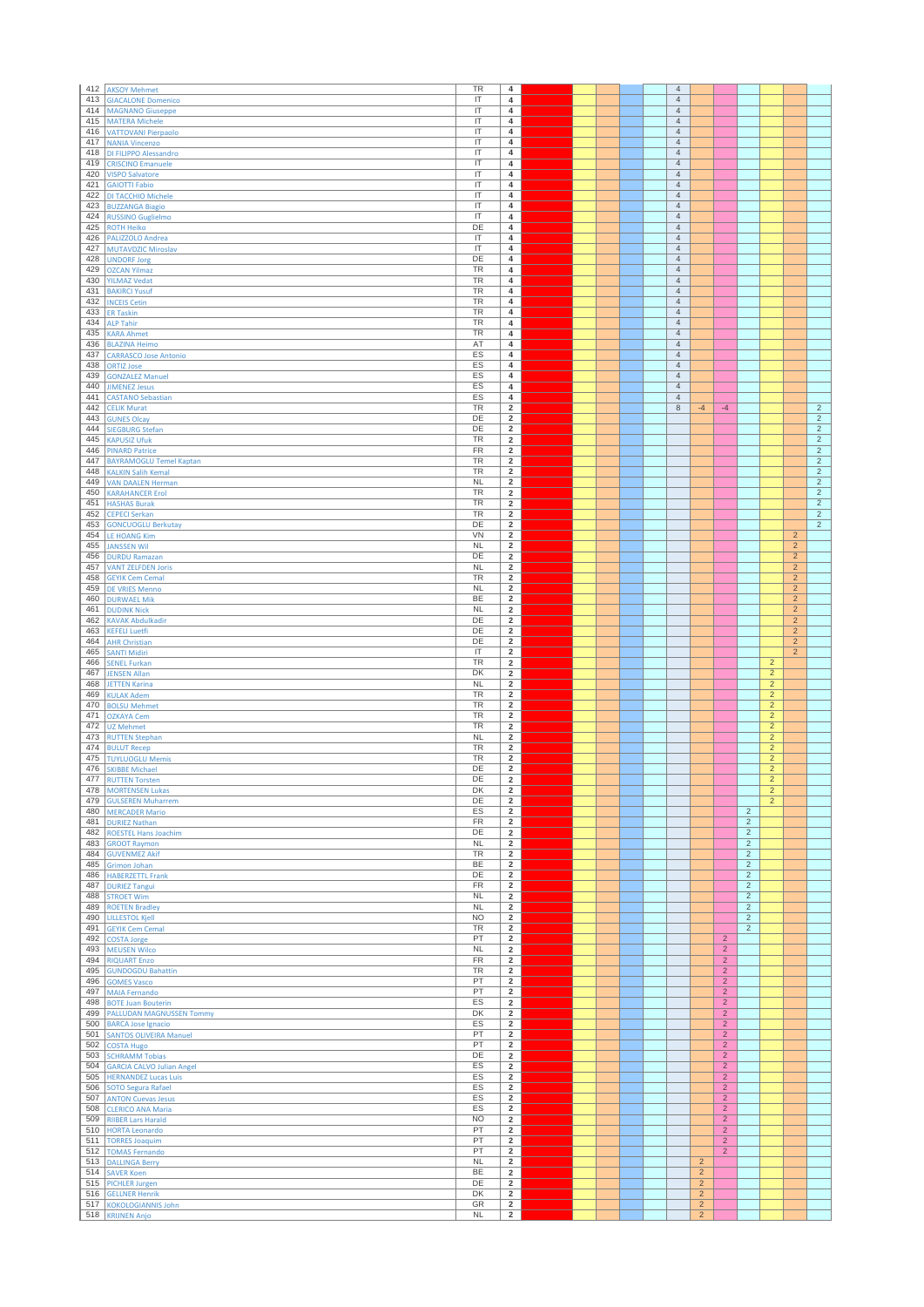| 412        | <b>AKSOY Mehmet</b>                                     | TR                                      | 4                                         |  |  | $\overline{4}$                   |                                  |                                  |                                  |                                  |                                  |                                  |
|------------|---------------------------------------------------------|-----------------------------------------|-------------------------------------------|--|--|----------------------------------|----------------------------------|----------------------------------|----------------------------------|----------------------------------|----------------------------------|----------------------------------|
| 413        | <b>GIACALONE Domenico</b>                               | IT                                      | $\overline{4}$                            |  |  | $\overline{4}$                   |                                  |                                  |                                  |                                  |                                  |                                  |
| 414        | <b>MAGNANO Giuseppe</b>                                 | $\overline{\mathsf{I}}$                 | $\overline{\mathbf{4}}$                   |  |  | $\overline{4}$                   |                                  |                                  |                                  |                                  |                                  |                                  |
| 415        | <b>MATERA Michele</b>                                   | IT                                      | $\overline{\mathbf{4}}$                   |  |  | $\overline{4}$                   |                                  |                                  |                                  |                                  |                                  |                                  |
| 416        | <b>VATTOVANI Pierpaolo</b>                              | IT                                      | $\overline{4}$                            |  |  | $\overline{4}$                   |                                  |                                  |                                  |                                  |                                  |                                  |
| 417        | <b>NANIA Vincenzo</b>                                   | ΙΤ                                      | $\overline{\mathbf{4}}$                   |  |  | $\overline{4}$                   |                                  |                                  |                                  |                                  |                                  |                                  |
| 418<br>419 | DI FILIPPO Alessandro                                   | IT<br>IT                                | 4<br>$\overline{\mathbf{4}}$              |  |  | $\overline{4}$<br>$\sqrt{4}$     |                                  |                                  |                                  |                                  |                                  |                                  |
| 420        | <b>CRISCINO Emanuele</b><br><b>VISPO Salvatore</b>      | IT                                      | 4                                         |  |  | $\overline{4}$                   |                                  |                                  |                                  |                                  |                                  |                                  |
| 421        | <b>GAIOTTI Fabio</b>                                    | $\overline{\mathsf{I}}$                 | $\overline{4}$                            |  |  | $\overline{4}$                   |                                  |                                  |                                  |                                  |                                  |                                  |
| 422        | DI TACCHIO Michele                                      | IT                                      | $\overline{\mathbf{4}}$                   |  |  | $\overline{4}$                   |                                  |                                  |                                  |                                  |                                  |                                  |
| 423        | <b>BUZZANGA Biagio</b>                                  | IT                                      | $\overline{\mathbf{4}}$                   |  |  | $\overline{4}$                   |                                  |                                  |                                  |                                  |                                  |                                  |
| 424        | <b>RUSSINO Guglielmo</b>                                | ΙΤ                                      | $\overline{4}$                            |  |  | $\overline{4}$                   |                                  |                                  |                                  |                                  |                                  |                                  |
| 425        | <b>ROTH Heiko</b>                                       | DE                                      | 4                                         |  |  | 4                                |                                  |                                  |                                  |                                  |                                  |                                  |
| 426        | PALIZZOLO Andrea                                        | IT                                      | $\overline{\mathbf{4}}$<br>$\overline{4}$ |  |  | $\sqrt{4}$                       |                                  |                                  |                                  |                                  |                                  |                                  |
| 427<br>428 | MUTAVDZIC Miroslav<br><b>UNDORF Jorg</b>                | IT<br>DE                                | $\overline{4}$                            |  |  | $\overline{4}$<br>$\overline{4}$ |                                  |                                  |                                  |                                  |                                  |                                  |
| 429        | <b>OZCAN Yilmaz</b>                                     | TR                                      | $\overline{\mathbf{4}}$                   |  |  | $\overline{4}$                   |                                  |                                  |                                  |                                  |                                  |                                  |
| 430        | <b>YILMAZ Vedat</b>                                     | TR                                      | $\overline{4}$                            |  |  | $\overline{4}$                   |                                  |                                  |                                  |                                  |                                  |                                  |
| 431        | <b>BAKIRCI Yusuf</b>                                    | <b>TR</b>                               | $\overline{\mathbf{4}}$                   |  |  | $\overline{4}$                   |                                  |                                  |                                  |                                  |                                  |                                  |
| 432        | <b>INCEIS Cetin</b>                                     | TR                                      | 4                                         |  |  | 4                                |                                  |                                  |                                  |                                  |                                  |                                  |
| 433        | <b>ER Taskin</b>                                        | TR                                      | $\overline{\mathbf{4}}$                   |  |  | $\overline{4}$                   |                                  |                                  |                                  |                                  |                                  |                                  |
| 434        | <b>ALP Tahir</b>                                        | <b>TR</b>                               | $\overline{4}$                            |  |  | $\overline{4}$                   |                                  |                                  |                                  |                                  |                                  |                                  |
| 435        | <b>KARA Ahmet</b>                                       | TR                                      | $\overline{4}$                            |  |  | $\overline{4}$                   |                                  |                                  |                                  |                                  |                                  |                                  |
| 436<br>437 | <b>BLAZINA Heimo</b>                                    | AT<br>ES                                | $\overline{\mathbf{4}}$<br>$\overline{4}$ |  |  | $\overline{4}$<br>$\overline{4}$ |                                  |                                  |                                  |                                  |                                  |                                  |
| 438        | <b>CARRASCO Jose Antonio</b><br><b>ORTIZ Jose</b>       | ES                                      | $\overline{\mathbf{4}}$                   |  |  | $\overline{4}$                   |                                  |                                  |                                  |                                  |                                  |                                  |
| 439        | <b>GONZALEZ Manuel</b>                                  | ES                                      | 4                                         |  |  | 4                                |                                  |                                  |                                  |                                  |                                  |                                  |
| 440        | <b>JIMENEZ Jesus</b>                                    | ES                                      | $\overline{\mathbf{4}}$                   |  |  | $\overline{4}$                   |                                  |                                  |                                  |                                  |                                  |                                  |
| 441        | <b>CASTANO Sebastian</b>                                | ES                                      | $\overline{4}$                            |  |  | $\overline{4}$                   |                                  |                                  |                                  |                                  |                                  |                                  |
| 442        | <b>CELIK Murat</b>                                      | TR                                      | $\overline{2}$                            |  |  | 8                                | $-4$                             | $-4$                             |                                  |                                  |                                  | $\overline{c}$                   |
| 443        | <b>GUNES Olcay</b>                                      | DE                                      | $\overline{2}$                            |  |  |                                  |                                  |                                  |                                  |                                  |                                  | $\sqrt{2}$                       |
| 444        | <b>SIEGBURG Stefan</b>                                  | DE                                      | $\overline{2}$                            |  |  |                                  |                                  |                                  |                                  |                                  |                                  | $\overline{2}$                   |
| 445        | <b>KAPUSIZ Ufuk</b>                                     | <b>TR</b><br>FR                         | $\overline{2}$                            |  |  |                                  |                                  |                                  |                                  |                                  |                                  | $\overline{2}$<br>$\overline{2}$ |
| 446<br>447 | <b>PINARD Patrice</b><br><b>BAYRAMOGLU Temel Kaptan</b> | TR                                      | $\overline{2}$<br>$\overline{2}$          |  |  |                                  |                                  |                                  |                                  |                                  |                                  | $\sqrt{2}$                       |
| 448        | <b>KALKIN Salih Kemal</b>                               | TR                                      | $\overline{2}$                            |  |  |                                  |                                  |                                  |                                  |                                  |                                  | $\overline{2}$                   |
| 449        | <b>VAN DAALEN Herman</b>                                | <b>NL</b>                               | $\overline{2}$                            |  |  |                                  |                                  |                                  |                                  |                                  |                                  | $\overline{2}$                   |
| 450        | <b>KARAHANCER Erol</b>                                  | TR                                      | $\overline{2}$                            |  |  |                                  |                                  |                                  |                                  |                                  |                                  | $\sqrt{2}$                       |
| 451        | <b>HASHAS Burak</b>                                     | TR                                      | $\overline{\mathbf{2}}$                   |  |  |                                  |                                  |                                  |                                  |                                  |                                  | $\overline{2}$                   |
| 452        | <b>CEPECI Serkan</b>                                    | TR                                      | $\overline{2}$                            |  |  |                                  |                                  |                                  |                                  |                                  |                                  | $\overline{2}$                   |
| 453        | <b>GONCUOGLU Berkutay</b>                               | DE                                      | $\overline{2}$                            |  |  |                                  |                                  |                                  |                                  |                                  |                                  | $\overline{2}$                   |
| 454        | <b>LE HOANG Kim</b>                                     | VN                                      | $\overline{\mathbf{2}}$                   |  |  |                                  |                                  |                                  |                                  |                                  | $\overline{2}$                   |                                  |
| 455<br>456 | <b>JANSSEN Wil</b>                                      | <b>NL</b><br>DE                         | $\overline{2}$                            |  |  |                                  |                                  |                                  |                                  |                                  | $\overline{2}$<br>$\overline{2}$ |                                  |
| 457        | <b>DURDU Ramazan</b><br><b>VANT ZELFDEN Joris</b>       | <b>NL</b>                               | $\overline{2}$<br>$\overline{2}$          |  |  |                                  |                                  |                                  |                                  |                                  | $\overline{2}$                   |                                  |
| 458        | <b>GEYIK Cem Cemal</b>                                  | TR                                      | $\overline{2}$                            |  |  |                                  |                                  |                                  |                                  |                                  | $\sqrt{2}$                       |                                  |
| 459        | <b>DE VRIES Menno</b>                                   | <b>NL</b>                               | $\overline{2}$                            |  |  |                                  |                                  |                                  |                                  |                                  | $\overline{2}$                   |                                  |
| 460        | <b>DURWAEL Mik</b>                                      | BE                                      | $\overline{2}$                            |  |  |                                  |                                  |                                  |                                  |                                  | $\overline{2}$                   |                                  |
| 461        | <b>DUDINK Nick</b>                                      | <b>NL</b>                               | $\overline{2}$                            |  |  |                                  |                                  |                                  |                                  |                                  | $\overline{2}$                   |                                  |
| 462        | <b>KAVAK Abdulkadir</b>                                 | DE                                      | $\overline{2}$                            |  |  |                                  |                                  |                                  |                                  |                                  | $\overline{2}$                   |                                  |
| 463        | <b>KEFELI Luetfi</b>                                    | DE                                      | $\overline{2}$                            |  |  |                                  |                                  |                                  |                                  |                                  | $\overline{2}$                   |                                  |
| 464        | <b>AHR Christian</b>                                    | DE<br>$\overline{\mathsf{I}\mathsf{T}}$ | $\overline{2}$                            |  |  |                                  |                                  |                                  |                                  |                                  | $\overline{2}$<br>$\overline{2}$ |                                  |
| 465<br>466 | <b>SANTI Midiri</b>                                     | <b>TR</b>                               | $\overline{2}$<br>$\overline{2}$          |  |  |                                  |                                  |                                  |                                  | $\overline{2}$                   |                                  |                                  |
| 467        | <b>SENEL Furkan</b><br><b>JENSEN Allan</b>              | DK                                      | $\overline{2}$                            |  |  |                                  |                                  |                                  |                                  | $\sqrt{2}$                       |                                  |                                  |
| 468        | <b>JETTEN Karina</b>                                    | <b>NL</b>                               | $\overline{2}$                            |  |  |                                  |                                  |                                  |                                  | $\overline{2}$                   |                                  |                                  |
| 469        | <b>KULAK Adem</b>                                       | <b>TR</b>                               | $\overline{2}$                            |  |  |                                  |                                  |                                  |                                  | $\overline{2}$                   |                                  |                                  |
| 470        | <b>BOLSU Mehmet</b>                                     | <b>TR</b>                               | $\overline{2}$                            |  |  |                                  |                                  |                                  |                                  | $\overline{2}$                   |                                  |                                  |
| 471        | <b>OZKAYA Cem</b>                                       | TR                                      | $\overline{2}$                            |  |  |                                  |                                  |                                  |                                  | $\overline{2}$                   |                                  |                                  |
| 472        | <b>UZ Mehmet</b>                                        | TR                                      | $\overline{2}$                            |  |  |                                  |                                  |                                  |                                  | $\overline{2}$                   |                                  |                                  |
| 473        | <b>RUTTEN Stephan</b>                                   | <b>NL</b>                               | $\overline{2}$                            |  |  |                                  |                                  |                                  |                                  | $\overline{2}$                   |                                  |                                  |
| 474<br>475 | <b>BULUT Recep</b>                                      | TR<br>TR                                | $\overline{2}$<br>$\overline{2}$          |  |  |                                  |                                  |                                  |                                  | $\overline{c}$<br>$\overline{2}$ |                                  |                                  |
| 476        | <b>TUYLUOGLU Memis</b><br><b>SKIBBE Michael</b>         | DE                                      | $\overline{2}$                            |  |  |                                  |                                  |                                  |                                  | $\overline{2}$                   |                                  |                                  |
|            | 477 RUTTEN Torsten                                      | DE                                      | 2                                         |  |  |                                  |                                  |                                  |                                  | z                                |                                  |                                  |
|            | 478   MORTENSEN Lukas                                   | DK                                      | $\overline{2}$                            |  |  |                                  |                                  |                                  |                                  | $\overline{2}$                   |                                  |                                  |
| 479        | <b>GULSEREN</b> Muharrem                                | DE                                      | $\overline{2}$                            |  |  |                                  |                                  |                                  |                                  | $\overline{2}$                   |                                  |                                  |
|            | 480 MERCADER Mario                                      | ES                                      | $\overline{2}$                            |  |  |                                  |                                  |                                  | $\overline{2}$                   |                                  |                                  |                                  |
| 481        | <b>DURIEZ Nathan</b><br>482 ROESTEL Hans Joachim        | FR<br>DE                                | $\overline{2}$<br>$\overline{2}$          |  |  |                                  |                                  |                                  | $\overline{2}$<br>$\overline{2}$ |                                  |                                  |                                  |
|            | 483 GROOT Raymon                                        | NL                                      | $\overline{2}$                            |  |  |                                  |                                  |                                  | $\overline{2}$                   |                                  |                                  |                                  |
|            | 484 GUVENMEZ Akif                                       | TR                                      | $\overline{2}$                            |  |  |                                  |                                  |                                  | $\overline{2}$                   |                                  |                                  |                                  |
| 485        | Grimon Johan                                            | <b>BE</b>                               | $\overline{2}$                            |  |  |                                  |                                  |                                  | $\overline{2}$                   |                                  |                                  |                                  |
| 486        | <b>HABERZETTL Frank</b>                                 | DE                                      | $\overline{2}$                            |  |  |                                  |                                  |                                  | $\overline{2}$                   |                                  |                                  |                                  |
| 487        | <b>DURIEZ Tangui</b>                                    | FR                                      | $\overline{2}$                            |  |  |                                  |                                  |                                  | $\overline{2}$                   |                                  |                                  |                                  |
| 488        | <b>STROET Wim</b>                                       | NL                                      | $\overline{2}$                            |  |  |                                  |                                  |                                  | $\overline{2}$                   |                                  |                                  |                                  |
| 489        | <b>ROETEN Bradley</b>                                   | NL                                      | $\overline{2}$                            |  |  |                                  |                                  |                                  | $\overline{2}$                   |                                  |                                  |                                  |
| 490<br>491 | <b>LILLESTOL Kjell</b><br><b>GEYIK Cem Cemal</b>        | NO<br>TR                                | $\overline{2}$<br>$\overline{2}$          |  |  |                                  |                                  |                                  | $\overline{2}$<br>$\overline{2}$ |                                  |                                  |                                  |
| 492        | <b>COSTA Jorge</b>                                      | PT                                      | $\overline{2}$                            |  |  |                                  |                                  | $\overline{2}$                   |                                  |                                  |                                  |                                  |
| 493        | <b>MEUSEN Wilco</b>                                     | <b>NL</b>                               | $\overline{2}$                            |  |  |                                  |                                  | $\overline{2}$                   |                                  |                                  |                                  |                                  |
| 494        | <b>RIQUART Enzo</b>                                     | FR                                      | $\overline{2}$                            |  |  |                                  |                                  | $\overline{2}$                   |                                  |                                  |                                  |                                  |
| 495        | <b>GUNDOGDU Bahattin</b>                                | TR                                      | $\overline{2}$                            |  |  |                                  |                                  | $\overline{2}$                   |                                  |                                  |                                  |                                  |
| 496        | <b>GOMES Vasco</b>                                      | PT                                      | $\overline{2}$                            |  |  |                                  |                                  | $\overline{2}$                   |                                  |                                  |                                  |                                  |
| 497        | <b>MAIA Fernando</b>                                    | PT                                      | $\overline{2}$                            |  |  |                                  |                                  | $\overline{2}$                   |                                  |                                  |                                  |                                  |
| 499        | 498 BOTE Juan Bouterin                                  | ES<br>DK                                | $\overline{2}$<br>$\overline{2}$          |  |  |                                  |                                  | $\overline{2}$<br>$\overline{2}$ |                                  |                                  |                                  |                                  |
| 500        | PALLUDAN MAGNUSSEN Tommy<br><b>BARCA Jose Ignacio</b>   | ES                                      | $\overline{2}$                            |  |  |                                  |                                  | $\overline{2}$                   |                                  |                                  |                                  |                                  |
| 501        | <b>SANTOS OLIVEIRA Manuel</b>                           | PT                                      | $\overline{2}$                            |  |  |                                  |                                  | $\overline{2}$                   |                                  |                                  |                                  |                                  |
| 502        |                                                         | PT                                      | $\overline{2}$                            |  |  |                                  |                                  | $\overline{2}$                   |                                  |                                  |                                  |                                  |
|            | <b>COSTA Hugo</b>                                       |                                         | $\overline{2}$                            |  |  |                                  |                                  |                                  |                                  |                                  |                                  |                                  |
| 503        | <b>SCHRAMM Tobias</b>                                   | DE                                      |                                           |  |  |                                  |                                  | $\overline{2}$                   |                                  |                                  |                                  |                                  |
| 504        | <b>GARCIA CALVO Julian Angel</b>                        | ES                                      | $\overline{2}$                            |  |  |                                  |                                  | $\overline{2}$                   |                                  |                                  |                                  |                                  |
|            | 505 HERNANDEZ Lucas Luis                                | ES                                      | $\overline{2}$                            |  |  |                                  |                                  | $\overline{2}$                   |                                  |                                  |                                  |                                  |
| 506        | <b>SOTO Segura Rafael</b>                               | ES                                      | $\overline{2}$                            |  |  |                                  |                                  | $\overline{2}$                   |                                  |                                  |                                  |                                  |
| 507        | <b>ANTON Cuevas Jesus</b>                               | ES                                      | $\overline{2}$                            |  |  |                                  |                                  | $\overline{2}$                   |                                  |                                  |                                  |                                  |
| 508<br>509 | <b>CLERICO ANA Maria</b>                                | ES<br>NO.                               | $\overline{2}$                            |  |  |                                  |                                  | $\overline{2}$                   |                                  |                                  |                                  |                                  |
| 510        | <b>RIIBER Lars Harald</b>                               | PT                                      | $\overline{2}$<br>$\overline{2}$          |  |  |                                  |                                  | $\overline{2}$<br>$\overline{2}$ |                                  |                                  |                                  |                                  |
|            | <b>HORTA Leonardo</b><br>511   TORRES Joaquim           | PT                                      | $\overline{2}$                            |  |  |                                  |                                  | $\overline{2}$                   |                                  |                                  |                                  |                                  |
|            | 512   TOMAS Fernando                                    | PT                                      | $\overline{2}$                            |  |  |                                  |                                  | $\overline{2}$                   |                                  |                                  |                                  |                                  |
|            | 513 DALLINGA Berry                                      | <b>NL</b>                               | $\overline{2}$                            |  |  |                                  | $\overline{2}$                   |                                  |                                  |                                  |                                  |                                  |
|            | 514 SAVER Koen                                          | BE                                      | $\overline{2}$                            |  |  |                                  | $\overline{c}$                   |                                  |                                  |                                  |                                  |                                  |
| 515        | <b>PICHLER Jurgen</b>                                   | DE                                      | $\overline{2}$                            |  |  |                                  | $\overline{2}$                   |                                  |                                  |                                  |                                  |                                  |
| 516<br>517 | <b>GELLNER Henrik</b><br><b>KOKOLOGIANNIS John</b>      | DK<br>GR                                | $\overline{2}$<br>$\overline{2}$          |  |  |                                  | $\overline{2}$<br>$\overline{2}$ |                                  |                                  |                                  |                                  |                                  |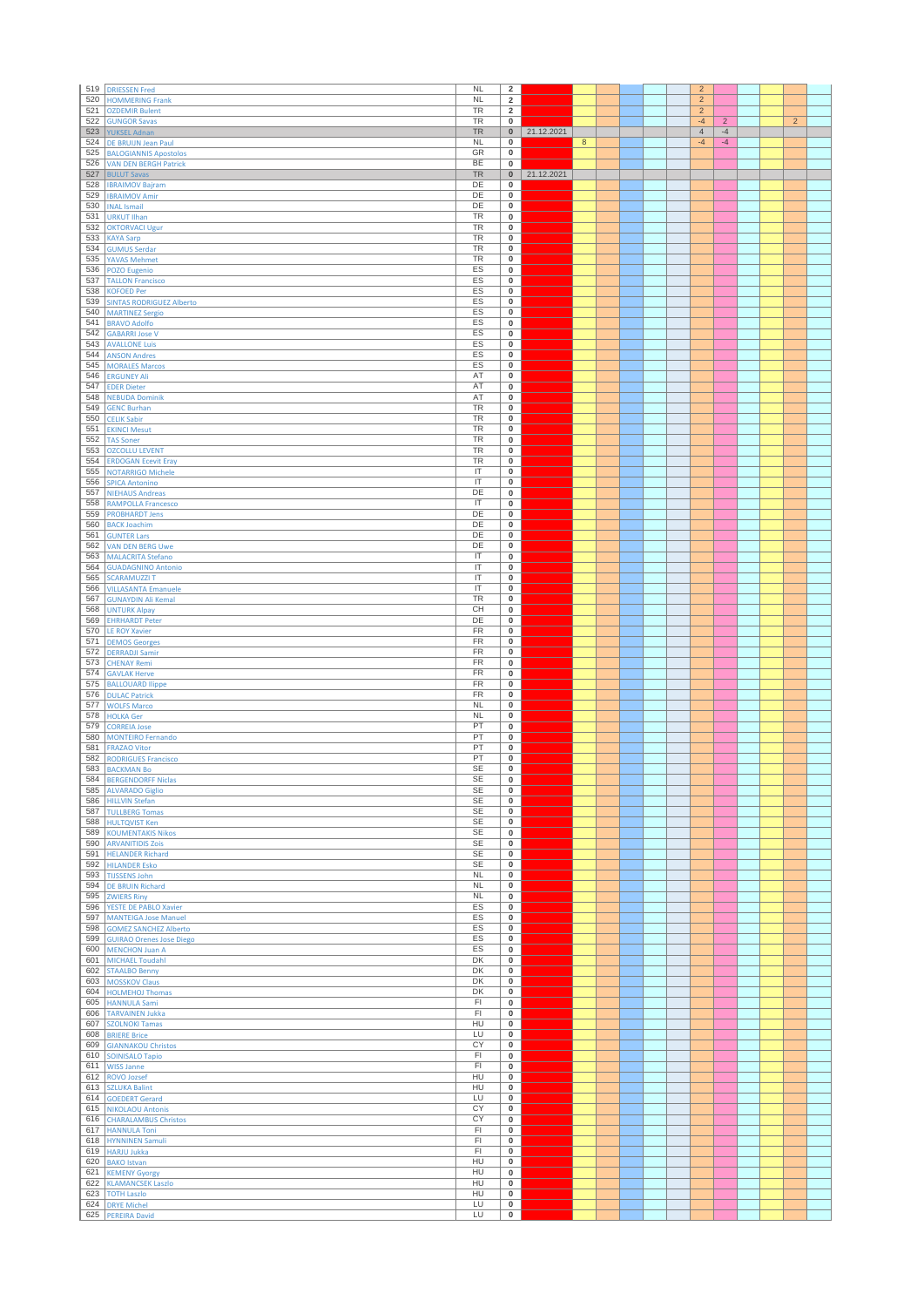| 519        | <b>DRIESSEN Fred</b>                                     | <b>NL</b>               | $\overline{\mathbf{2}}$                |            |                  |  |  | $\overline{2}$         |                |  |                |  |
|------------|----------------------------------------------------------|-------------------------|----------------------------------------|------------|------------------|--|--|------------------------|----------------|--|----------------|--|
| 520        | <b>HOMMERING Frank</b>                                   | <b>NL</b>               | $\overline{2}$                         |            |                  |  |  | $\overline{2}$         |                |  |                |  |
| 521<br>522 | <b>OZDEMIR Bulent</b>                                    | <b>TR</b><br>TR         | $\overline{2}$<br>0                    |            |                  |  |  | $\overline{2}$<br>$-4$ | $\overline{2}$ |  | $\overline{2}$ |  |
| 523        | <b>GUNGOR Savas</b><br><b>YUKSEL Adnan</b>               | <b>TR</b>               | $\pmb{0}$                              | 21.12.2021 |                  |  |  | $\overline{4}$         | $-4$           |  |                |  |
| 524        | DE BRUIJN Jean Paul                                      | <b>NL</b>               | $\pmb{0}$                              |            | $\boldsymbol{8}$ |  |  | $-4$                   | $-4$           |  |                |  |
| 525        | <b>BALOGIANNIS Apostolos</b>                             | GR                      | $\mathbf 0$                            |            |                  |  |  |                        |                |  |                |  |
| 526        | <b>VAN DEN BERGH Patrick</b>                             | BE<br><b>TR</b>         | $\mathbf 0$                            |            |                  |  |  |                        |                |  |                |  |
| 527<br>528 | <b>BULUT Savas</b><br><b>IBRAIMOV Bajram</b>             | DE                      | $\pmb{0}$<br>$\mathbf 0$               | 21.12.2021 |                  |  |  |                        |                |  |                |  |
| 529        | <b>IBRAIMOV Amir</b>                                     | DE                      | 0                                      |            |                  |  |  |                        |                |  |                |  |
| 530        | <b>INAL Ismail</b>                                       | DE                      | $\pmb{0}$                              |            |                  |  |  |                        |                |  |                |  |
| 531<br>532 | <b>URKUT Ilhan</b>                                       | <b>TR</b><br><b>TR</b>  | 0<br>$\mathbf 0$                       |            |                  |  |  |                        |                |  |                |  |
| 533        | <b>OKTORVACI Ugur</b><br><b>KAYA Sarp</b>                | TR                      | $\pmb{0}$                              |            |                  |  |  |                        |                |  |                |  |
| 534        | <b>GUMUS Serdar</b>                                      | TR                      | $\mathbf 0$                            |            |                  |  |  |                        |                |  |                |  |
| 535        | <b>YAVAS Mehmet</b>                                      | TR                      | $\overline{\mathbf{0}}$                |            |                  |  |  |                        |                |  |                |  |
| 536<br>537 | POZO Eugenio<br><b>TALLON Francisco</b>                  | ES<br>ES                | $\pmb{0}$<br>$\pmb{0}$                 |            |                  |  |  |                        |                |  |                |  |
| 538        | <b>KOFOED Per</b>                                        | ES                      | 0                                      |            |                  |  |  |                        |                |  |                |  |
| 539        | <b>SINTAS RODRIGUEZ Alberto</b>                          | ES                      | $\mathbf 0$                            |            |                  |  |  |                        |                |  |                |  |
| 540        | <b>MARTINEZ Sergio</b>                                   | ES                      | $\mathbf 0$                            |            |                  |  |  |                        |                |  |                |  |
| 541<br>542 | <b>BRAVO Adolfo</b><br><b>GABARRI Jose V</b>             | ES<br>ES                | $\mathbf 0$<br>$\overline{\mathbf{0}}$ |            |                  |  |  |                        |                |  |                |  |
| 543        | <b>AVALLONE Luis</b>                                     | ES                      | 0                                      |            |                  |  |  |                        |                |  |                |  |
| 544        | <b>ANSON Andres</b>                                      | ES                      | $\pmb{0}$                              |            |                  |  |  |                        |                |  |                |  |
| 545        | <b>MORALES Marcos</b>                                    | ES                      | 0                                      |            |                  |  |  |                        |                |  |                |  |
| 546<br>547 | <b>ERGUNEY Ali</b><br><b>EDER Dieter</b>                 | AT<br>AT                | $\overline{\mathbf{0}}$<br>$\mathbf 0$ |            |                  |  |  |                        |                |  |                |  |
| 548        | <b>NEBUDA Dominik</b>                                    | AT                      | $\mathbf 0$                            |            |                  |  |  |                        |                |  |                |  |
| 549        | <b>GENC Burhan</b>                                       | <b>TR</b>               | 0                                      |            |                  |  |  |                        |                |  |                |  |
| 550        | <b>CELIK Sabir</b>                                       | <b>TR</b>               | $\mathbf 0$                            |            |                  |  |  |                        |                |  |                |  |
| 551<br>552 | <b>EKINCI Mesut</b><br><b>TAS Soner</b>                  | TR<br><b>TR</b>         | $\pmb{0}$<br>0                         |            |                  |  |  |                        |                |  |                |  |
| 553        | <b>OZCOLLU LEVENT</b>                                    | TR                      | $\mathbf 0$                            |            |                  |  |  |                        |                |  |                |  |
| 554        | <b>ERDOGAN Ecevit Eray</b>                               | TR                      | 0                                      |            |                  |  |  |                        |                |  |                |  |
| 555        | <b>NOTARRIGO Michele</b>                                 | $\overline{\mathsf{I}}$ | $\overline{\mathbf{0}}$                |            |                  |  |  |                        |                |  |                |  |
| 556<br>557 | <b>SPICA Antonino</b><br><b>NIEHAUS Andreas</b>          | IT<br>DE                | $\pmb{0}$<br>$\pmb{0}$                 |            |                  |  |  |                        |                |  |                |  |
| 558        | <b>RAMPOLLA Francesco</b>                                | IT                      | $\pmb{0}$                              |            |                  |  |  |                        |                |  |                |  |
| 559        | <b>PROBHARDT Jens</b>                                    | DE                      | $\overline{\mathbf{0}}$                |            |                  |  |  |                        |                |  |                |  |
| 560        | <b>BACK Joachim</b>                                      | DE<br>DE                | $\pmb{0}$                              |            |                  |  |  |                        |                |  |                |  |
| 561<br>562 | <b>GUNTER Lars</b><br><b>VAN DEN BERG Uwe</b>            | DE                      | 0<br>$\mathbf 0$                       |            |                  |  |  |                        |                |  |                |  |
| 563        | <b>MALACRITA Stefano</b>                                 | IT                      | $\pmb{0}$                              |            |                  |  |  |                        |                |  |                |  |
| 564        | <b>GUADAGNINO Antonio</b>                                | $\overline{\mathsf{I}}$ | $\mathbf 0$                            |            |                  |  |  |                        |                |  |                |  |
| 565        | <b>SCARAMUZZI T</b>                                      | IT<br>IT                | $\pmb{0}$<br>$\pmb{0}$                 |            |                  |  |  |                        |                |  |                |  |
| 566<br>567 | <b>VILLASANTA Emanuele</b><br><b>GUNAYDIN Ali Kemal</b>  | <b>TR</b>               | $\pmb{0}$                              |            |                  |  |  |                        |                |  |                |  |
| 568        | <b>UNTURK Alpay</b>                                      | CH                      | 0                                      |            |                  |  |  |                        |                |  |                |  |
| 569        | <b>EHRHARDT Peter</b>                                    | DE                      | $\pmb{0}$                              |            |                  |  |  |                        |                |  |                |  |
| 570<br>571 | <b>LE ROY Xavier</b>                                     | FR<br>FR                | $\pmb{0}$                              |            |                  |  |  |                        |                |  |                |  |
| 572        | <b>DEMOS Georges</b><br><b>DERRADJI Samir</b>            | FR                      | $\mathbf 0$<br>$\pmb{0}$               |            |                  |  |  |                        |                |  |                |  |
| 573        | <b>CHENAY Remi</b>                                       | FR                      | $\mathbf 0$                            |            |                  |  |  |                        |                |  |                |  |
| 574        | <b>GAVLAK Herve</b>                                      | <b>FR</b>               | $\pmb{0}$                              |            |                  |  |  |                        |                |  |                |  |
| 575<br>576 | <b>BALLOUARD llippe</b>                                  | FR<br>FR                | 0<br>$\pmb{0}$                         |            |                  |  |  |                        |                |  |                |  |
| 577        | <b>DULAC Patrick</b><br><b>WOLFS Marco</b>               | <b>NL</b>               | $\pmb{0}$                              |            |                  |  |  |                        |                |  |                |  |
| 578        | <b>HOLKA Ger</b>                                         | <b>NL</b>               | $\pmb{0}$                              |            |                  |  |  |                        |                |  |                |  |
| 579        | <b>CORREIA Jose</b>                                      | PT                      | 0                                      |            |                  |  |  |                        |                |  |                |  |
| 580<br>581 | <b>MONTEIRO Fernando</b><br><b>FRAZAO Vitor</b>          | PT<br>PT                | $\overline{\mathbf{0}}$<br>0           |            |                  |  |  |                        |                |  |                |  |
| 582        | <b>RODRIGUES Francisco</b>                               | PT                      | $\pmb{0}$                              |            |                  |  |  |                        |                |  |                |  |
| 583        | <b>BACKMAN Bo</b>                                        | <b>SE</b>               | $\overline{\textbf{0}}$                |            |                  |  |  |                        |                |  |                |  |
| 584        | <b>BERGENDORFF Niclas</b>                                | <b>SE</b>               | $\pmb{0}$                              |            |                  |  |  |                        |                |  |                |  |
| 585        | <b>ALVARADO Giglio</b><br>586 HILLVIN Stefan             | SE<br>SE                | $\mathbf 0$<br>0                       |            |                  |  |  |                        |                |  |                |  |
| 587        | <b>TULLBERG Tomas</b>                                    | <b>SE</b>               | $\overline{\mathbf{0}}$                |            |                  |  |  |                        |                |  |                |  |
|            | 588 HULTQVIST Ken                                        | <b>SE</b>               | $\bf{0}$                               |            |                  |  |  |                        |                |  |                |  |
| 589        | <b>KOUMENTAKIS Nikos</b>                                 | <b>SE</b>               | $\mathbf 0$                            |            |                  |  |  |                        |                |  |                |  |
| 590        | <b>ARVANITIDIS Zois</b><br>591 HELANDER Richard          | <b>SE</b><br><b>SE</b>  | $\overline{0}$<br>$\bf{0}$             |            |                  |  |  |                        |                |  |                |  |
| 592        | <b>HILANDER Esko</b>                                     | <b>SE</b>               | $\mathbf 0$                            |            |                  |  |  |                        |                |  |                |  |
| 593        | <b>TIJSSENS John</b>                                     | NL                      | 0                                      |            |                  |  |  |                        |                |  |                |  |
| 594<br>595 | <b>DE BRUIN Richard</b><br><b>ZWIERS Riny</b>            | $\sf NL$<br><b>NL</b>   | $\mathbf 0$<br>$\mathbf 0$             |            |                  |  |  |                        |                |  |                |  |
| 596        | <b>YESTE DE PABLO Xavier</b>                             | ES                      | $\bf{0}$                               |            |                  |  |  |                        |                |  |                |  |
| 597        | <b>MANTEIGA Jose Manuel</b>                              | ES                      | $\mathbf 0$                            |            |                  |  |  |                        |                |  |                |  |
| 598        | <b>GOMEZ SANCHEZ Alberto</b>                             | ES                      | $\mathbf 0$                            |            |                  |  |  |                        |                |  |                |  |
| 599<br>600 | <b>GUIRAO Orenes Jose Diego</b><br><b>MENCHON Juan A</b> | ES<br>ES                | $\mathbf 0$<br>0                       |            |                  |  |  |                        |                |  |                |  |
| 601        | <b>MICHAEL Toudahl</b>                                   | DK                      | $\mathbf 0$                            |            |                  |  |  |                        |                |  |                |  |
|            | 602 STAALBO Benny                                        | DK                      | 0                                      |            |                  |  |  |                        |                |  |                |  |
| 603        | <b>MOSSKOV Claus</b>                                     | DK                      | $\overline{0}$                         |            |                  |  |  |                        |                |  |                |  |
|            | 604 HOLMEHOJ Thomas<br>605 HANNULA Sami                  | DK<br>FI                | $\mathbf 0$<br>$\mathbf 0$             |            |                  |  |  |                        |                |  |                |  |
| 606        | <b>TARVAINEN Jukka</b>                                   | FI                      | $\pmb{0}$                              |            |                  |  |  |                        |                |  |                |  |
| 607        | <b>SZOLNOKI Tamas</b>                                    | HU                      | $\overline{\mathbf{0}}$                |            |                  |  |  |                        |                |  |                |  |
| 608<br>609 | <b>BRIERE Brice</b><br><b>GIANNAKOU Christos</b>         | LU<br>CY                | $\mathbf 0$<br>0                       |            |                  |  |  |                        |                |  |                |  |
| 610        | <b>SOINISALO Tapio</b>                                   | F1                      | $\overline{0}$                         |            |                  |  |  |                        |                |  |                |  |
|            | 611 WISS Janne                                           | FI                      | $\mathbf 0$                            |            |                  |  |  |                        |                |  |                |  |
|            | 612 ROVO Jozsef                                          | HU                      | $\mathbf 0$                            |            |                  |  |  |                        |                |  |                |  |
| 614        | 613 SZLUKA Balint<br><b>GOEDERT Gerard</b>               | HU<br>LU                | $\bf{0}$<br>$\mathbf 0$                |            |                  |  |  |                        |                |  |                |  |
| 615        | <b>NIKOLAOU Antonis</b>                                  | CY                      | $\mathbf 0$                            |            |                  |  |  |                        |                |  |                |  |
| 616        | <b>CHARALAMBUS Christos</b>                              | CY                      | 0                                      |            |                  |  |  |                        |                |  |                |  |
| 617        | <b>HANNULA Toni</b>                                      | FI                      | $\mathbf 0$                            |            |                  |  |  |                        |                |  |                |  |
|            | 618 HYNNINEN Samuli<br>619 HARJU Jukka                   | FI<br>F1                | 0<br>$\overline{0}$                    |            |                  |  |  |                        |                |  |                |  |
|            | 620 BAKO Istvan                                          | HU                      | $\bf{0}$                               |            |                  |  |  |                        |                |  |                |  |
| 621        | <b>KEMENY Gyorgy</b>                                     | HU                      | $\mathbf 0$                            |            |                  |  |  |                        |                |  |                |  |
| 622        | <b>KLAMANCSEK Laszlo</b>                                 | HU                      | $\mathbf 0$                            |            |                  |  |  |                        |                |  |                |  |
| 623<br>624 | <b>TOTH Laszlo</b><br><b>DRYE Michel</b>                 | HU<br>LU                | $\overline{\mathbf{0}}$<br>$\mathbf 0$ |            |                  |  |  |                        |                |  |                |  |
|            | 625 PEREIRA David                                        | LU                      | $\bf{0}$                               |            |                  |  |  |                        |                |  |                |  |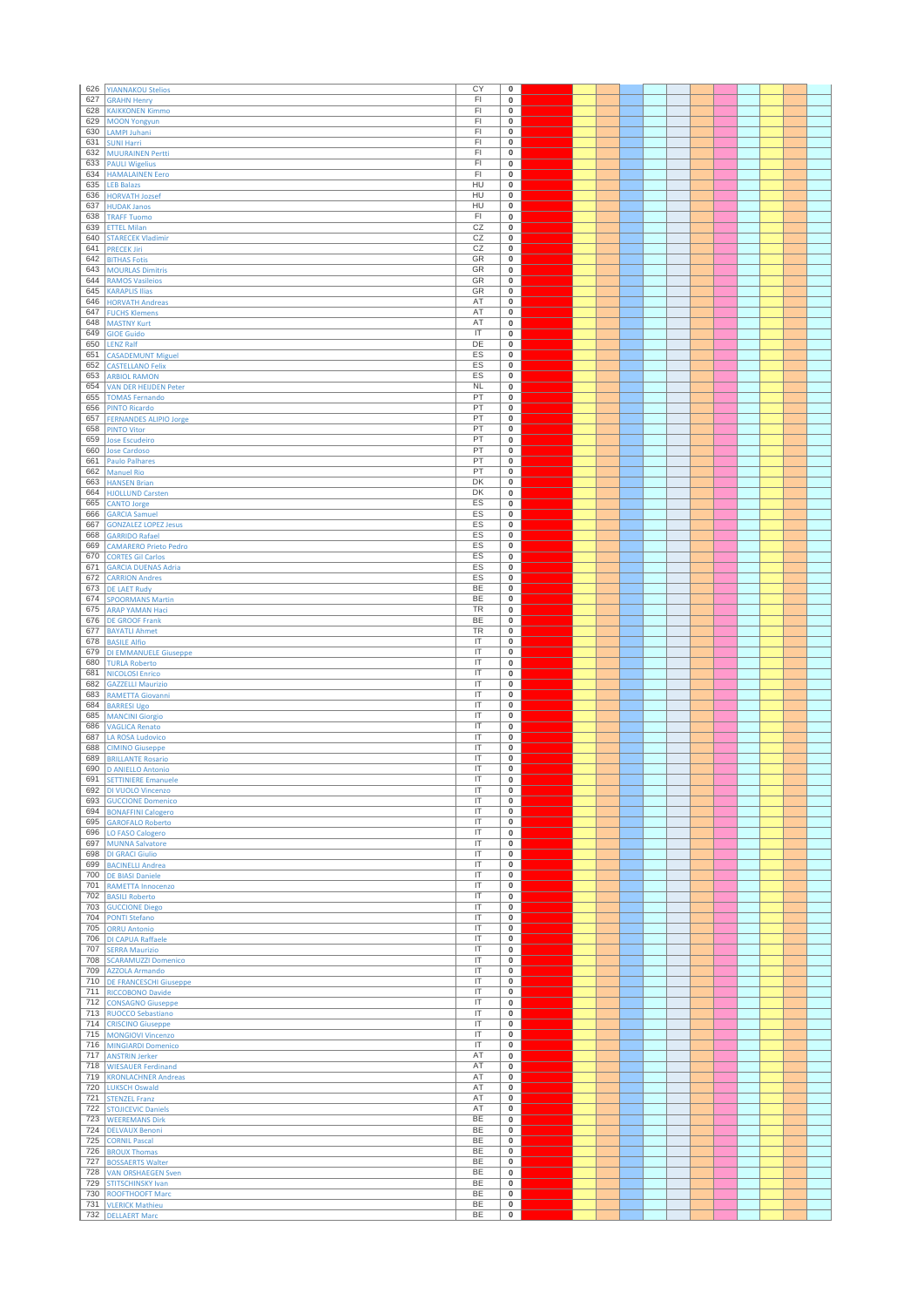| 626        | <b>YIANNAKOU Stelios</b>                             | CY                                                           | $\pmb{0}$                            |  |  |  |  |  |  |
|------------|------------------------------------------------------|--------------------------------------------------------------|--------------------------------------|--|--|--|--|--|--|
| 627        | <b>GRAHN Henry</b>                                   | FI                                                           | 0                                    |  |  |  |  |  |  |
| 628        | <b>KAIKKONEN Kimmo</b>                               | F1                                                           | $\pmb{0}$                            |  |  |  |  |  |  |
| 629        | <b>MOON Yongyun</b>                                  | FI                                                           | $\pmb{0}$                            |  |  |  |  |  |  |
| 630        | LAMPI Juhani                                         | F1                                                           | $\bf{0}$                             |  |  |  |  |  |  |
| 631        | <b>SUNI Harri</b>                                    | F1                                                           | 0                                    |  |  |  |  |  |  |
| 632<br>633 | <b>MUURAINEN Pertti</b><br><b>PAULI Wigelius</b>     | FI<br>FI                                                     | $\bf{0}$<br>$\pmb{0}$                |  |  |  |  |  |  |
| 634        | <b>HAMALAINEN Eero</b>                               | FI                                                           | $\bf{0}$                             |  |  |  |  |  |  |
| 635        | <b>LEB Balazs</b>                                    | HU                                                           | $\pmb{0}$                            |  |  |  |  |  |  |
| 636        | <b>HORVATH Jozsef</b>                                | HU                                                           | $\pmb{0}$                            |  |  |  |  |  |  |
| 637        | <b>HUDAK Janos</b>                                   | HU                                                           | $\pmb{0}$                            |  |  |  |  |  |  |
| 638        | <b>TRAFF Tuomo</b>                                   | F1                                                           | $\overline{\mathbf{0}}$              |  |  |  |  |  |  |
| 639        | <b>ETTEL Milan</b>                                   | CZ                                                           | 0                                    |  |  |  |  |  |  |
| 640        | <b>STARECEK Vladimir</b>                             | CZ                                                           | $\pmb{0}$                            |  |  |  |  |  |  |
| 641<br>642 | <b>PRECEK Jiri</b><br><b>BITHAS Fotis</b>            | CZ<br>GR                                                     | $\bf{0}$<br>$\overline{\mathbf{0}}$  |  |  |  |  |  |  |
| 643        | <b>MOURLAS Dimitris</b>                              | GR                                                           | $\pmb{0}$                            |  |  |  |  |  |  |
| 644        | <b>RAMOS Vasileios</b>                               | GR                                                           | $\pmb{0}$                            |  |  |  |  |  |  |
| 645        | <b>KARAPLIS Ilias</b>                                | GR                                                           | $\pmb{0}$                            |  |  |  |  |  |  |
| 646        | <b>HORVATH Andreas</b>                               | AT                                                           | 0                                    |  |  |  |  |  |  |
| 647        | <b>FUCHS Klemens</b>                                 | AT                                                           | $\pmb{0}$                            |  |  |  |  |  |  |
| 648        | <b>MASTNY Kurt</b>                                   | AT                                                           | $\bf{0}$                             |  |  |  |  |  |  |
| 649<br>650 | <b>GIOE Guido</b>                                    | $\overline{\mathsf{I}}$<br>DE                                | $\overline{\mathbf{0}}$              |  |  |  |  |  |  |
| 651        | <b>LENZ Ralf</b><br><b>CASADEMUNT Miguel</b>         | ES                                                           | $\pmb{0}$<br>$\pmb{0}$               |  |  |  |  |  |  |
| 652        | <b>CASTELLANO Felix</b>                              | ES                                                           | $\pmb{0}$                            |  |  |  |  |  |  |
| 653        | <b>ARBIOL RAMON</b>                                  | ES                                                           | 0                                    |  |  |  |  |  |  |
| 654        | <b>VAN DER HEIJDEN Peter</b>                         | <b>NL</b>                                                    | $\pmb{0}$                            |  |  |  |  |  |  |
| 655        | <b>TOMAS Fernando</b>                                | PT                                                           | $\bf{0}$                             |  |  |  |  |  |  |
| 656        | <b>PINTO Ricardo</b>                                 | PT                                                           | $\pmb{0}$                            |  |  |  |  |  |  |
| 657        | <b>FERNANDES ALIPIO Jorge</b>                        | PT                                                           | $\bf{0}$                             |  |  |  |  |  |  |
| 658<br>659 | <b>PINTO Vitor</b><br><b>Jose Escudeiro</b>          | PT<br>PT                                                     | $\overline{\mathbf{0}}$<br>0         |  |  |  |  |  |  |
| 660        | <b>Jose Cardoso</b>                                  | PT                                                           | $\pmb{0}$                            |  |  |  |  |  |  |
| 661        | <b>Paulo Palhares</b>                                | PT                                                           | $\pmb{0}$                            |  |  |  |  |  |  |
| 662        | <b>Manuel Rio</b>                                    | PT                                                           | $\overline{\mathbf{0}}$              |  |  |  |  |  |  |
| 663        | <b>HANSEN Brian</b>                                  | DK                                                           | $\pmb{0}$                            |  |  |  |  |  |  |
| 664        | <b>HJOLLUND Carsten</b>                              | DK                                                           | $\bf{0}$                             |  |  |  |  |  |  |
| 665        | <b>CANTO Jorge</b>                                   | ES                                                           | $\pmb{0}$                            |  |  |  |  |  |  |
| 666<br>667 | <b>GARCIA Samuel</b>                                 | ES<br>ES                                                     | $\bf{0}$                             |  |  |  |  |  |  |
| 668        | <b>GONZALEZ LOPEZ Jesus</b><br><b>GARRIDO Rafael</b> | ES                                                           | $\pmb{0}$<br>$\mathbf 0$             |  |  |  |  |  |  |
| 669        | <b>CAMARERO Prieto Pedro</b>                         | ES                                                           | $\pmb{0}$                            |  |  |  |  |  |  |
| 670        | <b>CORTES Gil Carlos</b>                             | ES                                                           | $\pmb{0}$                            |  |  |  |  |  |  |
| 671        | <b>GARCIA DUENAS Adria</b>                           | ES                                                           | $\bf{0}$                             |  |  |  |  |  |  |
| 672        | <b>CARRION Andres</b>                                | ES                                                           | $\pmb{0}$                            |  |  |  |  |  |  |
| 673        | <b>DE LAET Rudy</b>                                  | BE                                                           | $\bf{0}$                             |  |  |  |  |  |  |
| 674        | <b>SPOORMANS Martin</b>                              | <b>BE</b>                                                    | $\pmb{0}$                            |  |  |  |  |  |  |
| 675        | <b>ARAP YAMAN Haci</b>                               | TR<br>BE                                                     | $\pmb{0}$<br>$\pmb{0}$               |  |  |  |  |  |  |
| 676<br>677 | <b>DE GROOF Frank</b><br><b>BAYATLI Ahmet</b>        | TR                                                           | $\pmb{0}$                            |  |  |  |  |  |  |
| 678        | <b>BASILE Alfio</b>                                  | $\overline{\mathsf{I}}$                                      | $\bf{0}$                             |  |  |  |  |  |  |
| 679        | DI EMMANUELE Giuseppe                                | $\overline{\mathsf{I}}$                                      | $\pmb{0}$                            |  |  |  |  |  |  |
| 680        | <b>TURLA Roberto</b>                                 | IT                                                           | $\bf{0}$                             |  |  |  |  |  |  |
| 681        | <b>NICOLOSI Enrico</b>                               | IT                                                           | $\pmb{0}$                            |  |  |  |  |  |  |
|            |                                                      |                                                              |                                      |  |  |  |  |  |  |
| 682        | <b>GAZZELLI Maurizio</b>                             | IT                                                           | $\bf{0}$                             |  |  |  |  |  |  |
| 683        | <b>RAMETTA Giovanni</b>                              | $\overline{\mathsf{I}}$                                      | $\pmb{0}$                            |  |  |  |  |  |  |
| 684        | <b>BARRESI Ugo</b>                                   | IT                                                           | 0                                    |  |  |  |  |  |  |
| 685        | <b>MANCINI Giorgio</b>                               | IT                                                           | $\pmb{0}$                            |  |  |  |  |  |  |
| 686<br>687 | <b>VAGLICA Renato</b><br><b>LA ROSA Ludovico</b>     | $\overline{\mathsf{I}}$<br>$\overline{\mathsf{I}}$           | $\overline{\mathbf{0}}$<br>$\pmb{0}$ |  |  |  |  |  |  |
| 688        | <b>CIMINO Giuseppe</b>                               | IT                                                           | 0                                    |  |  |  |  |  |  |
| 689        | <b>BRILLANTE Rosario</b>                             | IT                                                           | $\bf{0}$                             |  |  |  |  |  |  |
| 690        | <b>D ANIELLO Antonio</b>                             | $\overline{\mathsf{I}}$                                      | $\overline{\mathbf{0}}$              |  |  |  |  |  |  |
|            | 691 SETTINIERE Emanuele                              | IT                                                           | 0                                    |  |  |  |  |  |  |
| 692        | DI VUOLO Vincenzo                                    | $\overline{\mathsf{I}\mathsf{T}}$                            | $\pmb{0}$                            |  |  |  |  |  |  |
| 693<br>694 | <b>GUCCIONE Domenico</b>                             | $\overline{\mathsf{I}\mathsf{T}}$<br>$\overline{\mathbb{T}}$ | $\overline{\mathbf{0}}$<br>$\pmb{0}$ |  |  |  |  |  |  |
| 695        | <b>BONAFFINI Calogero</b><br><b>GAROFALO Roberto</b> | $\overline{\mathsf{I}\mathsf{T}}$                            | $\pmb{0}$                            |  |  |  |  |  |  |
| 696        | LO FASO Calogero                                     | IT                                                           | 0                                    |  |  |  |  |  |  |
| 697        | <b>MUNNA Salvatore</b>                               | $\overline{\mathsf{I}}$                                      | $\overline{\mathbf{0}}$              |  |  |  |  |  |  |
| 698        | <b>DI GRACI Giulio</b>                               | $\overline{\mathsf{I}\mathsf{T}}$                            | $\pmb{0}$                            |  |  |  |  |  |  |
| 699        | <b>BACINELLI Andrea</b>                              | $\overline{\mathsf{I}}$                                      | $\pmb{0}$                            |  |  |  |  |  |  |
| 700<br>701 | <b>DE BIASI Daniele</b><br><b>RAMETTA Innocenzo</b>  | IT<br>$\overline{\mathsf{I}}$                                | $\pmb{0}$<br>$\pmb{0}$               |  |  |  |  |  |  |
| 702        | <b>BASILI Roberto</b>                                | $\overline{\mathsf{T}}$                                      | 0                                    |  |  |  |  |  |  |
| 703        | <b>GUCCIONE Diego</b>                                | $\overline{\mathsf{I}}$                                      | $\bf{0}$                             |  |  |  |  |  |  |
| 704        | PONTI Stefano                                        | IT                                                           | $\pmb{0}$                            |  |  |  |  |  |  |
| 705        | <b>ORRU Antonio</b>                                  | IT                                                           | $\pmb{0}$                            |  |  |  |  |  |  |
| 706        | <b>DI CAPUA Raffaele</b>                             | $\overline{\mathsf{I}}$                                      | $\pmb{0}$                            |  |  |  |  |  |  |
| 707        | <b>SERRA Maurizio</b>                                | $\overline{\mathsf{I}\mathsf{T}}$                            | $\pmb{0}$                            |  |  |  |  |  |  |
| 708<br>709 | <b>SCARAMUZZI Domenico</b><br><b>AZZOLA Armando</b>  | $\overline{\mathsf{I}}$<br>IT                                | $\overline{\mathbf{0}}$<br>$\pmb{0}$ |  |  |  |  |  |  |
| 710        | <b>DE FRANCESCHI Giuseppe</b>                        | $\overline{\mathsf{I}\mathsf{T}}$                            | $\overline{\mathbf{0}}$              |  |  |  |  |  |  |
| 711        | RICCOBONO Davide                                     | $\overline{\mathsf{I}}$                                      | $\pmb{0}$                            |  |  |  |  |  |  |
| 712        | <b>CONSAGNO Giuseppe</b>                             | IT                                                           | $\pmb{0}$                            |  |  |  |  |  |  |
| 713        | <b>RUOCCO Sebastiano</b>                             | IT                                                           | $\pmb{0}$                            |  |  |  |  |  |  |
| 714        | <b>CRISCINO Giuseppe</b>                             | $\overline{\mathsf{I}\mathsf{T}}$                            | $\bf{0}$                             |  |  |  |  |  |  |
| 715<br>716 | <b>MONGIOVI Vincenzo</b>                             | $\overline{\mathsf{I}}$<br>IT                                | $\overline{\mathbf{0}}$<br>$\pmb{0}$ |  |  |  |  |  |  |
| 717        | MINGIARDI Domenico<br><b>ANSTRIN Jerker</b>          | AT                                                           | $\overline{\mathbf{0}}$              |  |  |  |  |  |  |
| 718        | <b>WIESAUER Ferdinand</b>                            | AT                                                           | $\pmb{0}$                            |  |  |  |  |  |  |
| 719        | <b>KRONLACHNER Andreas</b>                           | AT                                                           | $\bf{0}$                             |  |  |  |  |  |  |
| 720        | LUKSCH Oswald                                        | AT                                                           | $\pmb{0}$                            |  |  |  |  |  |  |
| 721        | <b>STENZEL Franz</b>                                 | AT                                                           | $\pmb{0}$                            |  |  |  |  |  |  |
| 722        | <b>STOJICEVIC Daniels</b>                            | AT                                                           | $\overline{\mathbf{0}}$              |  |  |  |  |  |  |
| 723        | <b>WEEREMANS Dirk</b>                                | <b>BE</b>                                                    | 0                                    |  |  |  |  |  |  |
| 724<br>725 | <b>DELVAUX Benoni</b><br><b>CORNIL Pascal</b>        | BE<br>BE                                                     | $\pmb{0}$<br>$\pmb{0}$               |  |  |  |  |  |  |
| 726        | <b>BROUX Thomas</b>                                  | <b>BE</b>                                                    | $\overline{\mathbf{0}}$              |  |  |  |  |  |  |
| 727        | <b>BOSSAERTS Walter</b>                              | <b>BE</b>                                                    | $\pmb{0}$                            |  |  |  |  |  |  |
| 728        | <b>VAN ORSHAEGEN Sven</b>                            | BE                                                           | $\bf{0}$                             |  |  |  |  |  |  |
| 729        | <b>STITSCHINSKY Ivan</b>                             | BE                                                           | $\pmb{0}$                            |  |  |  |  |  |  |
| 730<br>731 | <b>ROOFTHOOFT Marc</b><br><b>VLERICK Mathieu</b>     | <b>BE</b><br><b>BE</b>                                       | $\bf{0}$<br>$\pmb{0}$                |  |  |  |  |  |  |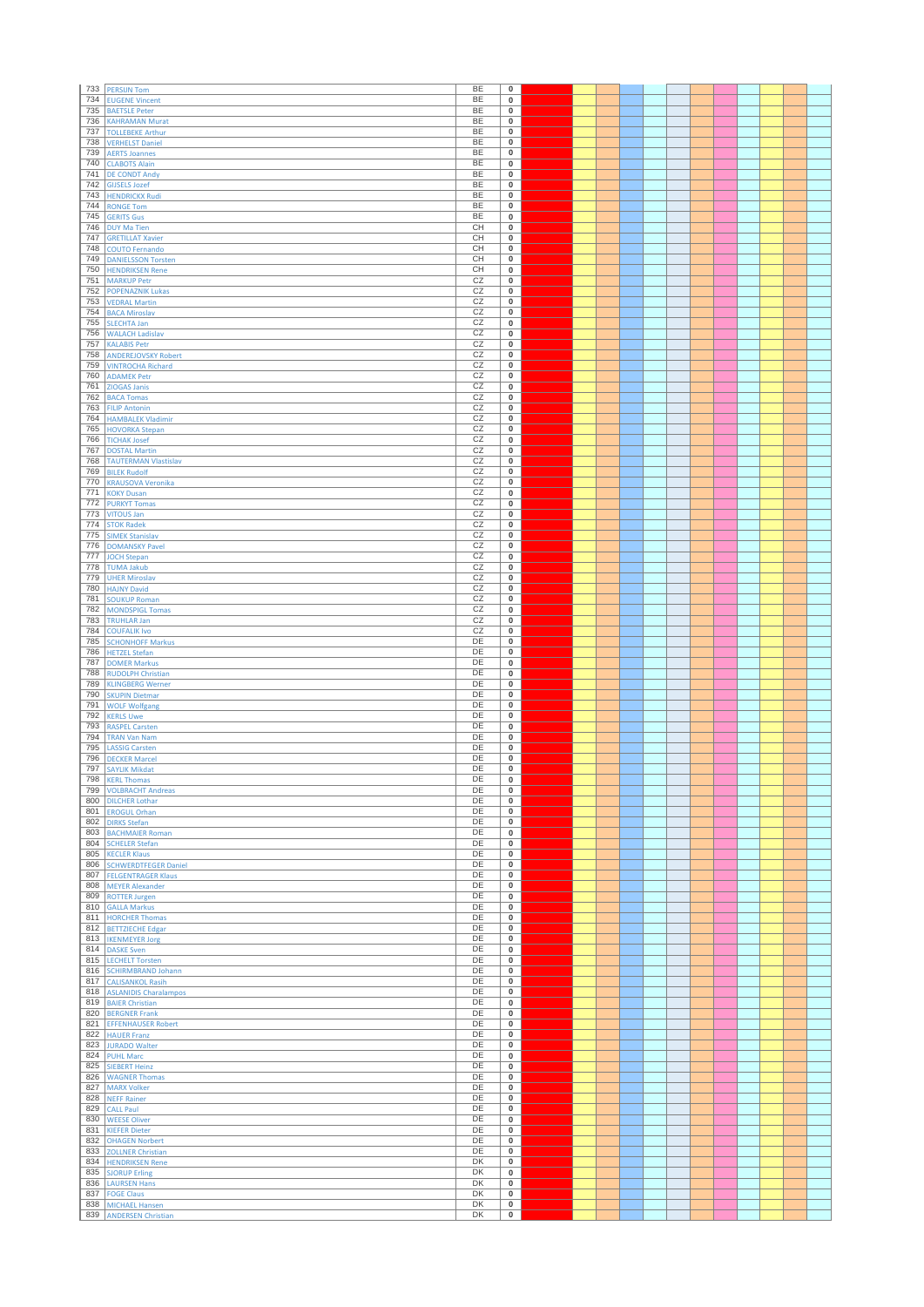| 733        | <b>PERSIJN Tom</b>                                  | BE        | $\pmb{0}$                            |  |  |  |  |  |  |
|------------|-----------------------------------------------------|-----------|--------------------------------------|--|--|--|--|--|--|
| 734        | <b>EUGENE Vincent</b>                               | <b>BE</b> | 0                                    |  |  |  |  |  |  |
| 735        | <b>BAETSLE Peter</b>                                | BE        | $\mathbf 0$                          |  |  |  |  |  |  |
| 736        | <b>KAHRAMAN Murat</b>                               | BE        | 0                                    |  |  |  |  |  |  |
| 737        | <b>TOLLEBEKE Arthur</b>                             | BE        | $\mathbf 0$                          |  |  |  |  |  |  |
| 738        | <b>VERHELST Daniel</b>                              | BE        | $\mathbf 0$                          |  |  |  |  |  |  |
| 739<br>740 | <b>AERTS Joannes</b>                                | BE<br>BE  | 0<br>$\pmb{0}$                       |  |  |  |  |  |  |
| 741        | <b>CLABOTS Alain</b><br><b>DE CONDT Andy</b>        | <b>BE</b> | $\overline{0}$                       |  |  |  |  |  |  |
| 742        | <b>GIJSELS Jozef</b>                                | <b>BE</b> | $\mathbf 0$                          |  |  |  |  |  |  |
| 743        | <b>HENDRICKX Rudi</b>                               | BE        | 0                                    |  |  |  |  |  |  |
| 744        | <b>RONGE Tom</b>                                    | BE        | $\pmb{0}$                            |  |  |  |  |  |  |
| 745        | <b>GERITS Gus</b>                                   | BE        | 0                                    |  |  |  |  |  |  |
| 746        | <b>DUY Ma Tien</b>                                  | CH        | $\mathbf 0$                          |  |  |  |  |  |  |
| 747        | <b>GRETILLAT Xavier</b>                             | CН        | $\mathbf 0$                          |  |  |  |  |  |  |
| 748        | <b>COUTO Fernando</b>                               | CН        | $\pmb{0}$                            |  |  |  |  |  |  |
| 749        | <b>DANIELSSON Torsten</b>                           | CH        | $\overline{\mathbf{0}}$              |  |  |  |  |  |  |
| 750<br>751 | <b>HENDRIKSEN Rene</b>                              | CH<br>CZ  | 0<br>$\pmb{0}$                       |  |  |  |  |  |  |
| 752        | <b>MARKUP Petr</b><br><b>POPENAZNIK Lukas</b>       | CZ        | 0                                    |  |  |  |  |  |  |
| 753        | <b>VEDRAL Martin</b>                                | CZ        | $\mathbf 0$                          |  |  |  |  |  |  |
| 754        | <b>BACA Miroslav</b>                                | CZ        | $\mathbf 0$                          |  |  |  |  |  |  |
| 755        | <b>SLECHTA Jan</b>                                  | CZ        | $\mathbf 0$                          |  |  |  |  |  |  |
| 756        | <b>WALACH Ladislav</b>                              | CZ        | $\overline{\mathbf{0}}$              |  |  |  |  |  |  |
| 757        | <b>KALABIS Petr</b>                                 | CZ        | 0                                    |  |  |  |  |  |  |
| 758        | <b>ANDEREJOVSKY Robert</b>                          | CZ        | $\pmb{0}$                            |  |  |  |  |  |  |
| 759        | <b>VINTROCHA Richard</b>                            | CZ        | 0                                    |  |  |  |  |  |  |
| 760        | <b>ADAMEK Petr</b>                                  | CZ<br>CZ  | $\overline{0}$                       |  |  |  |  |  |  |
| 761<br>762 | ZIOGAS Janis<br><b>BACA Tomas</b>                   | CZ        | $\mathbf 0$<br>$\mathbf 0$           |  |  |  |  |  |  |
| 763        | <b>FILIP Antonin</b>                                | CZ        | $\bf{0}$                             |  |  |  |  |  |  |
| 764        | <b>HAMBALEK Vladimir</b>                            | CZ        | $\mathbf 0$                          |  |  |  |  |  |  |
| 765        | <b>HOVORKA Stepan</b>                               | CZ        | $\pmb{0}$                            |  |  |  |  |  |  |
| 766        | <b>TICHAK Josef</b>                                 | CZ        | 0                                    |  |  |  |  |  |  |
| 767        | <b>DOSTAL Martin</b>                                | CZ        | $\mathbf 0$                          |  |  |  |  |  |  |
| 768        | <b>TAUTERMAN Vlastislav</b>                         | CZ        | 0                                    |  |  |  |  |  |  |
| 769        | <b>BILEK Rudolf</b>                                 | CZ        | $\overline{0}$                       |  |  |  |  |  |  |
| 770        | <b>KRAUSOVA Veronika</b>                            | CZ        | $\mathbf 0$                          |  |  |  |  |  |  |
| 771        | <b>KOKY Dusan</b>                                   | CZ        | $\mathbf 0$                          |  |  |  |  |  |  |
| 772<br>773 | <b>PURKYT Tomas</b>                                 | CZ<br>CZ  | $\mathbf 0$<br>0                     |  |  |  |  |  |  |
| 774        | <b>VITOUS Jan</b><br><b>STOK Radek</b>              | CZ        | $\bf{0}$                             |  |  |  |  |  |  |
| 775        | <b>SIMEK Stanislav</b>                              | CZ        | 0                                    |  |  |  |  |  |  |
| 776        | <b>DOMANSKY Pavel</b>                               | CZ        | $\bf{0}$                             |  |  |  |  |  |  |
| 777        | <b>JOCH Stepan</b>                                  | CZ        | $\bf{0}$                             |  |  |  |  |  |  |
| 778        | <b>TUMA Jakub</b>                                   | CZ        | $\bf{0}$                             |  |  |  |  |  |  |
| 779        | <b>UHER Miroslav</b>                                | CZ        | $\mathbf 0$                          |  |  |  |  |  |  |
| 780        | <b>HAJNY David</b>                                  | CZ        | $\pmb{0}$                            |  |  |  |  |  |  |
| 781        | <b>SOUKUP Roman</b>                                 | CZ        | $\bf{0}$                             |  |  |  |  |  |  |
| 782        | <b>MONDSPIGL Tomas</b>                              | CZ        | 0                                    |  |  |  |  |  |  |
| 783        | <b>TRUHLAR Jan</b>                                  | CZ<br>CZ  | $\pmb{0}$                            |  |  |  |  |  |  |
| 784<br>785 | <b>COUFALIK Ivo</b><br><b>SCHONHOFF Markus</b>      | DE        | 0<br>$\pmb{0}$                       |  |  |  |  |  |  |
| 786        | <b>HETZEL Stefan</b>                                | DE        | $\bf{0}$                             |  |  |  |  |  |  |
| 787        | <b>DOMER Markus</b>                                 | DE        | $\bf{0}$                             |  |  |  |  |  |  |
|            |                                                     |           |                                      |  |  |  |  |  |  |
| 788        |                                                     | DE        | $\pmb{0}$                            |  |  |  |  |  |  |
| 789        | <b>RUDOLPH Christian</b><br><b>KLINGBERG Werner</b> | DE        | 0                                    |  |  |  |  |  |  |
| 790        | <b>SKUPIN Dietmar</b>                               | DE        | $\pmb{0}$                            |  |  |  |  |  |  |
| 791        | <b>WOLF Wolfgang</b>                                | DE        | 0                                    |  |  |  |  |  |  |
| 792        | <b>KERLS Uwe</b>                                    | DE        | $\pmb{0}$                            |  |  |  |  |  |  |
| 793        | <b>RASPEL Carsten</b>                               | DE        | 0                                    |  |  |  |  |  |  |
| 794        | <b>TRAN Van Nam</b>                                 | DE        | $\bf{0}$                             |  |  |  |  |  |  |
| 795        | <b>LASSIG Carsten</b>                               | DE        | $\bf{0}$                             |  |  |  |  |  |  |
| 796<br>797 | <b>DECKER Marcel</b>                                | DE<br>DE  | $\pmb{0}$<br>$\overline{\mathbf{0}}$ |  |  |  |  |  |  |
|            | <b>SAYLIK Mikdat</b>                                | DE        | 0                                    |  |  |  |  |  |  |
|            | 798 KERL Thomas<br>799 VOLBRACHT Andreas            | DE        | $\bf{0}$                             |  |  |  |  |  |  |
|            | 800 DILCHER Lothar                                  | DE        | 0                                    |  |  |  |  |  |  |
|            | 801 EROGUL Orhan                                    | DE        | $\overline{\mathbf{0}}$              |  |  |  |  |  |  |
|            | 802 DIRKS Stefan                                    | DE        | $\bf{0}$                             |  |  |  |  |  |  |
| 803        | <b>BACHMAIER Roman</b>                              | DE        | $\pmb{0}$                            |  |  |  |  |  |  |
|            | 804 SCHELER Stefan                                  | DE        | $\overline{0}$                       |  |  |  |  |  |  |
| 806        | 805 KECLER Klaus<br><b>SCHWERDTFEGER Daniel</b>     | DE<br>DE  | $\bf{0}$<br>$\bf{0}$                 |  |  |  |  |  |  |
|            | 807 FELGENTRAGER Klaus                              | DE        | $\bf{0}$                             |  |  |  |  |  |  |
| 808        | <b>MEYER Alexander</b>                              | DE        | $\bf{0}$                             |  |  |  |  |  |  |
|            | 809 ROTTER Jurgen                                   | DE        | $\bf{0}$                             |  |  |  |  |  |  |
|            | 810 GALLA Markus                                    | DE        | $\bf{0}$                             |  |  |  |  |  |  |
| 811        | <b>HORCHER Thomas</b>                               | DE        | $\bf{0}$                             |  |  |  |  |  |  |
|            | 812 BETTZIECHE Edgar                                | DE        | $\pmb{0}$                            |  |  |  |  |  |  |
|            | 813   IKENMEYER Jorg                                | DE        | $\overline{\mathbf{0}}$              |  |  |  |  |  |  |
| 814<br>815 | <b>DASKE Sven</b>                                   | DE<br>DE  | 0<br>$\bf{0}$                        |  |  |  |  |  |  |
|            | <b>LECHELT Torsten</b><br>816 SCHIRMBRAND Johann    | DE        | 0                                    |  |  |  |  |  |  |
|            | 817 CALISANKOL Rasih                                | DE        | $\overline{0}$                       |  |  |  |  |  |  |
| 818        | <b>ASLANIDIS Charalampos</b>                        | DE        | $\bf{0}$                             |  |  |  |  |  |  |
|            | 819 BAIER Christian                                 | DE        | $\pmb{0}$                            |  |  |  |  |  |  |
|            | 820 BERGNER Frank                                   | DE        | $\bf{0}$                             |  |  |  |  |  |  |
| 821        | <b>EFFENHAUSER Robert</b>                           | DE        | $\overline{0}$                       |  |  |  |  |  |  |
| 822        | <b>HAUER Franz</b>                                  | DE        | $\bf{0}$                             |  |  |  |  |  |  |
|            | 823 JURADO Walter                                   | DE        | 0                                    |  |  |  |  |  |  |
| 825        | 824 PUHL Marc                                       | DE<br>DE  | $\overline{0}$                       |  |  |  |  |  |  |
|            | <b>SIEBERT Heinz</b><br>826 WAGNER Thomas           | DE        | $\bf{0}$<br>$\pmb{0}$                |  |  |  |  |  |  |
|            | 827 MARX Volker                                     | DE        | $\bf{0}$                             |  |  |  |  |  |  |
| 828        | <b>NEFF Rainer</b>                                  | DE        | $\bf{0}$                             |  |  |  |  |  |  |
| 829        | <b>CALL Paul</b>                                    | DE        | $\bf{0}$                             |  |  |  |  |  |  |
|            | 830 WEESE Oliver                                    | DE        | 0                                    |  |  |  |  |  |  |
| 831        | <b>KIEFER Dieter</b>                                | DE        | $\bf{0}$                             |  |  |  |  |  |  |
|            | 832 OHAGEN Norbert                                  | DE        | 0                                    |  |  |  |  |  |  |
|            | 833 ZOLLNER Christian                               | DE        | $\overline{0}$                       |  |  |  |  |  |  |
| 835        | 834 HENDRIKSEN Rene                                 | DK<br>DK  | $\bf{0}$<br>$\mathbf 0$              |  |  |  |  |  |  |
| 836        | <b>SJORUP Erling</b><br><b>LAURSEN Hans</b>         | DK        | $\mathbf 0$                          |  |  |  |  |  |  |
| 837        | <b>FOGE Claus</b>                                   | DK        | $\overline{0}$                       |  |  |  |  |  |  |
| 838        | <b>MICHAEL Hansen</b><br>839 ANDERSEN Christian     | DK<br>DK  | $\overline{\mathbf{0}}$<br>$\bf{0}$  |  |  |  |  |  |  |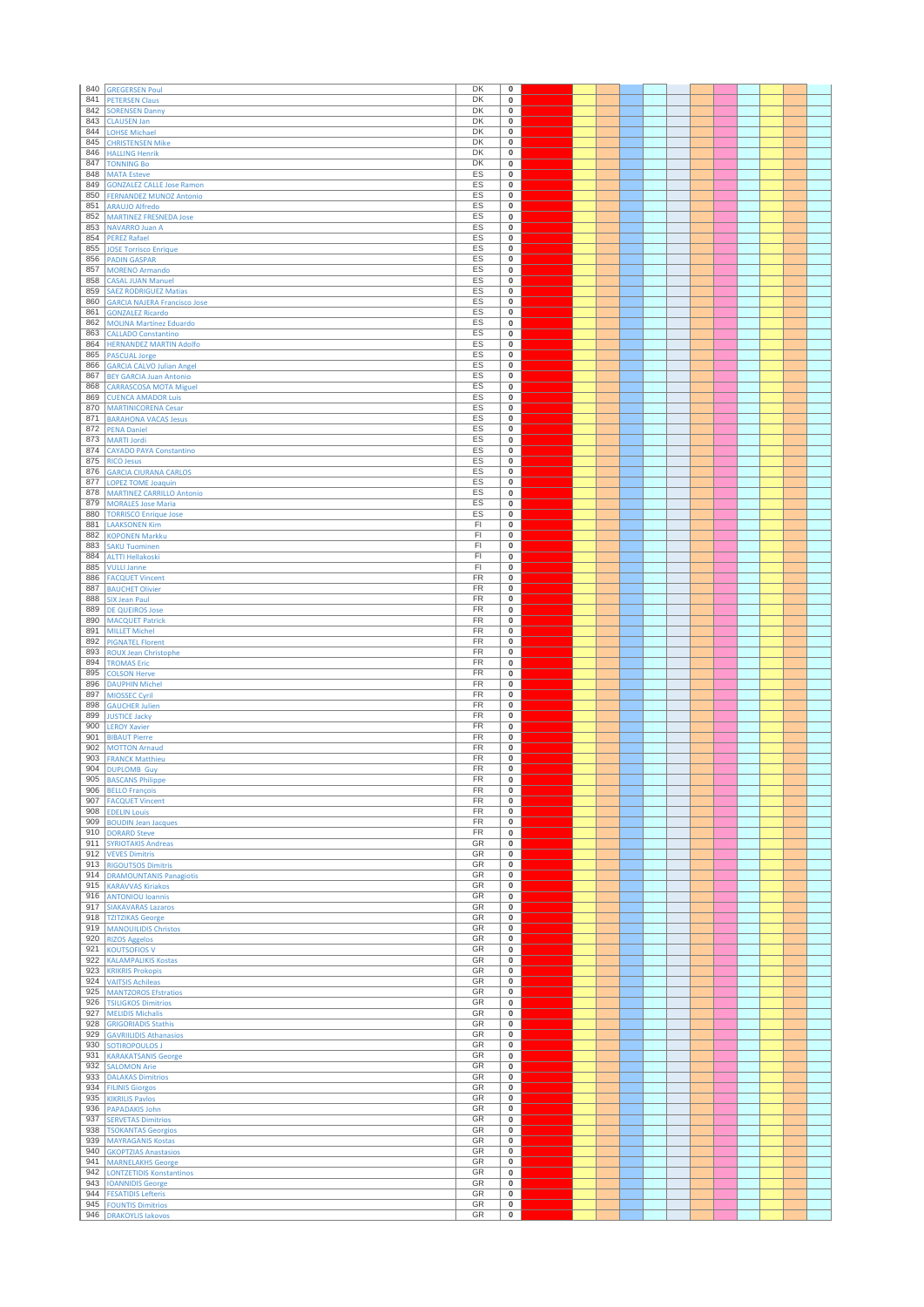| 840        | <b>GREGERSEN Poul</b>                                      | DK                     | $\pmb{0}$                |  |  |  |  |  |  |
|------------|------------------------------------------------------------|------------------------|--------------------------|--|--|--|--|--|--|
| 841        | <b>PETERSEN Claus</b>                                      | DK                     | 0                        |  |  |  |  |  |  |
| 842        | <b>SORENSEN Danny</b>                                      | DK                     | $\pmb{0}$                |  |  |  |  |  |  |
| 843        | <b>CLAUSEN Jan</b>                                         | DK                     | 0                        |  |  |  |  |  |  |
| 844        | <b>LOHSE Michael</b>                                       | DK                     | $\pmb{0}$                |  |  |  |  |  |  |
| 845        | <b>CHRISTENSEN Mike</b>                                    | DK                     | $\pmb{0}$                |  |  |  |  |  |  |
| 846        | <b>HALLING Henrik</b>                                      | DK                     | 0                        |  |  |  |  |  |  |
| 847<br>848 | <b>TONNING Bo</b><br><b>MATA Esteve</b>                    | DK<br>ES               | $\pmb{0}$<br>0           |  |  |  |  |  |  |
| 849        | <b>GONZALEZ CALLE Jose Ramon</b>                           | ES                     | $\pmb{0}$                |  |  |  |  |  |  |
| 850        | <b>FERNANDEZ MUNOZ Antonio</b>                             | ES                     | 0                        |  |  |  |  |  |  |
| 851        | <b>ARAUJO Alfredo</b>                                      | ES                     | $\pmb{0}$                |  |  |  |  |  |  |
| 852        | <b>MARTINEZ FRESNEDA Jose</b>                              | ES                     | 0                        |  |  |  |  |  |  |
| 853        | NAVARRO Juan A                                             | ES                     | $\pmb{0}$                |  |  |  |  |  |  |
| 854        | <b>PEREZ Rafael</b>                                        | ES                     | $\mathbf 0$              |  |  |  |  |  |  |
| 855        | <b>JOSE Torrisco Enrique</b>                               | ES                     | $\pmb{0}$                |  |  |  |  |  |  |
| 856        | <b>PADIN GASPAR</b>                                        | ES                     | $\overline{\mathbf{0}}$  |  |  |  |  |  |  |
| 857<br>858 | <b>MORENO Armando</b>                                      | ES<br>ES               | 0<br>$\pmb{0}$           |  |  |  |  |  |  |
| 859        | <b>CASAL JUAN Manuel</b><br><b>SAEZ RODRIGUEZ Matias</b>   | ES                     | 0                        |  |  |  |  |  |  |
| 860        | <b>GARCIA NAJERA Francisco Jose</b>                        | ES                     | $\pmb{0}$                |  |  |  |  |  |  |
| 861        | <b>GONZALEZ Ricardo</b>                                    | ES                     | $\mathbf 0$              |  |  |  |  |  |  |
| 862        | <b>MOLINA Martínez Eduardo</b>                             | ES                     | $\pmb{0}$                |  |  |  |  |  |  |
| 863        | <b>CALLADO Constantino</b>                                 | <b>ES</b>              | $\overline{\mathbf{0}}$  |  |  |  |  |  |  |
| 864        | <b>HERNANDEZ MARTIN Adolfo</b>                             | ES                     | 0                        |  |  |  |  |  |  |
| 865        | <b>PASCUAL Jorge</b>                                       | ES                     | $\pmb{0}$                |  |  |  |  |  |  |
| 866        | <b>GARCIA CALVO Julian Angel</b>                           | ES                     | 0                        |  |  |  |  |  |  |
| 867        | <b>BEY GARCIA Juan Antonio</b>                             | ES<br>ES               | $\overline{0}$           |  |  |  |  |  |  |
| 868<br>869 | <b>CARRASCOSA MOTA Miguel</b><br><b>CUENCA AMADOR Luis</b> | ES                     | $\pmb{0}$<br>$\mathbf 0$ |  |  |  |  |  |  |
| 870        | <b>MARTINICORENA Cesar</b>                                 | ES                     | $\bf{0}$                 |  |  |  |  |  |  |
| 871        | <b>BARAHONA VACAS Jesus</b>                                | ES                     | $\pmb{0}$                |  |  |  |  |  |  |
| 872        | <b>PENA Daniel</b>                                         | ES                     | $\pmb{0}$                |  |  |  |  |  |  |
| 873        | <b>MARTI Jordi</b>                                         | ES                     | 0                        |  |  |  |  |  |  |
| 874        | <b>CAYADO PAYA Constantino</b>                             | ES                     | $\pmb{0}$                |  |  |  |  |  |  |
| 875        | <b>RICO Jesus</b>                                          | ES                     | 0                        |  |  |  |  |  |  |
| 876        | <b>GARCIA CIURANA CARLOS</b>                               | ES                     | $\overline{\mathbf{0}}$  |  |  |  |  |  |  |
| 877        | LOPEZ TOME Joaquin                                         | ES                     | $\bf{0}$                 |  |  |  |  |  |  |
| 878<br>879 | <b>MARTINEZ CARRILLO Antonio</b>                           | ES<br>ES               | $\mathbf 0$<br>$\pmb{0}$ |  |  |  |  |  |  |
| 880        | <b>MORALES Jose Maria</b><br><b>TORRISCO Enrique Jose</b>  | ES                     | 0                        |  |  |  |  |  |  |
| 881        | <b>LAAKSONEN Kim</b>                                       | FI                     | $\pmb{0}$                |  |  |  |  |  |  |
| 882        | <b>KOPONEN Markku</b>                                      | FI                     | 0                        |  |  |  |  |  |  |
| 883        | <b>SAKU Tuominen</b>                                       | FI                     | $\pmb{0}$                |  |  |  |  |  |  |
| 884        | <b>ALTTI Hellakoski</b>                                    | FI                     | $\pmb{0}$                |  |  |  |  |  |  |
| 885        | <b>VULLI Janne</b>                                         | F1                     | $\pmb{0}$                |  |  |  |  |  |  |
| 886        | <b>FACQUET Vincent</b>                                     | <b>FR</b>              | $\pmb{0}$                |  |  |  |  |  |  |
| 887        | <b>BAUCHET Olivier</b>                                     | FR                     | $\pmb{0}$                |  |  |  |  |  |  |
| 888        | <b>SIX Jean Paul</b>                                       | FR                     | $\pmb{0}$                |  |  |  |  |  |  |
| 889<br>890 | <b>DE QUEIROS Jose</b>                                     | FR<br>FR               | 0<br>$\pmb{0}$           |  |  |  |  |  |  |
| 891        | <b>MACQUET Patrick</b><br><b>MILLET Michel</b>             | FR                     | 0                        |  |  |  |  |  |  |
| 892        | <b>PIGNATEL Florent</b>                                    | FR                     | $\pmb{0}$                |  |  |  |  |  |  |
| 893        | <b>ROUX Jean Christophe</b>                                | FR                     | $\pmb{0}$                |  |  |  |  |  |  |
| 894        | <b>TROMAS Eric</b>                                         | FR                     | $\pmb{0}$                |  |  |  |  |  |  |
| 895        | <b>COLSON Herve</b>                                        | FR                     | $\pmb{0}$                |  |  |  |  |  |  |
| 896        | <b>DAUPHIN Michel</b>                                      | FR                     | 0                        |  |  |  |  |  |  |
| 897        | MIOSSEC Cyril                                              | FR                     | $\pmb{0}$                |  |  |  |  |  |  |
| 898        | <b>GAUCHER Julien</b>                                      | FR                     | 0                        |  |  |  |  |  |  |
| 899<br>900 | <b>JUSTICE Jacky</b>                                       | FR<br>FR               | $\pmb{0}$<br>0           |  |  |  |  |  |  |
| 901        | <b>LEROY Xavier</b><br><b>BIBAUT Pierre</b>                | FR                     | $\pmb{0}$                |  |  |  |  |  |  |
| 902        | <b>MOTTON Arnaud</b>                                       | FR                     | $\mathbf 0$              |  |  |  |  |  |  |
| 903        | <b>FRANCK Matthieu</b>                                     | <b>FR</b>              | $\pmb{0}$                |  |  |  |  |  |  |
| 904        | <b>DUPLOMB Guy</b>                                         | FR                     | $\overline{\mathbf{0}}$  |  |  |  |  |  |  |
| 905        | <b>BASCANS Philippe</b>                                    | $\overline{\text{FR}}$ | 0                        |  |  |  |  |  |  |
| 906        | <b>BELLO François</b>                                      | FR                     | $\mathbf 0$              |  |  |  |  |  |  |
|            | 907 FACQUET Vincent                                        | FR                     | 0                        |  |  |  |  |  |  |
|            | 908 EDELIN Louis                                           | <b>FR</b><br>FR        | $\overline{\mathbf{0}}$  |  |  |  |  |  |  |
| 910        | 909 BOUDIN Jean Jacques<br><b>DORARD Steve</b>             | FR                     | $\bf{0}$<br>$\mathbf 0$  |  |  |  |  |  |  |
| 911        | <b>SYRIOTAKIS Andreas</b>                                  | GR                     | $\overline{0}$           |  |  |  |  |  |  |
|            | 912 VEVES Dimitris                                         | GR                     | $\bf{0}$                 |  |  |  |  |  |  |
|            | 913 RIGOUTSOS Dimitris                                     | GR                     | $\mathbf 0$              |  |  |  |  |  |  |
|            | 914 DRAMOUNTANIS Panagiotis                                | GR                     | 0                        |  |  |  |  |  |  |
|            | 915 KARAVVAS Kiriakos                                      | GR                     | $\mathbf 0$              |  |  |  |  |  |  |
| 917        | 916 ANTONIOU Ioannis                                       | GR<br>GR               | $\mathbf 0$              |  |  |  |  |  |  |
| 918        | <b>SIAKAVARAS Lazaros</b><br><b>TZITZIKAS George</b>       | GR                     | $\bf{0}$<br>$\mathbf 0$  |  |  |  |  |  |  |
|            | 919 MANOUILIDIS Christos                                   | GR                     | $\mathbf 0$              |  |  |  |  |  |  |
|            | 920 RIZOS Aggelos                                          | GR                     | $\mathbf 0$              |  |  |  |  |  |  |
| 921        | <b>KOUTSOFIOS V</b>                                        | GR                     | 0                        |  |  |  |  |  |  |
| 922        | <b>KALAMPALIKIS Kostas</b>                                 | GR                     | $\pmb{0}$                |  |  |  |  |  |  |
|            | 923 KRIKRIS Prokopis                                       | GR                     | 0                        |  |  |  |  |  |  |
| 924        | <b>VAITSIS Achileas</b>                                    | GR                     | $\overline{0}$           |  |  |  |  |  |  |
|            | 925 MANTZOROS Efstratios                                   | GR                     | $\mathbf 0$              |  |  |  |  |  |  |
| 927        | 926 TSILIGKOS Dimitrios                                    | GR<br>GR               | $\mathbf 0$<br>$\bf{0}$  |  |  |  |  |  |  |
| 928        | <b>MELIDIS Michalis</b><br><b>GRIGORIADIS Stathis</b>      | GR                     | $\overline{0}$           |  |  |  |  |  |  |
| 929        | <b>GAVRIILIDIS Athanasios</b>                              | GR                     | $\pmb{0}$                |  |  |  |  |  |  |
|            | 930 SOTIROPOULOS J                                         | GR                     | 0                        |  |  |  |  |  |  |
| 931        | <b>KARAKATSANIS George</b>                                 | GR                     | $\overline{0}$           |  |  |  |  |  |  |
|            | 932 SALOMON Arie                                           | GR                     | $\mathbf 0$              |  |  |  |  |  |  |
|            | 933 DALAKAS Dimitrios                                      | GR                     | $\mathbf 0$              |  |  |  |  |  |  |
|            | 934 FILINIS Giorgos                                        | GR                     | $\mathbf 0$              |  |  |  |  |  |  |
| 935        | <b>KIKRILIS Pavlos</b>                                     | GR                     | $\mathbf 0$              |  |  |  |  |  |  |
| 936        | <b>PAPADAKIS John</b>                                      | GR                     | $\mathbf 0$              |  |  |  |  |  |  |
| 937<br>938 | <b>SERVETAS Dimitrios</b>                                  | GR<br>GR               | 0<br>$\bf{0}$            |  |  |  |  |  |  |
|            | <b>TSOKANTAS Georgios</b><br>939 MAYRAGANIS Kostas         | GR                     | 0                        |  |  |  |  |  |  |
|            | 940 GKOPTZIAS Anastasios                                   | GR                     | $\overline{0}$           |  |  |  |  |  |  |
| 941        | <b>MARNELAKHS George</b>                                   | GR                     | $\bf{0}$                 |  |  |  |  |  |  |
| 942        | <b>LONTZETIDIS Konstantinos</b>                            | GR                     | $\bf{0}$                 |  |  |  |  |  |  |
| 943        | <b>IOANNIDIS George</b>                                    | GR                     | $\bf{0}$                 |  |  |  |  |  |  |
|            |                                                            |                        |                          |  |  |  |  |  |  |
| 944        | <b>FESATIDIS Lefteris</b>                                  | GR                     | $\overline{0}$           |  |  |  |  |  |  |
| 945<br>946 | <b>FOUNTIS Dimitrios</b><br><b>DRAKOYLIS lakovos</b>       | GR<br>GR               | $\bf{0}$<br>0            |  |  |  |  |  |  |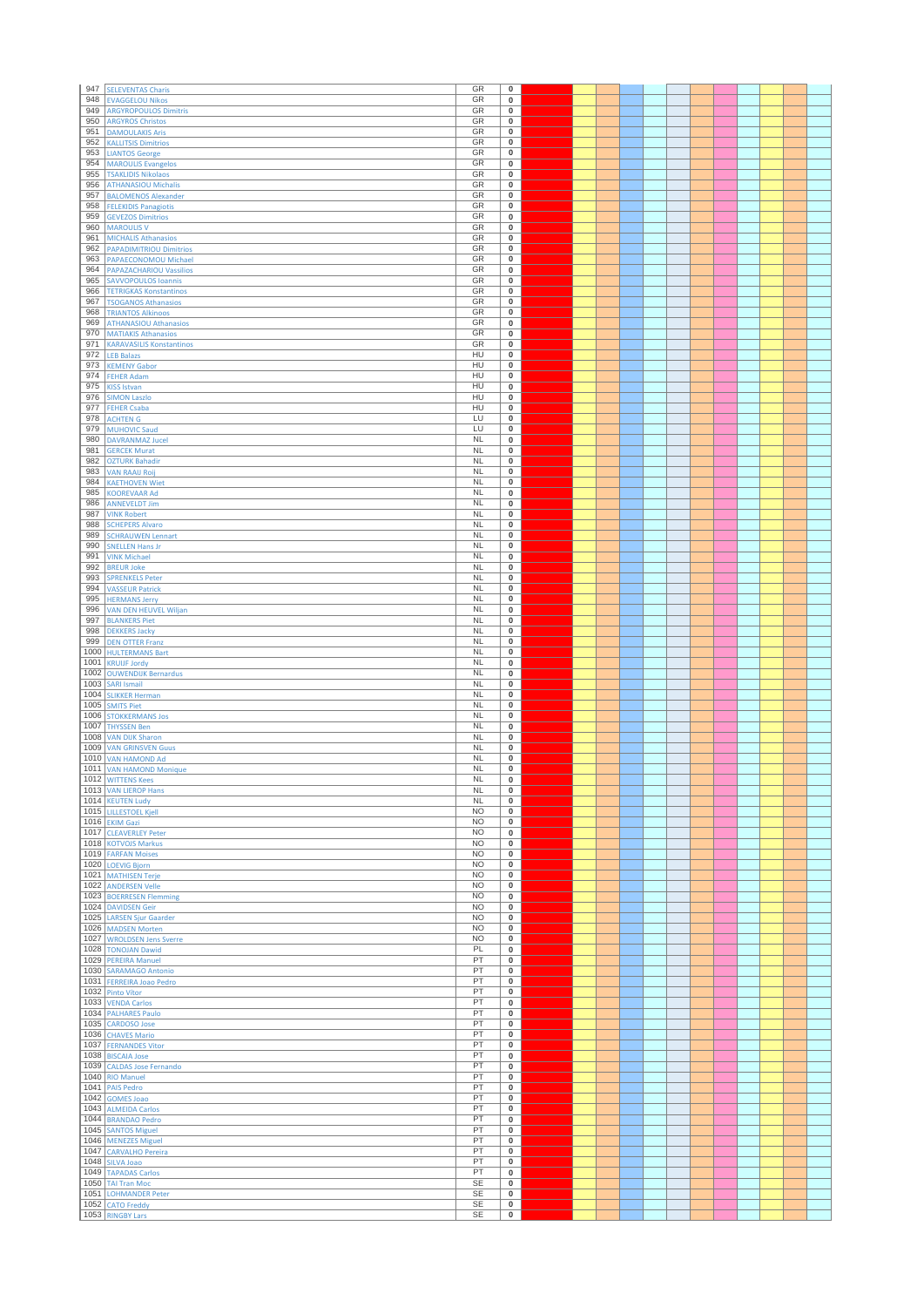| 947        | <b>SELEVENTAS Charis</b>                                 | GR                     | 0                                      |  |  |  |  |  |  |
|------------|----------------------------------------------------------|------------------------|----------------------------------------|--|--|--|--|--|--|
| 948        | <b>EVAGGELOU Nikos</b>                                   | GR                     | 0                                      |  |  |  |  |  |  |
| 949        | <b>ARGYROPOULOS Dimitris</b>                             | GR                     | 0                                      |  |  |  |  |  |  |
| 950<br>951 | <b>ARGYROS Christos</b><br><b>DAMOULAKIS Aris</b>        | GR<br>GR               | 0<br>$\mathbf 0$                       |  |  |  |  |  |  |
| 952        | <b>KALLITSIS Dimitrios</b>                               | GR                     | 0                                      |  |  |  |  |  |  |
| 953        | <b>LIANTOS George</b>                                    | GR                     | 0                                      |  |  |  |  |  |  |
| 954        | <b>MAROULIS Evangelos</b>                                | GR                     | $\pmb{0}$                              |  |  |  |  |  |  |
| 955<br>956 | <b>TSAKLIDIS Nikolaos</b>                                | GR<br>GR               | 0                                      |  |  |  |  |  |  |
| 957        | <b>ATHANASIOU Michalis</b><br><b>BALOMENOS Alexander</b> | GR                     | 0<br>0                                 |  |  |  |  |  |  |
| 958        | <b>FELEKIDIS Panagiotis</b>                              | GR                     | 0                                      |  |  |  |  |  |  |
| 959        | <b>GEVEZOS Dimitrios</b>                                 | GR                     | 0                                      |  |  |  |  |  |  |
| 960        | <b>MAROULIS V</b>                                        | GR                     | $\mathbf 0$                            |  |  |  |  |  |  |
| 961        | <b>MICHALIS Athanasios</b>                               | GR                     | $\pmb{0}$                              |  |  |  |  |  |  |
| 962<br>963 | <b>PAPADIMITRIOU Dimitrios</b><br>PAPAECONOMOU Michael   | GR<br>GR               | $\mathbf 0$<br>$\overline{\textbf{0}}$ |  |  |  |  |  |  |
| 964        | <b>PAPAZACHARIOU Vassilios</b>                           | GR                     | 0                                      |  |  |  |  |  |  |
| 965        | <b>SAVVOPOULOS Ioannis</b>                               | GR                     | 0                                      |  |  |  |  |  |  |
| 966        | <b>TETRIGKAS Konstantinos</b>                            | GR                     | 0                                      |  |  |  |  |  |  |
| 967<br>968 | <b>TSOGANOS Athanasios</b>                               | GR<br>GR               | $\mathbf 0$                            |  |  |  |  |  |  |
| 969        | <b>TRIANTOS Alkinoos</b><br><b>ATHANASIOU Athanasios</b> | GR                     | $\pmb{0}$<br>$\pmb{0}$                 |  |  |  |  |  |  |
| 970        | <b>MATIAKIS Athanasios</b>                               | GR                     | $\overline{\textbf{0}}$                |  |  |  |  |  |  |
| 971        | <b>KARAVASILIS Konstantinos</b>                          | GR                     | 0                                      |  |  |  |  |  |  |
| 972        | <b>LEB Balazs</b>                                        | HU                     | 0                                      |  |  |  |  |  |  |
| 973<br>974 | <b>KEMENY Gabor</b>                                      | HU<br>HU               | 0<br>0                                 |  |  |  |  |  |  |
| 975        | <b>FEHER Adam</b><br><b>KISS Istvan</b>                  | HU                     | $\mathbf 0$                            |  |  |  |  |  |  |
| 976        | <b>SIMON Laszlo</b>                                      | HU                     | $\pmb{0}$                              |  |  |  |  |  |  |
| 977        | <b>FEHER Csaba</b>                                       | HU                     | 0                                      |  |  |  |  |  |  |
| 978        | <b>ACHTEN G</b>                                          | LU                     | $\pmb{0}$                              |  |  |  |  |  |  |
| 979<br>980 | <b>MUHOVIC Saud</b><br><b>DAVRANMAZ Jucel</b>            | LU<br><b>NL</b>        | 0<br>0                                 |  |  |  |  |  |  |
| 981        | <b>GERCEK Murat</b>                                      | NL                     | 0                                      |  |  |  |  |  |  |
| 982        | <b>OZTURK Bahadir</b>                                    | <b>NL</b>              | 0                                      |  |  |  |  |  |  |
| 983        | <b>VAN RAAIJ Roij</b>                                    | <b>NL</b>              | $\overline{\mathbf{0}}$                |  |  |  |  |  |  |
| 984        | <b>KAETHOVEN Wiet</b>                                    | <b>NL</b>              | 0                                      |  |  |  |  |  |  |
| 985<br>986 | <b>KOOREVAAR Ad</b>                                      | <b>NL</b><br><b>NL</b> | 0<br>0                                 |  |  |  |  |  |  |
| 987        | <b>ANNEVELDT Jim</b><br><b>VINK Robert</b>               | <b>NL</b>              | 0                                      |  |  |  |  |  |  |
| 988        | <b>SCHEPERS Alvaro</b>                                   | <b>NL</b>              | 0                                      |  |  |  |  |  |  |
| 989        | <b>SCHRAUWEN Lennart</b>                                 | <b>NL</b>              | 0                                      |  |  |  |  |  |  |
| 990        | <b>SNELLEN Hans Jr</b>                                   | NL                     | 0                                      |  |  |  |  |  |  |
| 991<br>992 | <b>VINK Michael</b><br><b>BREUR Joke</b>                 | <b>NL</b><br><b>NL</b> | 0<br>0                                 |  |  |  |  |  |  |
| 993        | <b>SPRENKELS Peter</b>                                   | <b>NL</b>              | 0                                      |  |  |  |  |  |  |
| 994        | <b>VASSEUR Patrick</b>                                   | NL                     | $\pmb{0}$                              |  |  |  |  |  |  |
| 995        | <b>HERMANS Jerry</b>                                     | <b>NL</b>              | 0                                      |  |  |  |  |  |  |
| 996        | VAN DEN HEUVEL Wiljan                                    | <b>NL</b>              | 0                                      |  |  |  |  |  |  |
| 997<br>998 | <b>BLANKERS Piet</b><br><b>DEKKERS Jacky</b>             | <b>NL</b><br><b>NL</b> | 0<br>0                                 |  |  |  |  |  |  |
| 999        | <b>DEN OTTER Franz</b>                                   | <b>NL</b>              | $\pmb{0}$                              |  |  |  |  |  |  |
| 1000       | <b>HULTERMANS Bart</b>                                   | <b>NL</b>              | $\mathbf 0$                            |  |  |  |  |  |  |
| 1001       | <b>KRUIJF Jordy</b>                                      | <b>NL</b>              | $\pmb{0}$                              |  |  |  |  |  |  |
| 1002       | <b>OUWENDIJK Bernardus</b>                               | <b>NL</b>              | 0                                      |  |  |  |  |  |  |
|            |                                                          |                        |                                        |  |  |  |  |  |  |
| 1003       | <b>SARI Ismail</b>                                       | <b>NL</b>              | 0                                      |  |  |  |  |  |  |
| 1005       | 1004 SLIKKER Herman<br><b>SMITS Piet</b>                 | <b>NL</b><br><b>NL</b> | 0<br>0                                 |  |  |  |  |  |  |
| 1006       | <b>STOKKERMANS Jos</b>                                   | NL                     | 0                                      |  |  |  |  |  |  |
| 1007       | <b>THYSSEN Ben</b>                                       | <b>NL</b>              | 0                                      |  |  |  |  |  |  |
|            | 1008 VAN DIJK Sharon                                     | <b>NL</b>              | $\pmb{0}$                              |  |  |  |  |  |  |
| 1010       | 1009 VAN GRINSVEN Guus                                   | <b>NL</b><br><b>NL</b> | 0<br>0                                 |  |  |  |  |  |  |
|            | <b>VAN HAMOND Ad</b><br>1011 VAN HAMOND Monique          | <b>NL</b>              | $\overline{\textbf{0}}$                |  |  |  |  |  |  |
| r          | 1012 WITTENS Kees                                        | <b>NL</b>              | 0                                      |  |  |  |  |  |  |
|            | 1013 VAN LIEROP Hans                                     | NL                     | $\mathbf 0$                            |  |  |  |  |  |  |
|            | 1014 KEUTEN Ludy                                         | <b>NL</b><br><b>NO</b> | 0<br>$\bf{0}$                          |  |  |  |  |  |  |
|            | 1015 LILLESTOEL Kjell<br>1016 EKIM Gazi                  | <b>NO</b>              | $\bf{0}$                               |  |  |  |  |  |  |
|            | 1017 CLEAVERLEY Peter                                    | <b>NO</b>              | 0                                      |  |  |  |  |  |  |
|            | 1018 KOTVOJS Markus                                      | <b>NO</b>              | $\overline{\mathbf{0}}$                |  |  |  |  |  |  |
|            | 1019 FARFAN Moises                                       | <b>NO</b><br><b>NO</b> | 0<br>$\mathbf 0$                       |  |  |  |  |  |  |
|            | 1020 LOEVIG Bjorn<br>1021 MATHISEN Terje                 | <b>NO</b>              | 0                                      |  |  |  |  |  |  |
|            | 1022 ANDERSEN Velle                                      | <b>NO</b>              | $\mathbf 0$                            |  |  |  |  |  |  |
|            | 1023 BOERRESEN Flemming                                  | <b>NO</b>              | 0                                      |  |  |  |  |  |  |
|            | 1024 DAVIDSEN Geir                                       | <b>NO</b>              | 0                                      |  |  |  |  |  |  |
|            | 1025 LARSEN Sjur Gaarder<br>1026 MADSEN Morten           | <b>NO</b><br><b>NO</b> | $\mathbf 0$<br>$\mathbf 0$             |  |  |  |  |  |  |
|            | 1027 WROLDSEN Jens Sverre                                | <b>NO</b>              | $\mathbf 0$                            |  |  |  |  |  |  |
|            | 1028 TONOJAN Dawid                                       | PL                     | 0                                      |  |  |  |  |  |  |
|            | 1029 PEREIRA Manuel                                      | PT                     | $\mathbf 0$                            |  |  |  |  |  |  |
|            | 1030 SARAMAGO Antonio                                    | PT<br>PT               | 0<br>$\overline{\mathbf{0}}$           |  |  |  |  |  |  |
|            | 1031 FERREIRA Joao Pedro<br>1032 Pinto Vítor             | PT                     | $\bf{0}$                               |  |  |  |  |  |  |
|            | 1033 VENDA Carlos                                        | PT                     | $\mathbf 0$                            |  |  |  |  |  |  |
|            | 1034 PALHARES Paulo                                      | PT                     | $\pmb{0}$                              |  |  |  |  |  |  |
|            | 1035 CARDOSO Jose                                        | PT<br>PT               | $\overline{0}$                         |  |  |  |  |  |  |
|            | 1036 CHAVES Mario<br>1037 FERNANDES Vitor                | PT                     | $\mathbf 0$<br>0                       |  |  |  |  |  |  |
|            | 1038 BISCAIA Jose                                        | PT                     | $\overline{0}$                         |  |  |  |  |  |  |
|            | 1039 CALDAS Jose Fernando                                | PT                     | $\mathbf 0$                            |  |  |  |  |  |  |
|            | 1040 RIO Manuel                                          | PT                     | $\mathbf 0$                            |  |  |  |  |  |  |
| 1042       | 1041 PAIS Pedro<br><b>GOMES Joao</b>                     | PT<br>PT               | $\bf{0}$<br>$\mathbf 0$                |  |  |  |  |  |  |
|            | 1043 ALMEIDA Carlos                                      | PT                     | $\mathbf 0$                            |  |  |  |  |  |  |
|            | 1044 BRANDAO Pedro                                       | PT                     | 0                                      |  |  |  |  |  |  |
|            | 1045 SANTOS Miguel                                       | PT                     | $\mathbf 0$                            |  |  |  |  |  |  |
|            | 1046 MENEZES Miguel                                      | PT                     | 0                                      |  |  |  |  |  |  |
|            | 1047 CARVALHO Pereira<br>1048 SILVA Joao                 | PT<br>PT               | $\overline{\mathbf{0}}$<br>$\bf{0}$    |  |  |  |  |  |  |
|            | 1049 TAPADAS Carlos                                      | PT                     | $\mathbf 0$                            |  |  |  |  |  |  |
|            | 1050 TAI Tran Moc                                        | <b>SE</b>              | $\mathbf 0$                            |  |  |  |  |  |  |
|            | 1051 LOHMANDER Peter<br>1052 CATO Freddy                 | SE<br><b>SE</b>        | 0<br>0                                 |  |  |  |  |  |  |